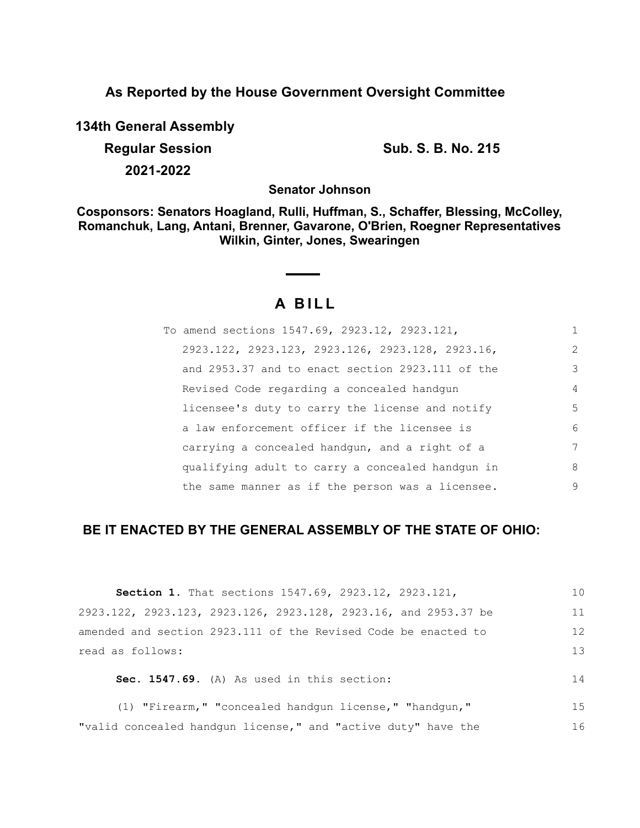**As Reported by the House Government Oversight Committee**

**134th General Assembly**

**Regular Session Sub. S. B. No. 215** 

**2021-2022**

**Senator Johnson**

**Cosponsors: Senators Hoagland, Rulli, Huffman, S., Schaffer, Blessing, McColley, Romanchuk, Lang, Antani, Brenner, Gavarone, O'Brien, Roegner Representatives Wilkin, Ginter, Jones, Swearingen**

# **A B I L L**

| To amend sections 1547.69, 2923.12, 2923.121,    | 1              |
|--------------------------------------------------|----------------|
| 2923.122, 2923.123, 2923.126, 2923.128, 2923.16, | 2              |
| and 2953.37 and to enact section 2923.111 of the | 3              |
| Revised Code regarding a concealed handgun       | $\overline{4}$ |
| licensee's duty to carry the license and notify  | 5              |
| a law enforcement officer if the licensee is     | 6              |
| carrying a concealed handgun, and a right of a   | 7              |
| qualifying adult to carry a concealed handqun in | 8              |
| the same manner as if the person was a licensee. | 9              |

## **BE IT ENACTED BY THE GENERAL ASSEMBLY OF THE STATE OF OHIO:**

| Section 1. That sections 1547.69, 2923.12, 2923.121,            | 10  |
|-----------------------------------------------------------------|-----|
| 2923.122, 2923.123, 2923.126, 2923.128, 2923.16, and 2953.37 be | 11  |
| amended and section 2923.111 of the Revised Code be enacted to  | 12  |
| read as follows:                                                | 1.3 |
| Sec. 1547.69. (A) As used in this section:                      | 14  |

| $(1)$ "Firearm," "concealed handqun license," "handqun,"      |  |  |  |  |
|---------------------------------------------------------------|--|--|--|--|
| "valid concealed handgun license," and "active duty" have the |  |  |  |  |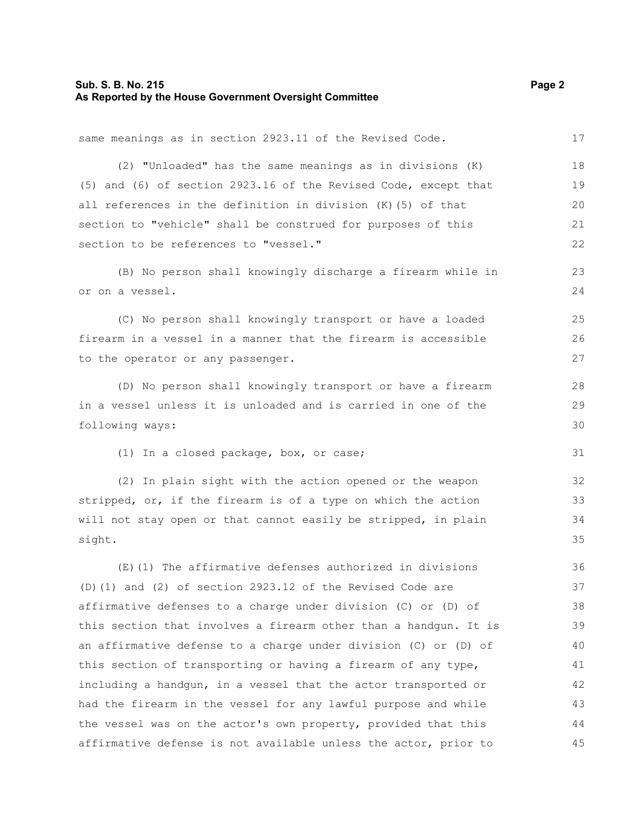#### **Sub. S. B. No. 215 Page 2 As Reported by the House Government Oversight Committee**

same meanings as in section 2923.11 of the Revised Code. (2) "Unloaded" has the same meanings as in divisions (K) (5) and (6) of section 2923.16 of the Revised Code, except that all references in the definition in division (K)(5) of that section to "vehicle" shall be construed for purposes of this section to be references to "vessel." (B) No person shall knowingly discharge a firearm while in or on a vessel. (C) No person shall knowingly transport or have a loaded firearm in a vessel in a manner that the firearm is accessible to the operator or any passenger. (D) No person shall knowingly transport or have a firearm in a vessel unless it is unloaded and is carried in one of the following ways: (1) In a closed package, box, or case; (2) In plain sight with the action opened or the weapon stripped, or, if the firearm is of a type on which the action will not stay open or that cannot easily be stripped, in plain sight. (E)(1) The affirmative defenses authorized in divisions (D)(1) and (2) of section 2923.12 of the Revised Code are affirmative defenses to a charge under division (C) or (D) of this section that involves a firearm other than a handgun. It is an affirmative defense to a charge under division (C) or (D) of this section of transporting or having a firearm of any type, including a handgun, in a vessel that the actor transported or 17 18 19 20 21 22 23 24 25 26 27 28 29 30 32 33 34 35 36 37 38 39 40 41

had the firearm in the vessel for any lawful purpose and while the vessel was on the actor's own property, provided that this affirmative defense is not available unless the actor, prior to 42 43 44 45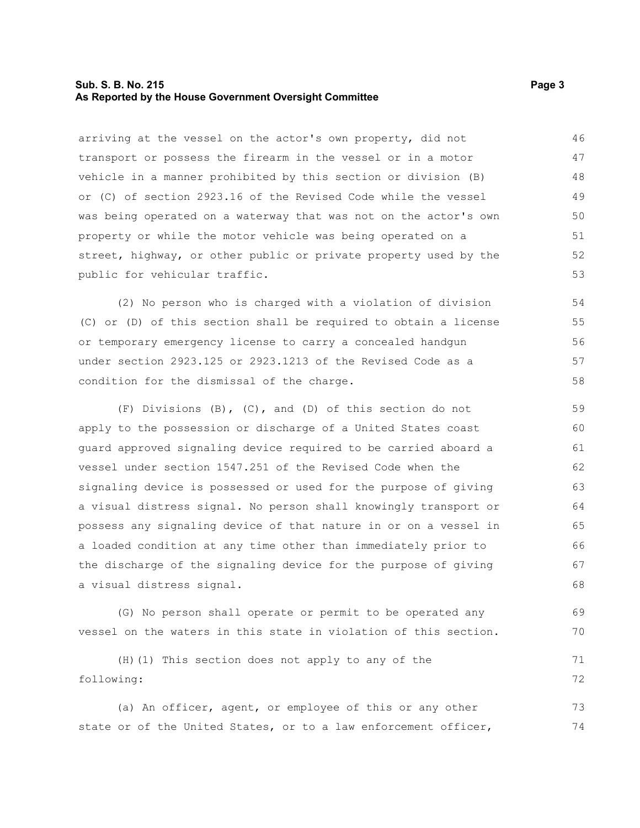#### **Sub. S. B. No. 215 Page 3 As Reported by the House Government Oversight Committee**

arriving at the vessel on the actor's own property, did not transport or possess the firearm in the vessel or in a motor vehicle in a manner prohibited by this section or division (B) or (C) of section 2923.16 of the Revised Code while the vessel was being operated on a waterway that was not on the actor's own property or while the motor vehicle was being operated on a street, highway, or other public or private property used by the public for vehicular traffic. 46 47 48 49 50 51 52 53

(2) No person who is charged with a violation of division (C) or (D) of this section shall be required to obtain a license or temporary emergency license to carry a concealed handgun under section 2923.125 or 2923.1213 of the Revised Code as a condition for the dismissal of the charge.

(F) Divisions (B), (C), and (D) of this section do not apply to the possession or discharge of a United States coast guard approved signaling device required to be carried aboard a vessel under section 1547.251 of the Revised Code when the signaling device is possessed or used for the purpose of giving a visual distress signal. No person shall knowingly transport or possess any signaling device of that nature in or on a vessel in a loaded condition at any time other than immediately prior to the discharge of the signaling device for the purpose of giving a visual distress signal. 59 60 61 62 63 64 65 66 67 68

(G) No person shall operate or permit to be operated any vessel on the waters in this state in violation of this section.

|            | (H) (1) This section does not apply to any of the |  |  |  |  |    |
|------------|---------------------------------------------------|--|--|--|--|----|
| following: |                                                   |  |  |  |  | 72 |

(a) An officer, agent, or employee of this or any other state or of the United States, or to a law enforcement officer, 73 74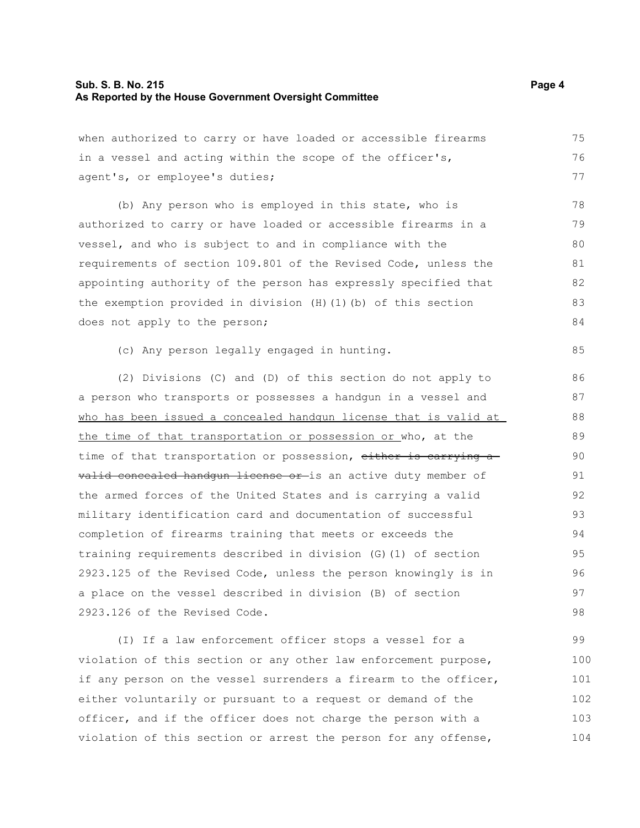#### **Sub. S. B. No. 215 Page 4 As Reported by the House Government Oversight Committee**

when authorized to carry or have loaded or accessible firearms in a vessel and acting within the scope of the officer's, agent's, or employee's duties;

(b) Any person who is employed in this state, who is authorized to carry or have loaded or accessible firearms in a vessel, and who is subject to and in compliance with the requirements of section 109.801 of the Revised Code, unless the appointing authority of the person has expressly specified that the exemption provided in division (H)(1)(b) of this section does not apply to the person; 78 79 80 81 82 83 84

(c) Any person legally engaged in hunting.

(2) Divisions (C) and (D) of this section do not apply to a person who transports or possesses a handgun in a vessel and who has been issued a concealed handgun license that is valid at the time of that transportation or possession or who, at the time of that transportation or possession, either is carrying a valid concealed handgun license or is an active duty member of the armed forces of the United States and is carrying a valid military identification card and documentation of successful completion of firearms training that meets or exceeds the training requirements described in division (G)(1) of section 2923.125 of the Revised Code, unless the person knowingly is in a place on the vessel described in division (B) of section 2923.126 of the Revised Code. 86 87 88 89 90 91 92 93 94 95 96 97 98

(I) If a law enforcement officer stops a vessel for a violation of this section or any other law enforcement purpose, if any person on the vessel surrenders a firearm to the officer, either voluntarily or pursuant to a request or demand of the officer, and if the officer does not charge the person with a violation of this section or arrest the person for any offense, 99 100 101 102 103 104

75 76 77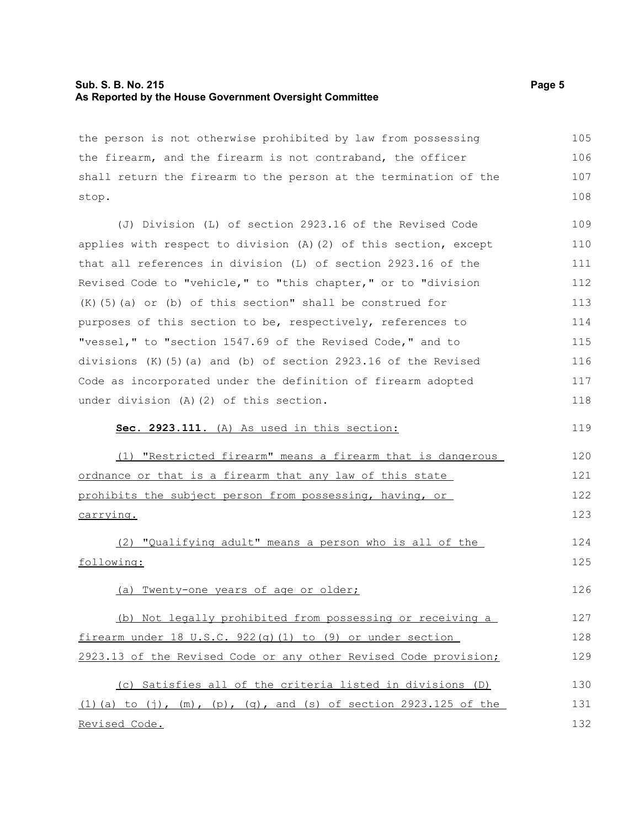#### **Sub. S. B. No. 215 Page 5 As Reported by the House Government Oversight Committee**

the person is not otherwise prohibited by law from possessing the firearm, and the firearm is not contraband, the officer shall return the firearm to the person at the termination of the stop. 105 106 107 108

(J) Division (L) of section 2923.16 of the Revised Code applies with respect to division (A)(2) of this section, except that all references in division (L) of section 2923.16 of the Revised Code to "vehicle," to "this chapter," or to "division (K)(5)(a) or (b) of this section" shall be construed for purposes of this section to be, respectively, references to "vessel," to "section 1547.69 of the Revised Code," and to divisions  $(K)$  (5)(a) and (b) of section 2923.16 of the Revised Code as incorporated under the definition of firearm adopted under division (A)(2) of this section. 109 110 111 112 113 114 115 116 117 118

#### **Sec. 2923.111.** (A) As used in this section: 119

(1) "Restricted firearm" means a firearm that is dangerous ordnance or that is a firearm that any law of this state prohibits the subject person from possessing, having, or carrying. 120 121 122 123

(2) "Qualifying adult" means a person who is all of the following: 124 125

#### (a) Twenty-one years of age or older;

(b) Not legally prohibited from possessing or receiving a firearm under 18 U.S.C.  $922(q)(1)$  to (9) or under section 2923.13 of the Revised Code or any other Revised Code provision; 127 128 129

(c) Satisfies all of the criteria listed in divisions (D) (1)(a) to (j),  $(m)$ , (p), (g), and (s) of section 2923.125 of the Revised Code. 130 131 132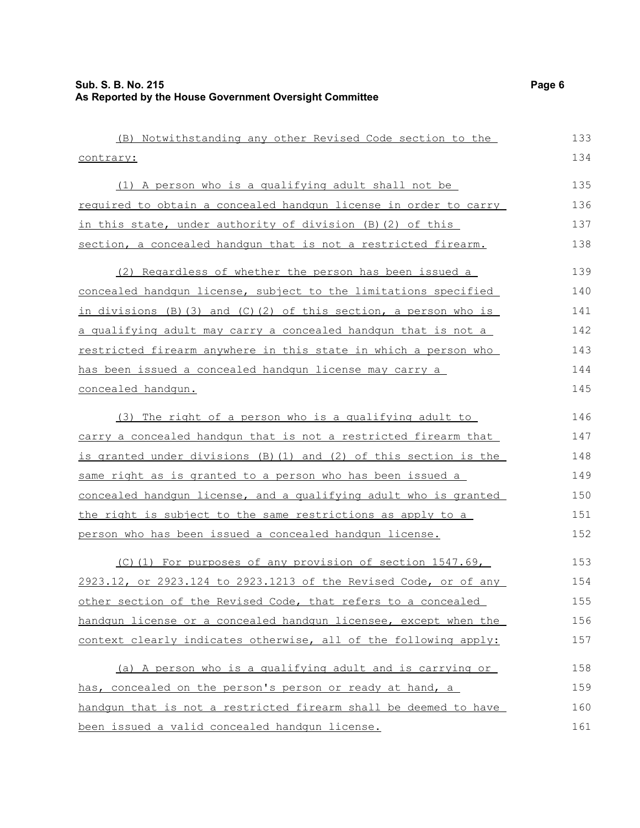| (B) Notwithstanding any other Revised Code section to the                 | 133 |
|---------------------------------------------------------------------------|-----|
| contrary:                                                                 | 134 |
| (1) A person who is a qualifying adult shall not be                       | 135 |
| required to obtain a concealed handgun license in order to carry          | 136 |
| in this state, under authority of division (B) (2) of this                | 137 |
| section, a concealed handqun that is not a restricted firearm.            | 138 |
| (2) Regardless of whether the person has been issued a                    | 139 |
| concealed handgun license, subject to the limitations specified           | 140 |
| in divisions $(B)$ $(3)$ and $(C)$ $(2)$ of this section, a person who is | 141 |
| a qualifying adult may carry a concealed handqun that is not a            | 142 |
| restricted firearm anywhere in this state in which a person who           | 143 |
| has been issued a concealed handqun license may carry a                   | 144 |
| concealed handqun.                                                        | 145 |
| (3) The right of a person who is a qualifying adult to                    | 146 |
| carry a concealed handgun that is not a restricted firearm that           | 147 |
| is granted under divisions (B) (1) and (2) of this section is the         | 148 |
| same right as is granted to a person who has been issued a                | 149 |
| concealed handqun license, and a qualifying adult who is granted          | 150 |
| the right is subject to the same restrictions as apply to a               | 151 |
| person who has been issued a concealed handqun license.                   | 152 |
| (C)(1) For purposes of any provision of section 1547.69,                  | 153 |
| 2923.12, or 2923.124 to 2923.1213 of the Revised Code, or of any          | 154 |
| other section of the Revised Code, that refers to a concealed             | 155 |
| handgun license or a concealed handgun licensee, except when the          | 156 |
| context clearly indicates otherwise, all of the following apply:          | 157 |
| (a) A person who is a qualifying adult and is carrying or                 | 158 |
| has, concealed on the person's person or ready at hand, a                 | 159 |
| handqun that is not a restricted firearm shall be deemed to have          | 160 |
| been issued a valid concealed handqun license.                            | 161 |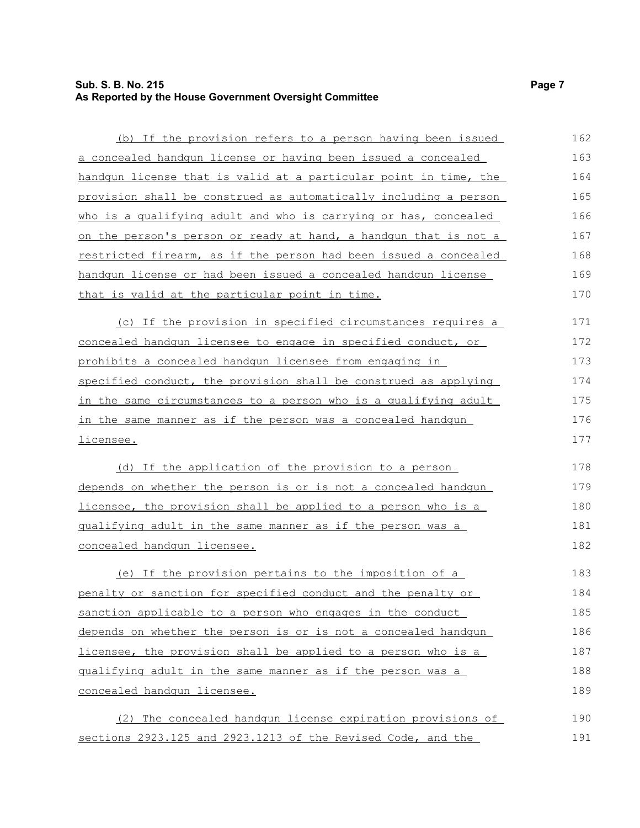## **Sub. S. B. No. 215 Page 7 As Reported by the House Government Oversight Committee**

| (b) If the provision refers to a person having been issued         | 162 |
|--------------------------------------------------------------------|-----|
| a concealed handgun license or having been issued a concealed      | 163 |
| handgun license that is valid at a particular point in time, the   | 164 |
| provision shall be construed as automatically including a person   | 165 |
| who is a qualifying adult and who is carrying or has, concealed    | 166 |
| on the person's person or ready at hand, a handgun that is not a   | 167 |
| restricted firearm, as if the person had been issued a concealed   | 168 |
| handqun license or had been issued a concealed handqun license     | 169 |
| that is valid at the particular point in time.                     | 170 |
| (c) If the provision in specified circumstances requires a         | 171 |
| concealed handqun licensee to engage in specified conduct, or      | 172 |
| prohibits a concealed handqun licensee from engaging in            | 173 |
| specified conduct, the provision shall be construed as applying    | 174 |
| in the same circumstances to a person who is a qualifying adult    | 175 |
| <u>in the same manner as if the person was a concealed handqun</u> | 176 |
| licensee.                                                          | 177 |
| (d) If the application of the provision to a person                | 178 |
| depends on whether the person is or is not a concealed handgun     | 179 |
| licensee, the provision shall be applied to a person who is a      | 180 |
| qualifying adult in the same manner as if the person was a         | 181 |
| <u>concealed handqun licensee.</u>                                 | 182 |
| (e) If the provision pertains to the imposition of a               | 183 |
| penalty or sanction for specified conduct and the penalty or       | 184 |
| sanction applicable to a person who engages in the conduct         | 185 |
| depends on whether the person is or is not a concealed handqun     | 186 |
| licensee, the provision shall be applied to a person who is a      | 187 |
| qualifying adult in the same manner as if the person was a         | 188 |
| concealed handqun licensee.                                        | 189 |
| The concealed handqun license expiration provisions of<br>(2)      | 190 |
| sections 2923.125 and 2923.1213 of the Revised Code, and the       | 191 |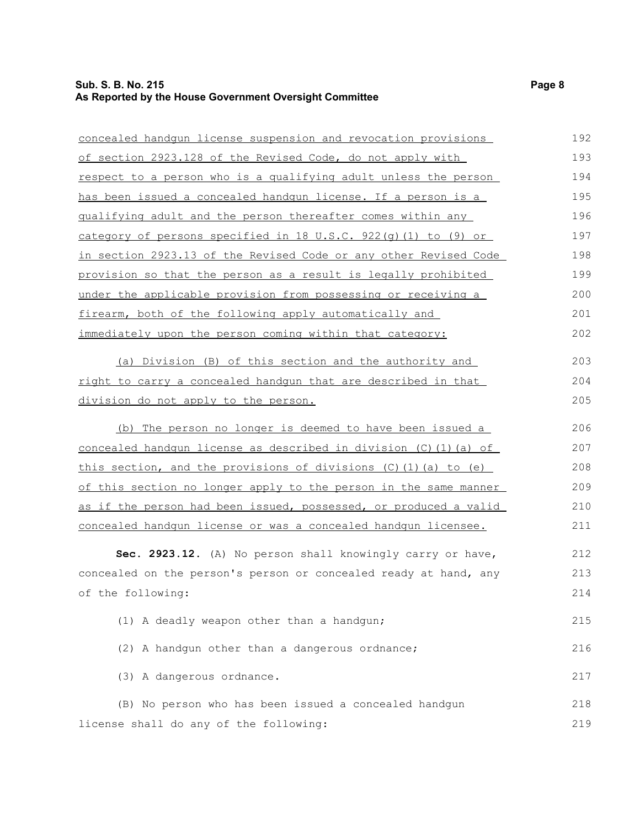## **Sub. S. B. No. 215 Page 8 As Reported by the House Government Oversight Committee**

| concealed handgun license suspension and revocation provisions   | 192 |
|------------------------------------------------------------------|-----|
| of section 2923.128 of the Revised Code, do not apply with       | 193 |
| respect to a person who is a qualifying adult unless the person  | 194 |
| has been issued a concealed handqun license. If a person is a    | 195 |
| qualifying adult and the person thereafter comes within any      | 196 |
| category of persons specified in 18 U.S.C. 922(q)(1) to $(9)$ or | 197 |
| in section 2923.13 of the Revised Code or any other Revised Code | 198 |
| provision so that the person as a result is legally prohibited   | 199 |
| under the applicable provision from possessing or receiving a    | 200 |
| firearm, both of the following apply automatically and           | 201 |
| immediately upon the person coming within that category:         | 202 |
| (a) Division (B) of this section and the authority and           | 203 |
| right to carry a concealed handgun that are described in that    | 204 |
| division do not apply to the person.                             | 205 |
| (b) The person no longer is deemed to have been issued a         | 206 |
| concealed handqun license as described in division (C)(1)(a) of  | 207 |
| this section, and the provisions of divisions (C)(1)(a) to (e)   | 208 |
| of this section no longer apply to the person in the same manner | 209 |
| as if the person had been issued, possessed, or produced a valid | 210 |
| concealed handqun license or was a concealed handqun licensee.   | 211 |
| Sec. 2923.12. (A) No person shall knowingly carry or have,       | 212 |
| concealed on the person's person or concealed ready at hand, any | 213 |
| of the following:                                                | 214 |
| (1) A deadly weapon other than a handgun;                        | 215 |
| (2) A handgun other than a dangerous ordnance;                   | 216 |
| (3) A dangerous ordnance.                                        | 217 |
| (B) No person who has been issued a concealed handgun            | 218 |
| license shall do any of the following:                           | 219 |
|                                                                  |     |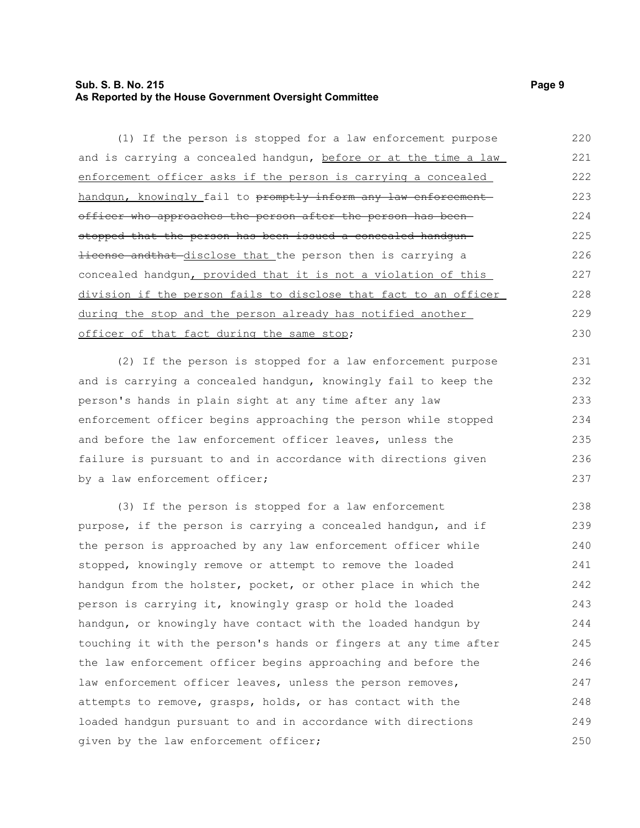### **Sub. S. B. No. 215 Page 9 As Reported by the House Government Oversight Committee**

(1) If the person is stopped for a law enforcement purpose and is carrying a concealed handgun, before or at the time a law enforcement officer asks if the person is carrying a concealed handgun, knowingly fail to promptly inform any law enforcement officer who approaches the person after the person has been stopped that the person has been issued a concealed handgun license andthat disclose that the person then is carrying a concealed handgun, provided that it is not a violation of this division if the person fails to disclose that fact to an officer during the stop and the person already has notified another officer of that fact during the same stop; 220 221 222 223 224 225 226 227 228 229 230

(2) If the person is stopped for a law enforcement purpose and is carrying a concealed handgun, knowingly fail to keep the person's hands in plain sight at any time after any law enforcement officer begins approaching the person while stopped and before the law enforcement officer leaves, unless the failure is pursuant to and in accordance with directions given by a law enforcement officer;

(3) If the person is stopped for a law enforcement purpose, if the person is carrying a concealed handgun, and if the person is approached by any law enforcement officer while stopped, knowingly remove or attempt to remove the loaded handgun from the holster, pocket, or other place in which the person is carrying it, knowingly grasp or hold the loaded handgun, or knowingly have contact with the loaded handgun by touching it with the person's hands or fingers at any time after the law enforcement officer begins approaching and before the law enforcement officer leaves, unless the person removes, attempts to remove, grasps, holds, or has contact with the loaded handgun pursuant to and in accordance with directions given by the law enforcement officer; 238 239 240 241 242 243 244 245 246 247 248 249 250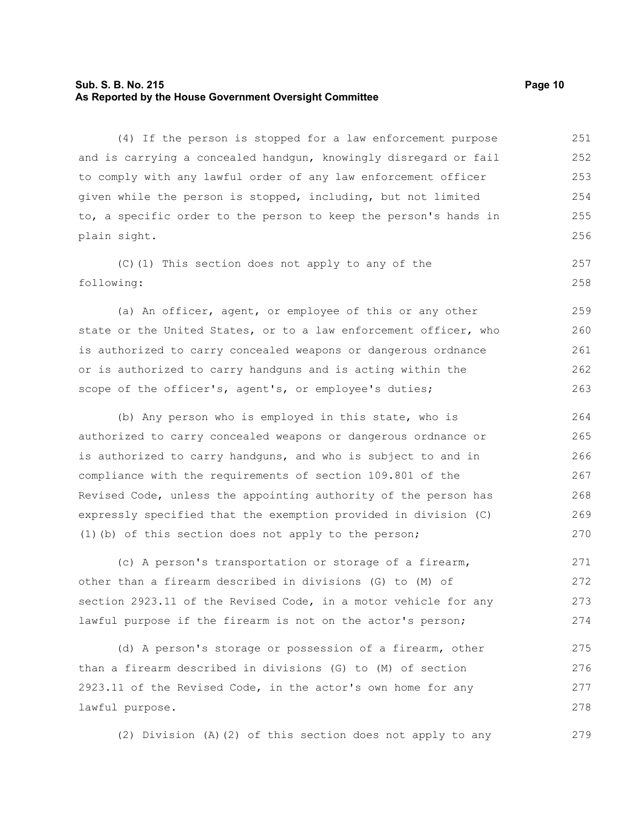#### **Sub. S. B. No. 215 Page 10 As Reported by the House Government Oversight Committee**

(4) If the person is stopped for a law enforcement purpose and is carrying a concealed handgun, knowingly disregard or fail to comply with any lawful order of any law enforcement officer given while the person is stopped, including, but not limited to, a specific order to the person to keep the person's hands in plain sight. 251 252 253 254 255 256

(C)(1) This section does not apply to any of the following: 257 258

(a) An officer, agent, or employee of this or any other state or the United States, or to a law enforcement officer, who is authorized to carry concealed weapons or dangerous ordnance or is authorized to carry handguns and is acting within the scope of the officer's, agent's, or employee's duties;

(b) Any person who is employed in this state, who is authorized to carry concealed weapons or dangerous ordnance or is authorized to carry handguns, and who is subject to and in compliance with the requirements of section 109.801 of the Revised Code, unless the appointing authority of the person has expressly specified that the exemption provided in division (C) (1)(b) of this section does not apply to the person; 264 265 266 267 268 269 270

(c) A person's transportation or storage of a firearm, other than a firearm described in divisions (G) to (M) of section 2923.11 of the Revised Code, in a motor vehicle for any lawful purpose if the firearm is not on the actor's person; 271 272 273 274

(d) A person's storage or possession of a firearm, other than a firearm described in divisions (G) to (M) of section 2923.11 of the Revised Code, in the actor's own home for any lawful purpose. 275 276 277 278

(2) Division (A)(2) of this section does not apply to any 279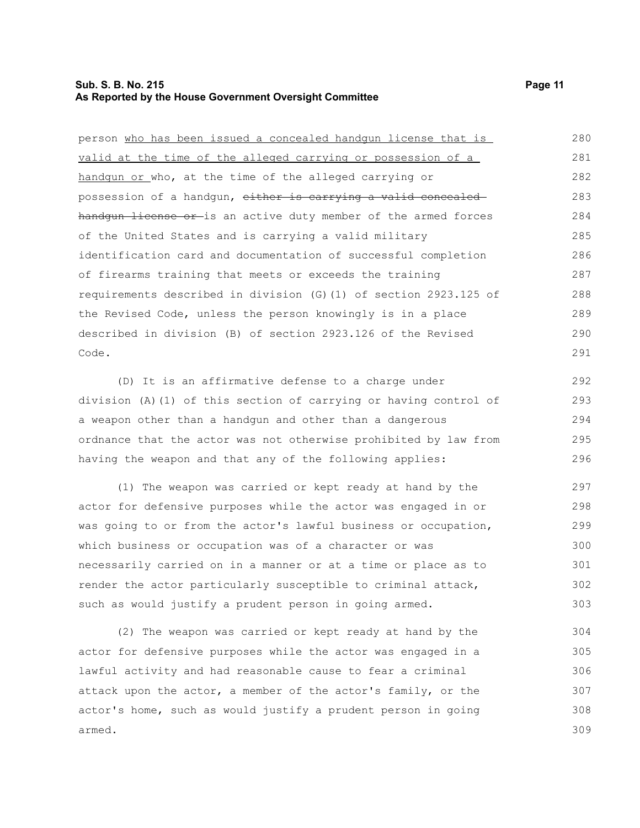### **Sub. S. B. No. 215 Page 11 As Reported by the House Government Oversight Committee**

person who has been issued a concealed handgun license that is valid at the time of the alleged carrying or possession of a handgun or who, at the time of the alleged carrying or possession of a handgun, either is carrying a valid concealed handgun license or is an active duty member of the armed forces of the United States and is carrying a valid military identification card and documentation of successful completion of firearms training that meets or exceeds the training requirements described in division (G)(1) of section 2923.125 of the Revised Code, unless the person knowingly is in a place described in division (B) of section 2923.126 of the Revised Code. 280 281 282 283 284 285 286 287 288 289 290 291

(D) It is an affirmative defense to a charge under division (A)(1) of this section of carrying or having control of a weapon other than a handgun and other than a dangerous ordnance that the actor was not otherwise prohibited by law from having the weapon and that any of the following applies:

(1) The weapon was carried or kept ready at hand by the actor for defensive purposes while the actor was engaged in or was going to or from the actor's lawful business or occupation, which business or occupation was of a character or was necessarily carried on in a manner or at a time or place as to render the actor particularly susceptible to criminal attack, such as would justify a prudent person in going armed. 297 298 299 300 301 302 303

(2) The weapon was carried or kept ready at hand by the actor for defensive purposes while the actor was engaged in a lawful activity and had reasonable cause to fear a criminal attack upon the actor, a member of the actor's family, or the actor's home, such as would justify a prudent person in going armed. 304 305 306 307 308 309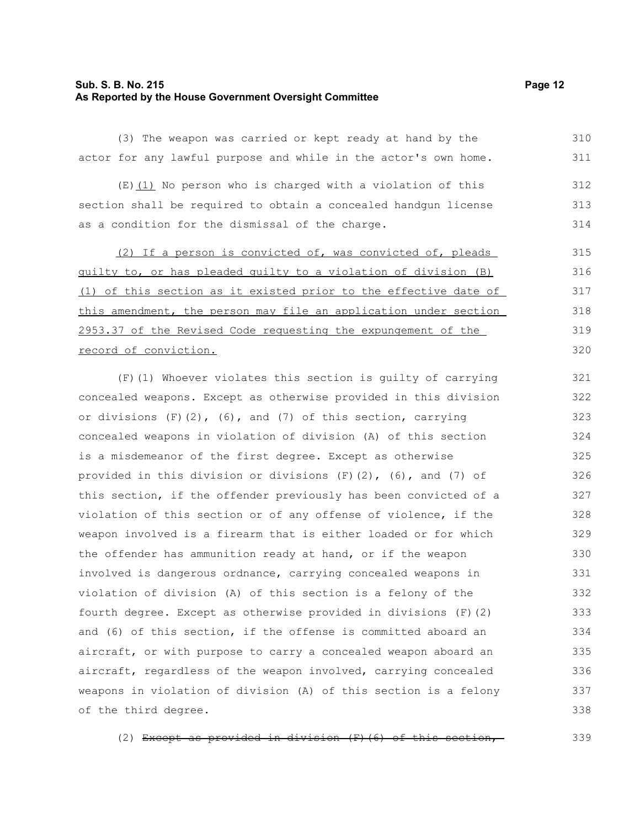#### **Sub. S. B. No. 215 Page 12 As Reported by the House Government Oversight Committee**

(3) The weapon was carried or kept ready at hand by the actor for any lawful purpose and while in the actor's own home. 310 311

 $(E)$  (1) No person who is charged with a violation of this section shall be required to obtain a concealed handgun license as a condition for the dismissal of the charge. 312 313 314

(2) If a person is convicted of, was convicted of, pleads guilty to, or has pleaded guilty to a violation of division (B) (1) of this section as it existed prior to the effective date of this amendment, the person may file an application under section 2953.37 of the Revised Code requesting the expungement of the record of conviction. 315 316 317 318 319 320

(F)(1) Whoever violates this section is guilty of carrying concealed weapons. Except as otherwise provided in this division or divisions  $(F)(2)$ ,  $(6)$ , and  $(7)$  of this section, carrying concealed weapons in violation of division (A) of this section is a misdemeanor of the first degree. Except as otherwise provided in this division or divisions  $(F)(2)$ ,  $(6)$ , and  $(7)$  of this section, if the offender previously has been convicted of a violation of this section or of any offense of violence, if the weapon involved is a firearm that is either loaded or for which the offender has ammunition ready at hand, or if the weapon involved is dangerous ordnance, carrying concealed weapons in violation of division (A) of this section is a felony of the fourth degree. Except as otherwise provided in divisions (F)(2) and (6) of this section, if the offense is committed aboard an aircraft, or with purpose to carry a concealed weapon aboard an aircraft, regardless of the weapon involved, carrying concealed weapons in violation of division (A) of this section is a felony of the third degree. 321 322 323 324 325 326 327 328 329 330 331 332 333 334 335 336 337 338

(2) Except as provided in division (F)(6) of this section, 339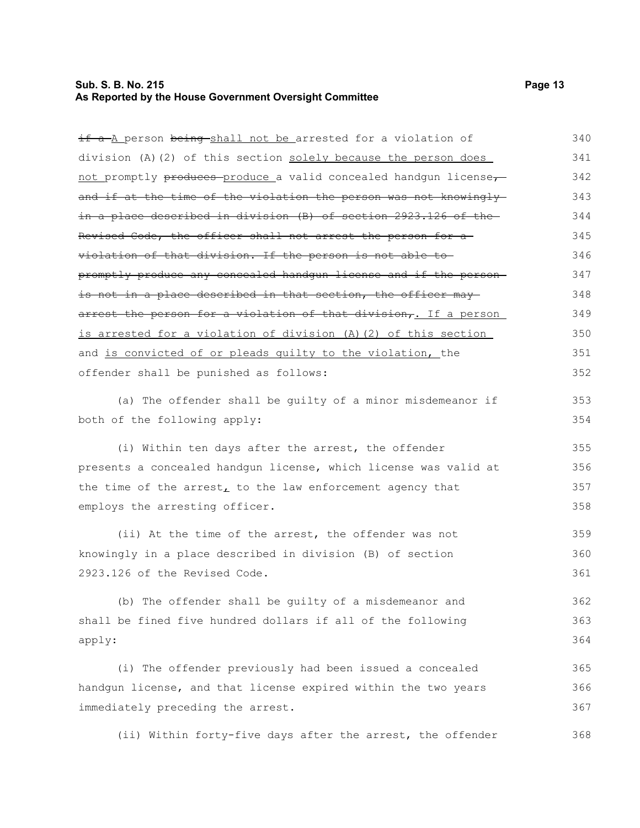#### **Sub. S. B. No. 215 Page 13 As Reported by the House Government Oversight Committee**

if a A person being shall not be arrested for a violation of division (A)(2) of this section solely because the person does not promptly produces-produce a valid concealed handgun license, and if at the time of the violation the person was not knowinglyin a place described in division (B) of section 2923.126 of the Revised Code, the officer shall not arrest the person for a violation of that division. If the person is not able to promptly produce any concealed handgun license and if the person is not in a place described in that section, the officer may arrest the person for a violation of that division,. If a person is arrested for a violation of division (A)(2) of this section

and is convicted of or pleads guilty to the violation, the offender shall be punished as follows: 351 352

(a) The offender shall be guilty of a minor misdemeanor if both of the following apply:

(i) Within ten days after the arrest, the offender presents a concealed handgun license, which license was valid at the time of the arrest, to the law enforcement agency that employs the arresting officer.

(ii) At the time of the arrest, the offender was not knowingly in a place described in division (B) of section 2923.126 of the Revised Code. 359 360 361

(b) The offender shall be guilty of a misdemeanor and shall be fined five hundred dollars if all of the following apply: 362 363 364

(i) The offender previously had been issued a concealed handgun license, and that license expired within the two years immediately preceding the arrest. 365 366 367

(ii) Within forty-five days after the arrest, the offender 368

353 354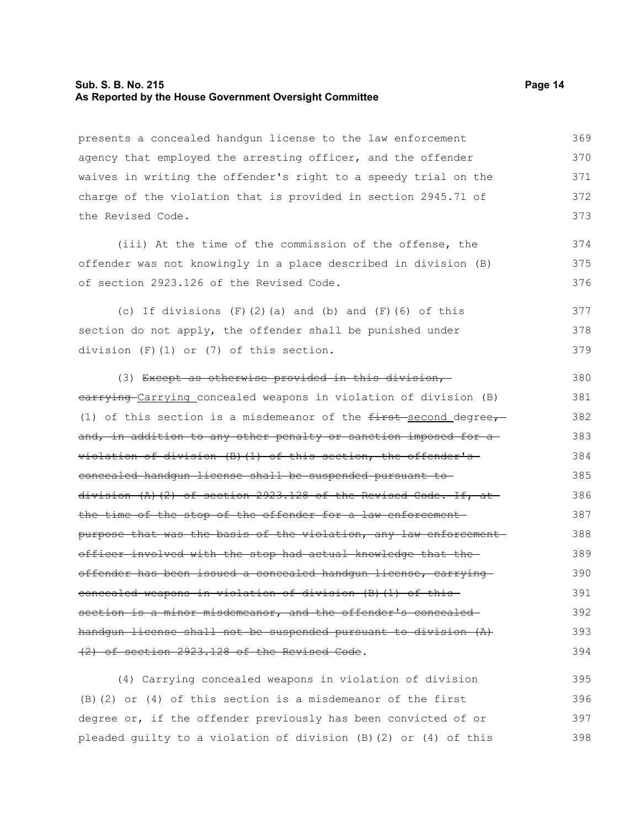#### **Sub. S. B. No. 215 Page 14 As Reported by the House Government Oversight Committee**

presents a concealed handgun license to the law enforcement agency that employed the arresting officer, and the offender waives in writing the offender's right to a speedy trial on the charge of the violation that is provided in section 2945.71 of the Revised Code. 369 370 371 372 373

(iii) At the time of the commission of the offense, the offender was not knowingly in a place described in division (B) of section 2923.126 of the Revised Code.

(c) If divisions  $(F)$   $(2)$   $(a)$  and  $(b)$  and  $(F)$   $(6)$  of this section do not apply, the offender shall be punished under division (F)(1) or (7) of this section. 377 378 379

(3) Except as otherwise provided in this division, earrying Carrying concealed weapons in violation of division (B) (1) of this section is a misdemeanor of the  $f$ inst-second degree, and, in addition to any other penalty or sanction imposed for aviolation of division (B)(1) of this section, the offender's concealed handgun license shall be suspended pursuant to division  $(A)$   $(2)$  of section 2923.128 of the Revised Code. If, at the time of the stop of the offender for a law enforcementpurpose that was the basis of the violation, any law enforcement officer involved with the stop had actual knowledge that the offender has been issued a concealed handgun license, carrying concealed weapons in violation of division (B)(1) of this section is a minor misdemeanor, and the offender's concealed handgun license shall not be suspended pursuant to division (A) (2) of section 2923.128 of the Revised Code. 380 381 382 383 384 385 386 387 388 389 390 391 392 393 394

(4) Carrying concealed weapons in violation of division (B)(2) or (4) of this section is a misdemeanor of the first degree or, if the offender previously has been convicted of or pleaded guilty to a violation of division (B)(2) or (4) of this 395 396 397 398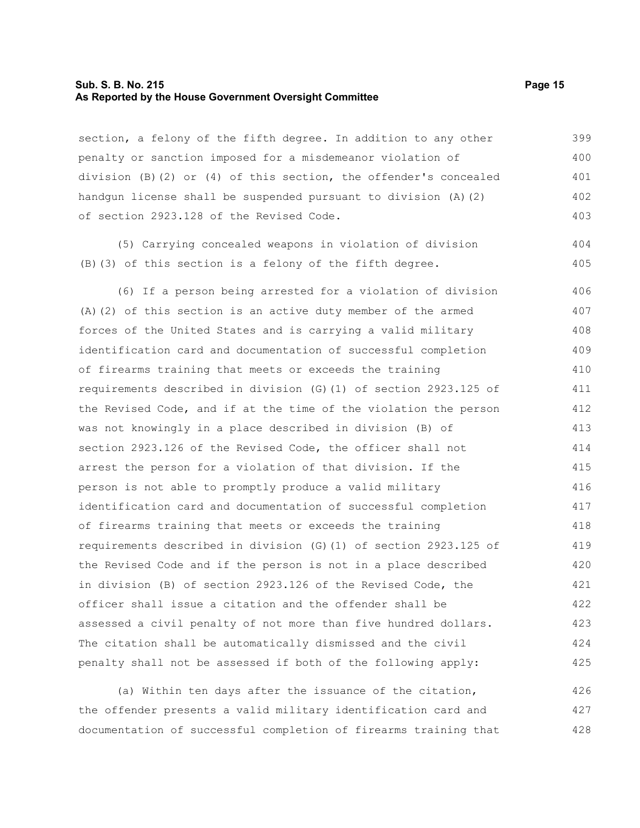#### **Sub. S. B. No. 215 Page 15 As Reported by the House Government Oversight Committee**

section, a felony of the fifth degree. In addition to any other penalty or sanction imposed for a misdemeanor violation of division (B)(2) or (4) of this section, the offender's concealed handgun license shall be suspended pursuant to division (A)(2) of section 2923.128 of the Revised Code. 399 400 401 402 403

(5) Carrying concealed weapons in violation of division (B)(3) of this section is a felony of the fifth degree. 404 405

(6) If a person being arrested for a violation of division (A)(2) of this section is an active duty member of the armed forces of the United States and is carrying a valid military identification card and documentation of successful completion of firearms training that meets or exceeds the training requirements described in division (G)(1) of section 2923.125 of the Revised Code, and if at the time of the violation the person was not knowingly in a place described in division (B) of section 2923.126 of the Revised Code, the officer shall not arrest the person for a violation of that division. If the person is not able to promptly produce a valid military identification card and documentation of successful completion of firearms training that meets or exceeds the training requirements described in division (G)(1) of section 2923.125 of the Revised Code and if the person is not in a place described in division (B) of section 2923.126 of the Revised Code, the officer shall issue a citation and the offender shall be assessed a civil penalty of not more than five hundred dollars. The citation shall be automatically dismissed and the civil penalty shall not be assessed if both of the following apply: 406 407 408 409 410 411 412 413 414 415 416 417 418 419 420 421 422 423 424 425

(a) Within ten days after the issuance of the citation, the offender presents a valid military identification card and documentation of successful completion of firearms training that 426 427 428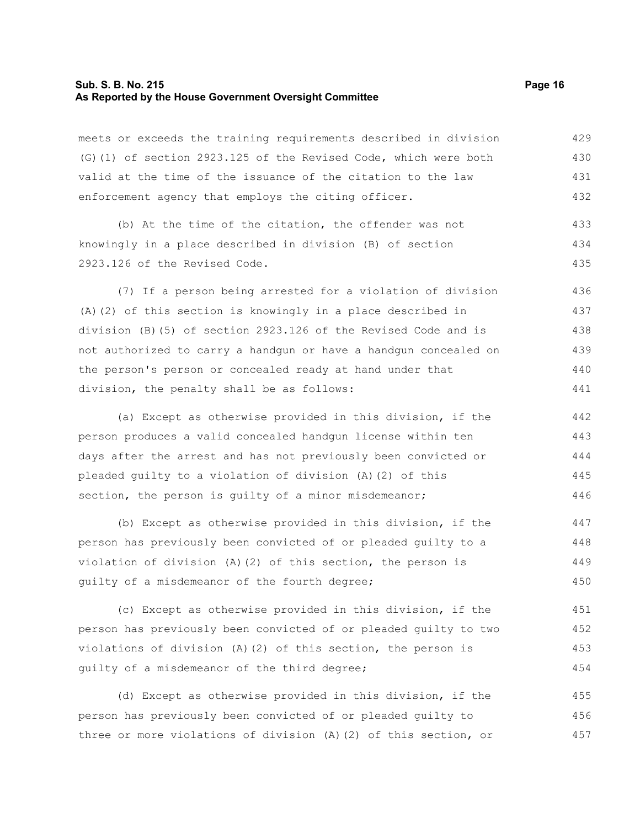#### **Sub. S. B. No. 215 Page 16 As Reported by the House Government Oversight Committee**

meets or exceeds the training requirements described in division (G)(1) of section 2923.125 of the Revised Code, which were both valid at the time of the issuance of the citation to the law enforcement agency that employs the citing officer. 429 430 431 432

(b) At the time of the citation, the offender was not knowingly in a place described in division (B) of section 2923.126 of the Revised Code. 433 434 435

(7) If a person being arrested for a violation of division (A)(2) of this section is knowingly in a place described in division (B)(5) of section 2923.126 of the Revised Code and is not authorized to carry a handgun or have a handgun concealed on the person's person or concealed ready at hand under that division, the penalty shall be as follows: 436 437 438 439 440 441

(a) Except as otherwise provided in this division, if the person produces a valid concealed handgun license within ten days after the arrest and has not previously been convicted or pleaded guilty to a violation of division (A)(2) of this section, the person is guilty of a minor misdemeanor; 442 443 444 445 446

(b) Except as otherwise provided in this division, if the person has previously been convicted of or pleaded guilty to a violation of division (A)(2) of this section, the person is guilty of a misdemeanor of the fourth degree; 447 448 449 450

(c) Except as otherwise provided in this division, if the person has previously been convicted of or pleaded guilty to two violations of division (A)(2) of this section, the person is guilty of a misdemeanor of the third degree; 451 452 453 454

(d) Except as otherwise provided in this division, if the person has previously been convicted of or pleaded guilty to three or more violations of division (A)(2) of this section, or 455 456 457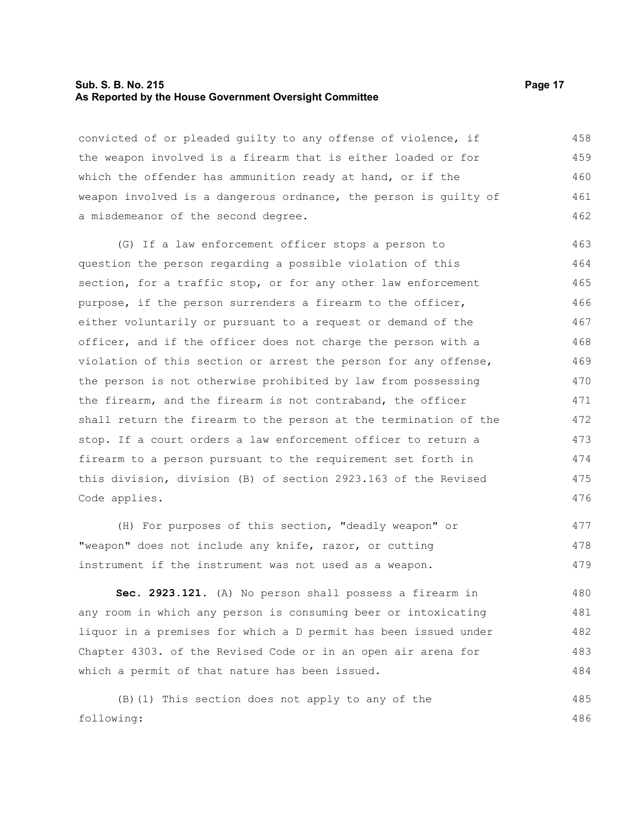### **Sub. S. B. No. 215 Page 17 As Reported by the House Government Oversight Committee**

convicted of or pleaded guilty to any offense of violence, if the weapon involved is a firearm that is either loaded or for which the offender has ammunition ready at hand, or if the weapon involved is a dangerous ordnance, the person is guilty of a misdemeanor of the second degree. 458 459 460 461 462

(G) If a law enforcement officer stops a person to question the person regarding a possible violation of this section, for a traffic stop, or for any other law enforcement purpose, if the person surrenders a firearm to the officer, either voluntarily or pursuant to a request or demand of the officer, and if the officer does not charge the person with a violation of this section or arrest the person for any offense, the person is not otherwise prohibited by law from possessing the firearm, and the firearm is not contraband, the officer shall return the firearm to the person at the termination of the stop. If a court orders a law enforcement officer to return a firearm to a person pursuant to the requirement set forth in this division, division (B) of section 2923.163 of the Revised Code applies. 463 464 465 466 467 468 469 470 471 472 473 474 475 476

(H) For purposes of this section, "deadly weapon" or "weapon" does not include any knife, razor, or cutting instrument if the instrument was not used as a weapon. 477 478 479

**Sec. 2923.121.** (A) No person shall possess a firearm in any room in which any person is consuming beer or intoxicating liquor in a premises for which a D permit has been issued under Chapter 4303. of the Revised Code or in an open air arena for which a permit of that nature has been issued. 480 481 482 483 484

(B)(1) This section does not apply to any of the following: 485 486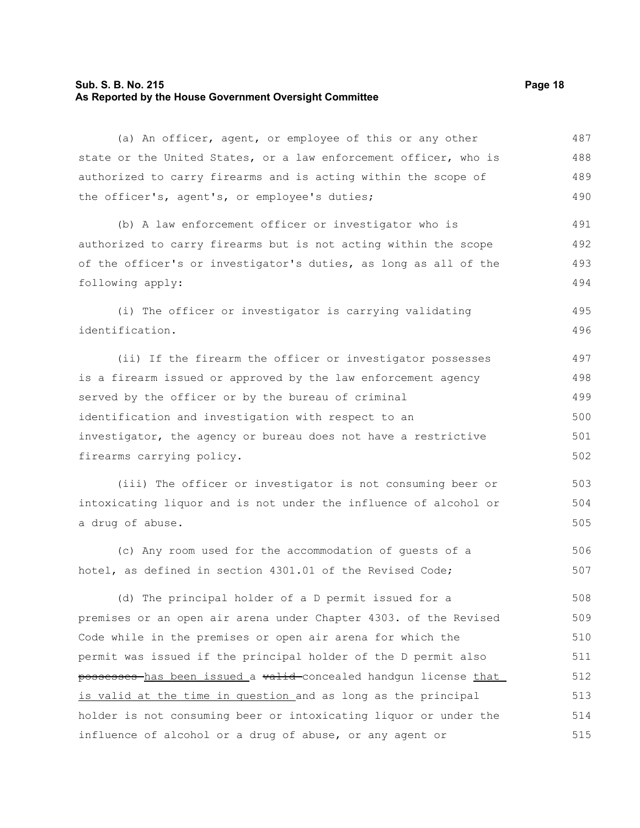#### **Sub. S. B. No. 215 Page 18 As Reported by the House Government Oversight Committee**

state or the United States, or a law enforcement officer, who is authorized to carry firearms and is acting within the scope of the officer's, agent's, or employee's duties; (b) A law enforcement officer or investigator who is authorized to carry firearms but is not acting within the scope of the officer's or investigator's duties, as long as all of the following apply: (i) The officer or investigator is carrying validating identification. (ii) If the firearm the officer or investigator possesses is a firearm issued or approved by the law enforcement agency served by the officer or by the bureau of criminal identification and investigation with respect to an investigator, the agency or bureau does not have a restrictive firearms carrying policy. 488 489 490 491 492 493 494 495 496 497 498 499 500 501 502

(a) An officer, agent, or employee of this or any other

(iii) The officer or investigator is not consuming beer or intoxicating liquor and is not under the influence of alcohol or a drug of abuse. 503 504 505

(c) Any room used for the accommodation of guests of a hotel, as defined in section 4301.01 of the Revised Code; 506 507

(d) The principal holder of a D permit issued for a premises or an open air arena under Chapter 4303. of the Revised Code while in the premises or open air arena for which the permit was issued if the principal holder of the D permit also possesses has been issued a valid concealed handgun license that is valid at the time in question and as long as the principal holder is not consuming beer or intoxicating liquor or under the influence of alcohol or a drug of abuse, or any agent or 508 509 510 511 512 513 514 515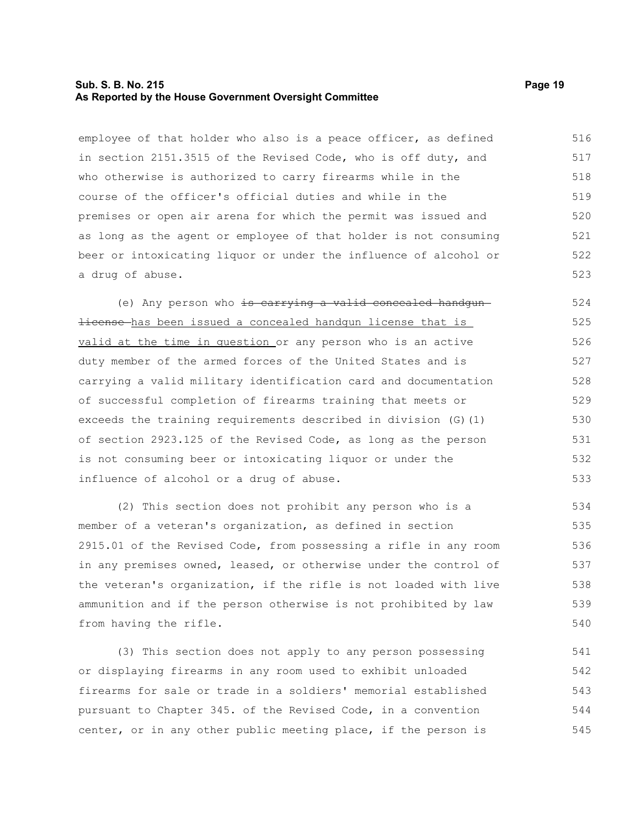#### **Sub. S. B. No. 215 Page 19 As Reported by the House Government Oversight Committee**

employee of that holder who also is a peace officer, as defined in section 2151.3515 of the Revised Code, who is off duty, and who otherwise is authorized to carry firearms while in the course of the officer's official duties and while in the premises or open air arena for which the permit was issued and as long as the agent or employee of that holder is not consuming beer or intoxicating liquor or under the influence of alcohol or a drug of abuse. 516 517 518 519 520 521 522 523

(e) Any person who is carrying a valid concealed handgunlicense has been issued a concealed handgun license that is valid at the time in question or any person who is an active duty member of the armed forces of the United States and is carrying a valid military identification card and documentation of successful completion of firearms training that meets or exceeds the training requirements described in division (G)(1) of section 2923.125 of the Revised Code, as long as the person is not consuming beer or intoxicating liquor or under the influence of alcohol or a drug of abuse.

(2) This section does not prohibit any person who is a member of a veteran's organization, as defined in section 2915.01 of the Revised Code, from possessing a rifle in any room in any premises owned, leased, or otherwise under the control of the veteran's organization, if the rifle is not loaded with live ammunition and if the person otherwise is not prohibited by law from having the rifle.

(3) This section does not apply to any person possessing or displaying firearms in any room used to exhibit unloaded firearms for sale or trade in a soldiers' memorial established pursuant to Chapter 345. of the Revised Code, in a convention center, or in any other public meeting place, if the person is 541 542 543 544 545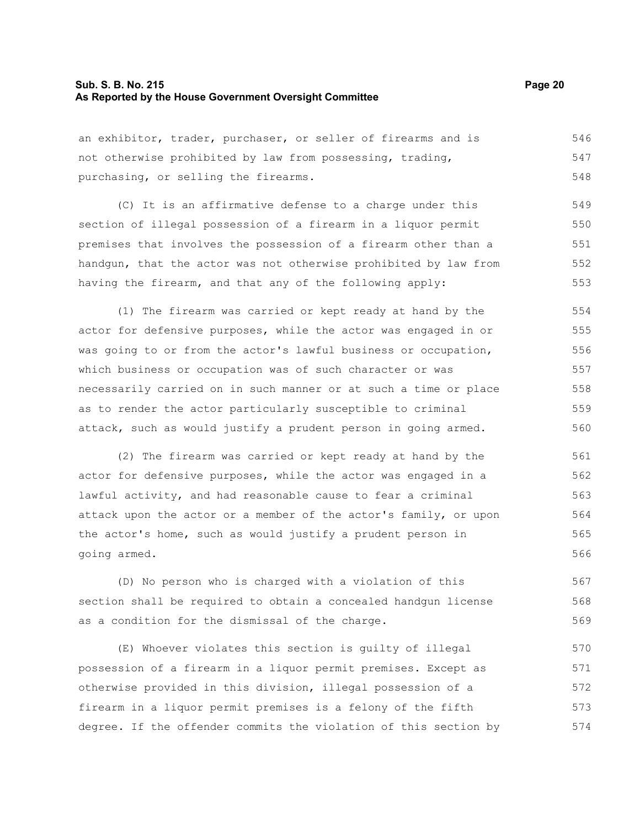#### **Sub. S. B. No. 215 Page 20 As Reported by the House Government Oversight Committee**

an exhibitor, trader, purchaser, or seller of firearms and is not otherwise prohibited by law from possessing, trading, purchasing, or selling the firearms. 546 547

(C) It is an affirmative defense to a charge under this section of illegal possession of a firearm in a liquor permit premises that involves the possession of a firearm other than a handgun, that the actor was not otherwise prohibited by law from having the firearm, and that any of the following apply: 549 550 551 552 553

(1) The firearm was carried or kept ready at hand by the actor for defensive purposes, while the actor was engaged in or was going to or from the actor's lawful business or occupation, which business or occupation was of such character or was necessarily carried on in such manner or at such a time or place as to render the actor particularly susceptible to criminal attack, such as would justify a prudent person in going armed. 554 555 556 557 558 559 560

(2) The firearm was carried or kept ready at hand by the actor for defensive purposes, while the actor was engaged in a lawful activity, and had reasonable cause to fear a criminal attack upon the actor or a member of the actor's family, or upon the actor's home, such as would justify a prudent person in going armed. 561 562 563 564 565 566

(D) No person who is charged with a violation of this section shall be required to obtain a concealed handgun license as a condition for the dismissal of the charge. 567 568 569

(E) Whoever violates this section is guilty of illegal possession of a firearm in a liquor permit premises. Except as otherwise provided in this division, illegal possession of a firearm in a liquor permit premises is a felony of the fifth degree. If the offender commits the violation of this section by 570 571 572 573 574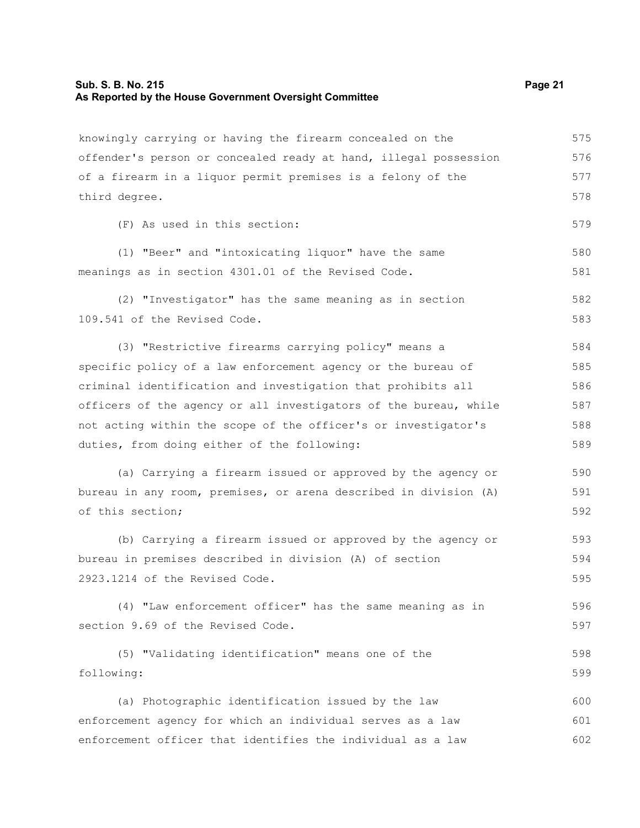## **Sub. S. B. No. 215 Page 21 As Reported by the House Government Oversight Committee**

| knowingly carrying or having the firearm concealed on the        | 575 |
|------------------------------------------------------------------|-----|
| offender's person or concealed ready at hand, illegal possession | 576 |
| of a firearm in a liquor permit premises is a felony of the      | 577 |
| third degree.                                                    | 578 |
| (F) As used in this section:                                     | 579 |
| (1) "Beer" and "intoxicating liquor" have the same               | 580 |
| meanings as in section 4301.01 of the Revised Code.              | 581 |
| (2) "Investigator" has the same meaning as in section            | 582 |
| 109.541 of the Revised Code.                                     | 583 |
| (3) "Restrictive firearms carrying policy" means a               | 584 |
| specific policy of a law enforcement agency or the bureau of     | 585 |
| criminal identification and investigation that prohibits all     | 586 |
| officers of the agency or all investigators of the bureau, while | 587 |
| not acting within the scope of the officer's or investigator's   | 588 |
| duties, from doing either of the following:                      | 589 |
| (a) Carrying a firearm issued or approved by the agency or       | 590 |
| bureau in any room, premises, or arena described in division (A) | 591 |
| of this section;                                                 | 592 |
| (b) Carrying a firearm issued or approved by the agency or       | 593 |
| bureau in premises described in division (A) of section          | 594 |
| 2923.1214 of the Revised Code.                                   | 595 |
| (4) "Law enforcement officer" has the same meaning as in         | 596 |
| section 9.69 of the Revised Code.                                | 597 |
| (5) "Validating identification" means one of the                 | 598 |
| following:                                                       | 599 |
| (a) Photographic identification issued by the law                | 600 |
| enforcement agency for which an individual serves as a law       | 601 |
| enforcement officer that identifies the individual as a law      | 602 |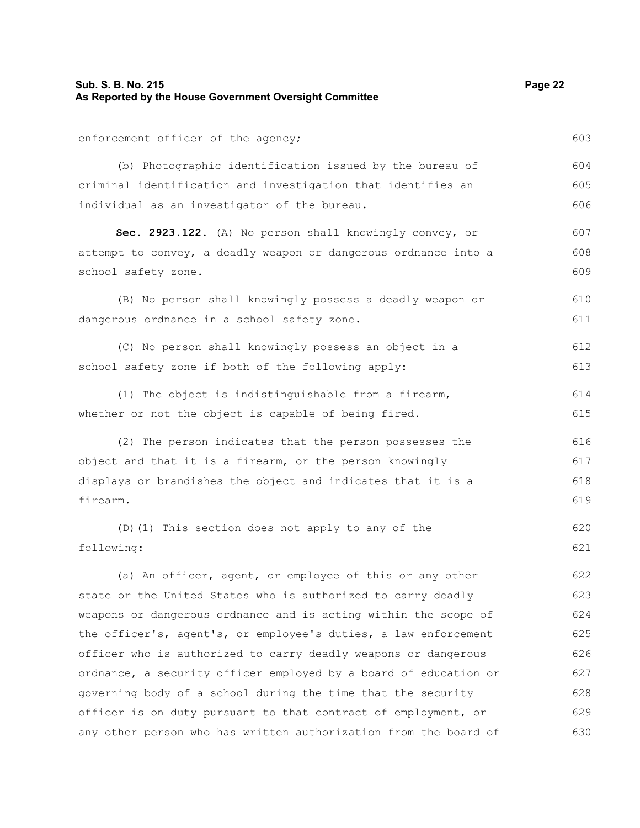| Sub. S. B. No. 215<br>As Reported by the House Government Oversight Committee | Page 22 |
|-------------------------------------------------------------------------------|---------|
| enforcement officer of the agency;                                            | 603     |
| (b) Photographic identification issued by the bureau of                       | 604     |
| criminal identification and investigation that identifies an                  | 605     |
| individual as an investigator of the bureau.                                  | 606     |
| Sec. 2923.122. (A) No person shall knowingly convey, or                       | 607     |
| attempt to convey, a deadly weapon or dangerous ordnance into a               | 608     |
| school safety zone.                                                           | 609     |
| (B) No person shall knowingly possess a deadly weapon or                      | 610     |
| dangerous ordnance in a school safety zone.                                   | 611     |
| (C) No person shall knowingly possess an object in a                          | 612     |
| school safety zone if both of the following apply:                            | 613     |
| (1) The object is indistinguishable from a firearm,                           | 614     |
| whether or not the object is capable of being fired.                          | 615     |
| (2) The person indicates that the person possesses the                        | 616     |
| object and that it is a firearm, or the person knowingly                      | 617     |
| displays or brandishes the object and indicates that it is a                  | 618     |
| firearm.                                                                      | 619     |
| (D) (1) This section does not apply to any of the                             | 620     |
| following:                                                                    | 621     |
| (a) An officer, agent, or employee of this or any other                       | 622     |
| state or the United States who is authorized to carry deadly                  | 623     |
| weapons or dangerous ordnance and is acting within the scope of               | 624     |
| the officer's, agent's, or employee's duties, a law enforcement               | 625     |
| officer who is authorized to carry deadly weapons or dangerous                | 626     |
| ordnance, a security officer employed by a board of education or              | 627     |
| governing body of a school during the time that the security                  | 628     |
| officer is on duty pursuant to that contract of employment, or                | 629     |
| any other person who has written authorization from the board of              | 630     |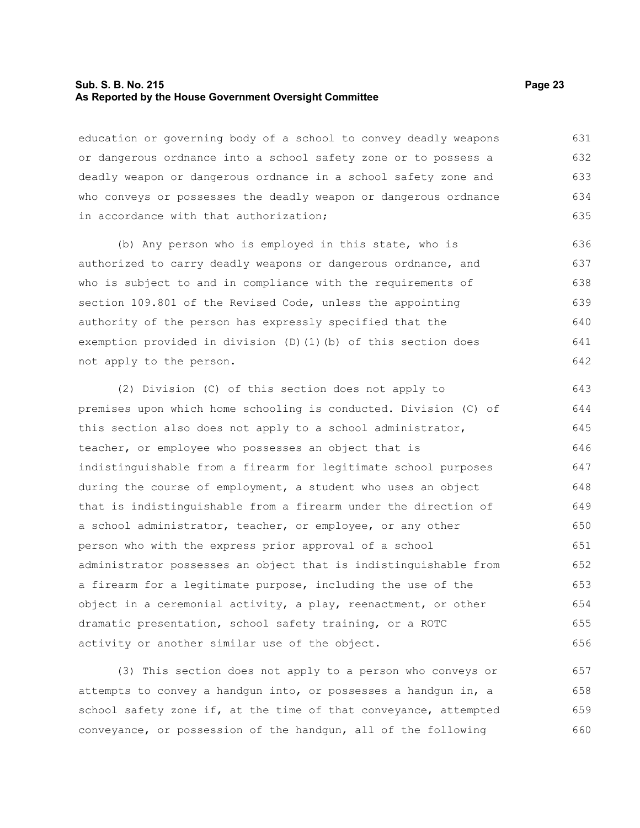#### **Sub. S. B. No. 215 Page 23 As Reported by the House Government Oversight Committee**

education or governing body of a school to convey deadly weapons or dangerous ordnance into a school safety zone or to possess a deadly weapon or dangerous ordnance in a school safety zone and who conveys or possesses the deadly weapon or dangerous ordnance in accordance with that authorization; 631 632 633 634 635

(b) Any person who is employed in this state, who is authorized to carry deadly weapons or dangerous ordnance, and who is subject to and in compliance with the requirements of section 109.801 of the Revised Code, unless the appointing authority of the person has expressly specified that the exemption provided in division (D)(1)(b) of this section does not apply to the person. 636 637 638 639 640 641 642

(2) Division (C) of this section does not apply to premises upon which home schooling is conducted. Division (C) of this section also does not apply to a school administrator, teacher, or employee who possesses an object that is indistinguishable from a firearm for legitimate school purposes during the course of employment, a student who uses an object that is indistinguishable from a firearm under the direction of a school administrator, teacher, or employee, or any other person who with the express prior approval of a school administrator possesses an object that is indistinguishable from a firearm for a legitimate purpose, including the use of the object in a ceremonial activity, a play, reenactment, or other dramatic presentation, school safety training, or a ROTC activity or another similar use of the object. 643 644 645 646 647 648 649 650 651 652 653 654 655 656

(3) This section does not apply to a person who conveys or attempts to convey a handgun into, or possesses a handgun in, a school safety zone if, at the time of that conveyance, attempted conveyance, or possession of the handgun, all of the following 657 658 659 660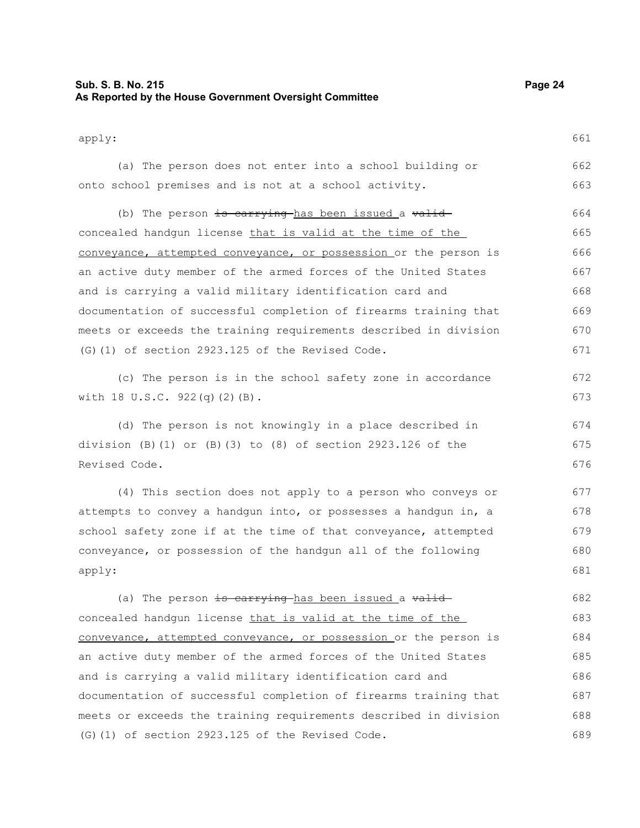### **Sub. S. B. No. 215 Page 24 As Reported by the House Government Oversight Committee**

| ⊣ |  |
|---|--|
|   |  |

672 673

|  | (a) The person does not enter into a school building or | 662 |
|--|---------------------------------------------------------|-----|
|  | onto school premises and is not at a school activity.   | 663 |
|  | (b) The person is carrying has been issued a valid      | 664 |

concealed handgun license that is valid at the time of the conveyance, attempted conveyance, or possession or the person is an active duty member of the armed forces of the United States and is carrying a valid military identification card and documentation of successful completion of firearms training that meets or exceeds the training requirements described in division (G)(1) of section 2923.125 of the Revised Code. 665 666 667 668 669 670 671

(c) The person is in the school safety zone in accordance with 18 U.S.C. 922(q)(2)(B).

(d) The person is not knowingly in a place described in division (B)(1) or (B)(3) to (8) of section 2923.126 of the Revised Code. 674 675 676

(4) This section does not apply to a person who conveys or attempts to convey a handgun into, or possesses a handgun in, a school safety zone if at the time of that conveyance, attempted conveyance, or possession of the handgun all of the following apply: 677 678 679 680 681

(a) The person is carrying has been issued a valid concealed handgun license that is valid at the time of the conveyance, attempted conveyance, or possession or the person is an active duty member of the armed forces of the United States and is carrying a valid military identification card and documentation of successful completion of firearms training that meets or exceeds the training requirements described in division (G)(1) of section 2923.125 of the Revised Code. 682 683 684 685 686 687 688 689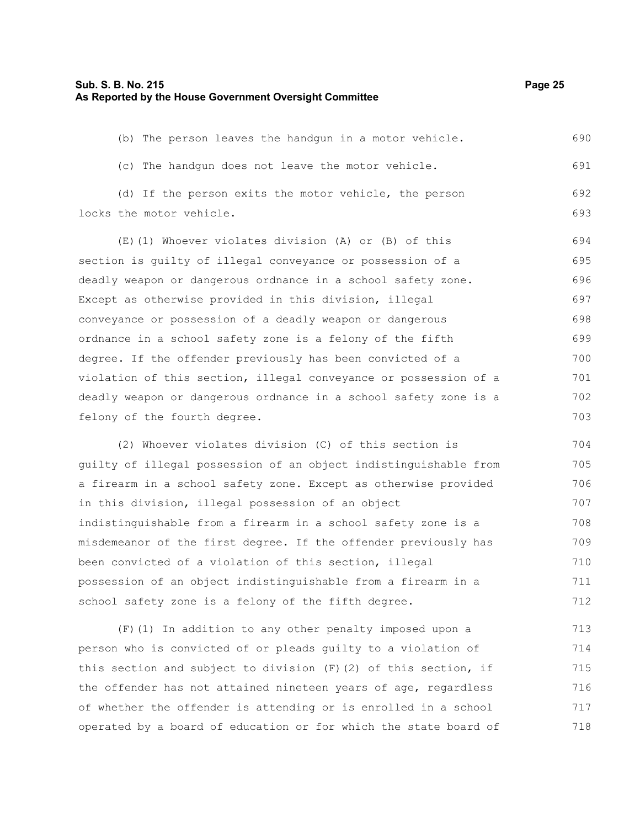| (b) The person leaves the handqun in a motor vehicle.            | 690 |
|------------------------------------------------------------------|-----|
| (c) The handgun does not leave the motor vehicle.                | 691 |
| (d) If the person exits the motor vehicle, the person            | 692 |
| locks the motor vehicle.                                         | 693 |
| (E)(1) Whoever violates division (A) or (B) of this              | 694 |
| section is quilty of illegal conveyance or possession of a       | 695 |
| deadly weapon or dangerous ordnance in a school safety zone.     | 696 |
| Except as otherwise provided in this division, illegal           | 697 |
| conveyance or possession of a deadly weapon or dangerous         | 698 |
| ordnance in a school safety zone is a felony of the fifth        | 699 |
| degree. If the offender previously has been convicted of a       | 700 |
| violation of this section, illegal conveyance or possession of a | 701 |
| deadly weapon or dangerous ordnance in a school safety zone is a | 702 |
| felony of the fourth degree.                                     | 703 |
|                                                                  |     |

(2) Whoever violates division (C) of this section is guilty of illegal possession of an object indistinguishable from a firearm in a school safety zone. Except as otherwise provided in this division, illegal possession of an object indistinguishable from a firearm in a school safety zone is a misdemeanor of the first degree. If the offender previously has been convicted of a violation of this section, illegal possession of an object indistinguishable from a firearm in a school safety zone is a felony of the fifth degree. 704 705 706 707 708 709 710 711 712

(F)(1) In addition to any other penalty imposed upon a person who is convicted of or pleads guilty to a violation of this section and subject to division  $(F)(2)$  of this section, if the offender has not attained nineteen years of age, regardless of whether the offender is attending or is enrolled in a school operated by a board of education or for which the state board of 713 714 715 716 717 718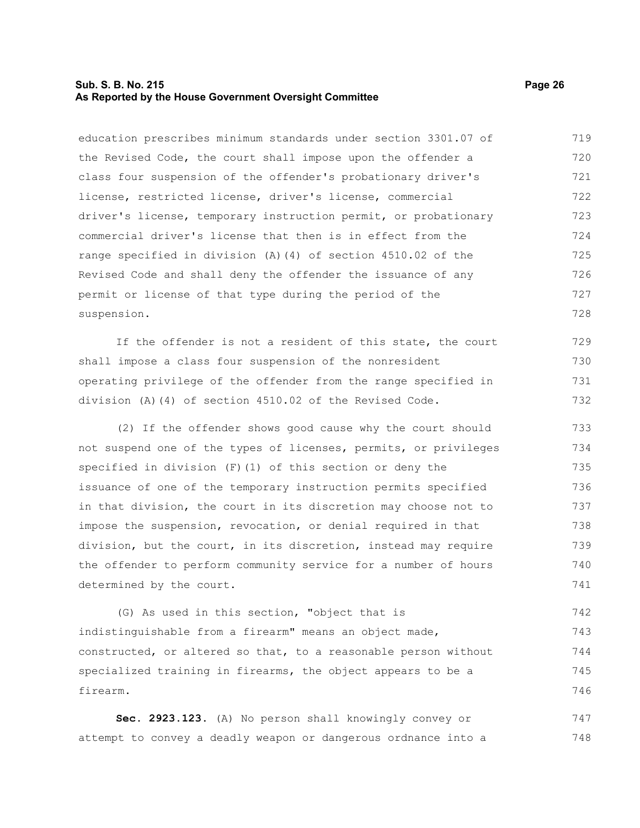#### **Sub. S. B. No. 215 Page 26 As Reported by the House Government Oversight Committee**

education prescribes minimum standards under section 3301.07 of the Revised Code, the court shall impose upon the offender a class four suspension of the offender's probationary driver's license, restricted license, driver's license, commercial driver's license, temporary instruction permit, or probationary commercial driver's license that then is in effect from the range specified in division (A)(4) of section 4510.02 of the Revised Code and shall deny the offender the issuance of any permit or license of that type during the period of the suspension. 719 720 721 722 723 724 725 726 727 728

If the offender is not a resident of this state, the court shall impose a class four suspension of the nonresident operating privilege of the offender from the range specified in division (A)(4) of section 4510.02 of the Revised Code. 729 730 731 732

(2) If the offender shows good cause why the court should not suspend one of the types of licenses, permits, or privileges specified in division (F)(1) of this section or deny the issuance of one of the temporary instruction permits specified in that division, the court in its discretion may choose not to impose the suspension, revocation, or denial required in that division, but the court, in its discretion, instead may require the offender to perform community service for a number of hours determined by the court. 733 734 735 736 737 738 739 740 741

(G) As used in this section, "object that is indistinguishable from a firearm" means an object made, constructed, or altered so that, to a reasonable person without specialized training in firearms, the object appears to be a firearm. 742 743 744 745 746

**Sec. 2923.123.** (A) No person shall knowingly convey or attempt to convey a deadly weapon or dangerous ordnance into a 747 748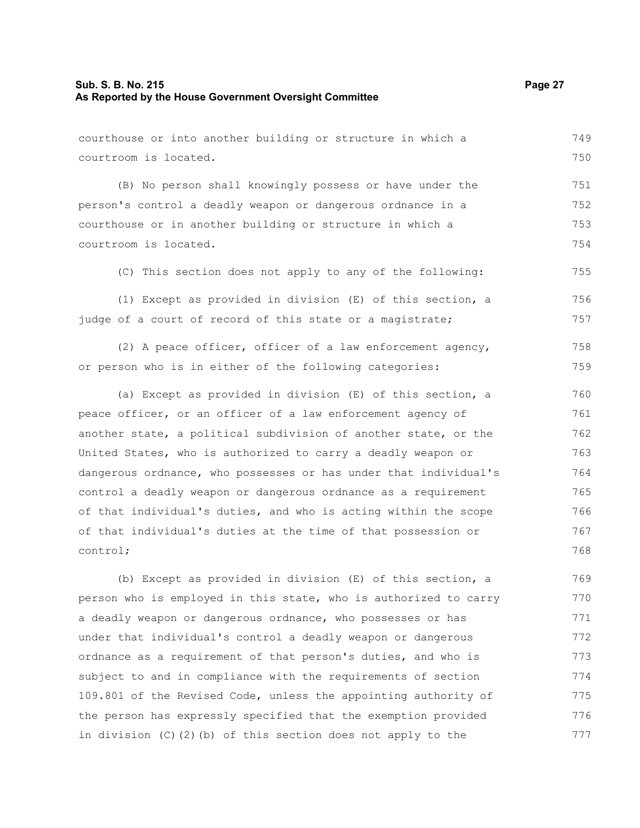courthouse or into another building or structure in which a courtroom is located. (B) No person shall knowingly possess or have under the person's control a deadly weapon or dangerous ordnance in a courthouse or in another building or structure in which a courtroom is located. (C) This section does not apply to any of the following: (1) Except as provided in division (E) of this section, a 749 750 751 752 753 754 755 756

judge of a court of record of this state or a magistrate; 757

(2) A peace officer, officer of a law enforcement agency, or person who is in either of the following categories: 758 759

(a) Except as provided in division (E) of this section, a peace officer, or an officer of a law enforcement agency of another state, a political subdivision of another state, or the United States, who is authorized to carry a deadly weapon or dangerous ordnance, who possesses or has under that individual's control a deadly weapon or dangerous ordnance as a requirement of that individual's duties, and who is acting within the scope of that individual's duties at the time of that possession or control; 760 761 762 763 764 765 766 767 768

(b) Except as provided in division (E) of this section, a person who is employed in this state, who is authorized to carry a deadly weapon or dangerous ordnance, who possesses or has under that individual's control a deadly weapon or dangerous ordnance as a requirement of that person's duties, and who is subject to and in compliance with the requirements of section 109.801 of the Revised Code, unless the appointing authority of the person has expressly specified that the exemption provided in division (C)(2)(b) of this section does not apply to the 769 770 771 772 773 774 775 776 777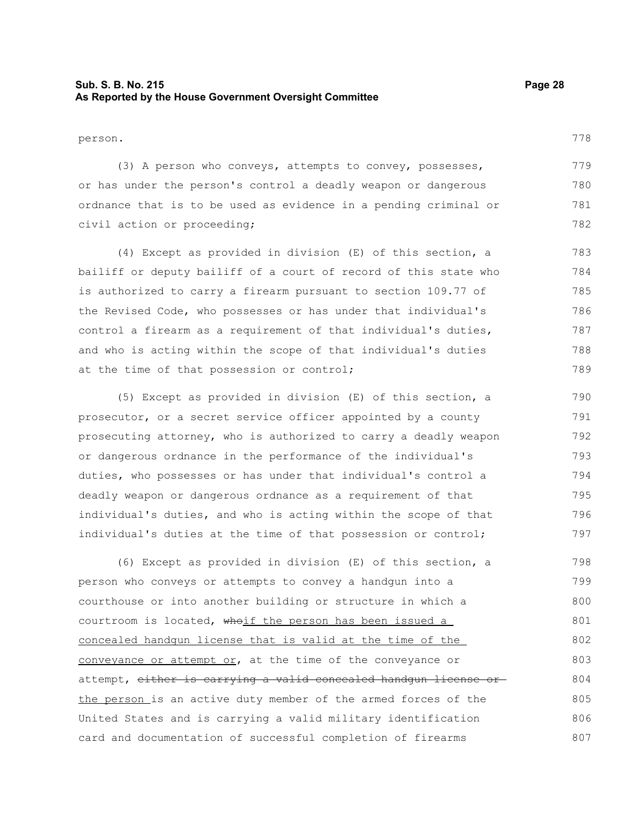### **Sub. S. B. No. 215 Page 28 As Reported by the House Government Oversight Committee**

person.

(3) A person who conveys, attempts to convey, possesses, or has under the person's control a deadly weapon or dangerous ordnance that is to be used as evidence in a pending criminal or civil action or proceeding; 779 780 781 782

(4) Except as provided in division (E) of this section, a bailiff or deputy bailiff of a court of record of this state who is authorized to carry a firearm pursuant to section 109.77 of the Revised Code, who possesses or has under that individual's control a firearm as a requirement of that individual's duties, and who is acting within the scope of that individual's duties at the time of that possession or control; 783 784 785 786 787 788 789

(5) Except as provided in division (E) of this section, a prosecutor, or a secret service officer appointed by a county prosecuting attorney, who is authorized to carry a deadly weapon or dangerous ordnance in the performance of the individual's duties, who possesses or has under that individual's control a deadly weapon or dangerous ordnance as a requirement of that individual's duties, and who is acting within the scope of that individual's duties at the time of that possession or control; 790 791 792 793 794 795 796 797

(6) Except as provided in division (E) of this section, a person who conveys or attempts to convey a handgun into a courthouse or into another building or structure in which a courtroom is located, whoif the person has been issued a concealed handgun license that is valid at the time of the conveyance or attempt or, at the time of the conveyance or attempt, either is carrying a valid concealed handgun license or the person is an active duty member of the armed forces of the United States and is carrying a valid military identification card and documentation of successful completion of firearms 798 799 800 801 802 803 804 805 806 807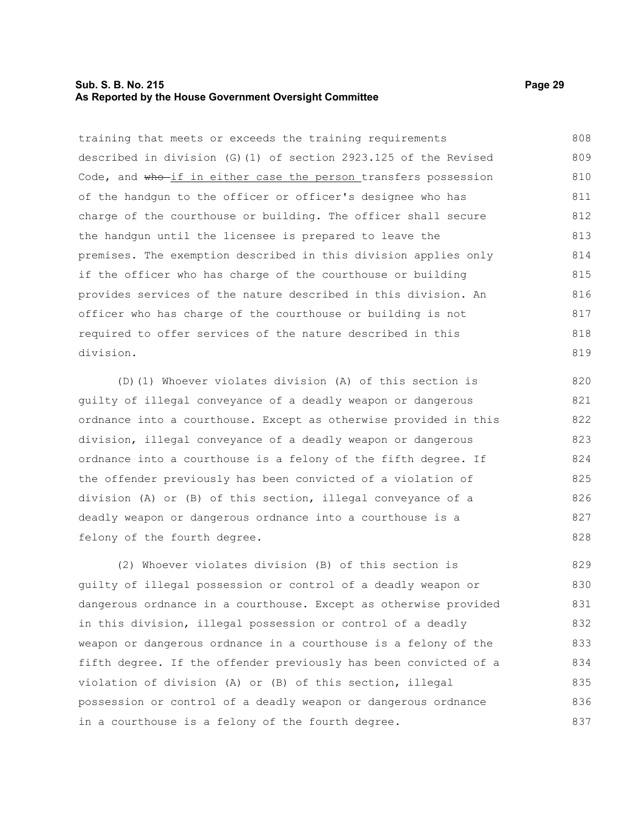#### **Sub. S. B. No. 215 Page 29 As Reported by the House Government Oversight Committee**

training that meets or exceeds the training requirements described in division (G)(1) of section 2923.125 of the Revised Code, and who if in either case the person transfers possession of the handgun to the officer or officer's designee who has charge of the courthouse or building. The officer shall secure the handgun until the licensee is prepared to leave the premises. The exemption described in this division applies only if the officer who has charge of the courthouse or building provides services of the nature described in this division. An officer who has charge of the courthouse or building is not required to offer services of the nature described in this division. 808 809 810 811 812 813 814 815 816 817 818 819

(D)(1) Whoever violates division (A) of this section is guilty of illegal conveyance of a deadly weapon or dangerous ordnance into a courthouse. Except as otherwise provided in this division, illegal conveyance of a deadly weapon or dangerous ordnance into a courthouse is a felony of the fifth degree. If the offender previously has been convicted of a violation of division (A) or (B) of this section, illegal conveyance of a deadly weapon or dangerous ordnance into a courthouse is a felony of the fourth degree. 820 821 822 823 824 825 826 827 828

(2) Whoever violates division (B) of this section is guilty of illegal possession or control of a deadly weapon or dangerous ordnance in a courthouse. Except as otherwise provided in this division, illegal possession or control of a deadly weapon or dangerous ordnance in a courthouse is a felony of the fifth degree. If the offender previously has been convicted of a violation of division (A) or (B) of this section, illegal possession or control of a deadly weapon or dangerous ordnance in a courthouse is a felony of the fourth degree. 829 830 831 832 833 834 835 836 837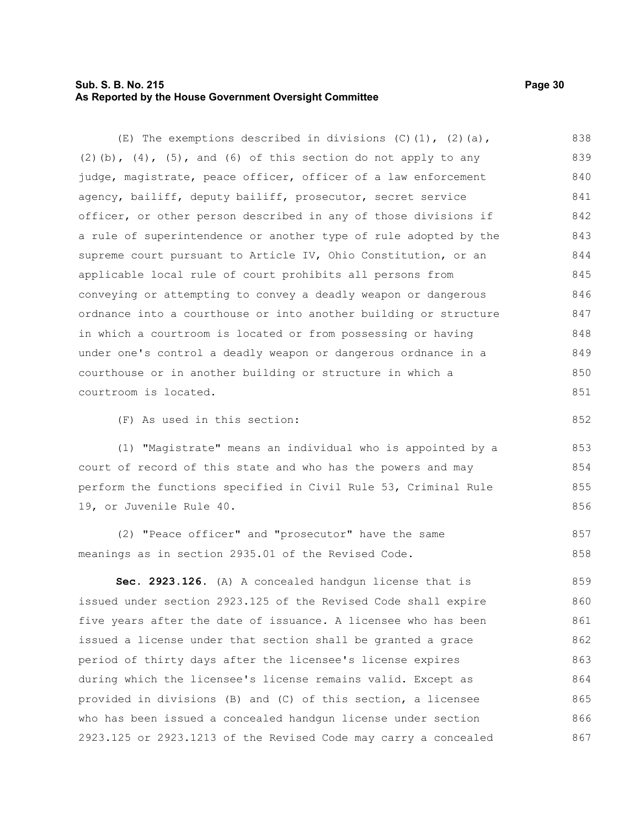### **Sub. S. B. No. 215 Page 30 As Reported by the House Government Oversight Committee**

(E) The exemptions described in divisions  $(C)$   $(1)$ ,  $(2)$   $(a)$ ,  $(2)$  (b),  $(4)$ ,  $(5)$ , and  $(6)$  of this section do not apply to any judge, magistrate, peace officer, officer of a law enforcement agency, bailiff, deputy bailiff, prosecutor, secret service officer, or other person described in any of those divisions if a rule of superintendence or another type of rule adopted by the supreme court pursuant to Article IV, Ohio Constitution, or an applicable local rule of court prohibits all persons from conveying or attempting to convey a deadly weapon or dangerous ordnance into a courthouse or into another building or structure in which a courtroom is located or from possessing or having under one's control a deadly weapon or dangerous ordnance in a courthouse or in another building or structure in which a 838 839 840 841 842 843 844 845 846 847 848 849 850

(F) As used in this section:

courtroom is located.

852

851

(1) "Magistrate" means an individual who is appointed by a court of record of this state and who has the powers and may perform the functions specified in Civil Rule 53, Criminal Rule 19, or Juvenile Rule 40. 853 854 855 856

(2) "Peace officer" and "prosecutor" have the same meanings as in section 2935.01 of the Revised Code. 857 858

**Sec. 2923.126.** (A) A concealed handgun license that is issued under section 2923.125 of the Revised Code shall expire five years after the date of issuance. A licensee who has been issued a license under that section shall be granted a grace period of thirty days after the licensee's license expires during which the licensee's license remains valid. Except as provided in divisions (B) and (C) of this section, a licensee who has been issued a concealed handgun license under section 2923.125 or 2923.1213 of the Revised Code may carry a concealed 859 860 861 862 863 864 865 866 867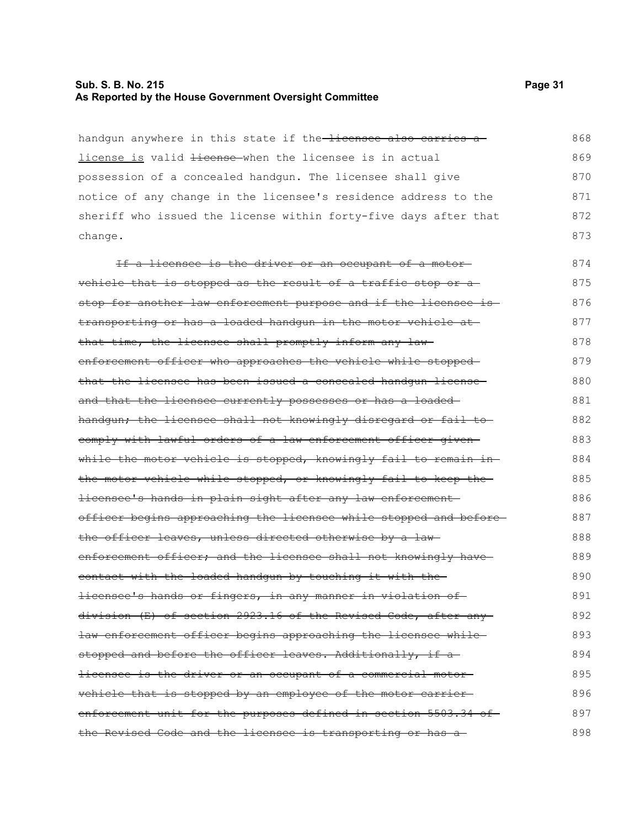## **Sub. S. B. No. 215 Page 31 As Reported by the House Government Oversight Committee**

| handgun anywhere in this state if the-licensee also carries a         | 868 |
|-----------------------------------------------------------------------|-----|
| license is valid <del>license</del> -when the licensee is in actual   | 869 |
| possession of a concealed handgun. The licensee shall give            | 870 |
| notice of any change in the licensee's residence address to the       | 871 |
| sheriff who issued the license within forty-five days after that      | 872 |
| change.                                                               | 873 |
| <del>If a licensee is the driver or an occupant of a motor-</del>     | 874 |
| vehicle that is stopped as the result of a traffic stop or a          | 875 |
| stop for another law enforcement purpose and if the licensee is-      | 876 |
| transporting or has a loaded handgun in the motor vehicle at          | 877 |
| that time, the licensee shall promptly inform any law-                | 878 |
| enforcement officer who approaches the vehicle while stopped-         | 879 |
| that the licensee has been issued a concealed handgun license         | 880 |
| and that the licensee currently possesses or has a loaded-            | 881 |
| handgun; the licensee shall not knowingly disregard or fail to        | 882 |
| comply with lawful orders of a law enforcement officer given-         | 883 |
| while the motor vehicle is stopped, knowingly fail to remain in-      | 884 |
| the motor vehicle while stopped, or knowingly fail to keep the        | 885 |
| licensee's hands in plain sight after any law enforcement-            | 886 |
| officer begins approaching the licensee while stopped and before-     | 887 |
| the officer leaves, unless directed otherwise by a law-               | 888 |
| enforcement officer; and the licensee shall not knowingly have-       | 889 |
| contact with the loaded handgun by touching it with the               | 890 |
| <del>licensee's hands or fingers, in any manner in violation of</del> | 891 |
| division (E) of section 2923.16 of the Revised Code, after any        | 892 |
| law enforcement officer begins approaching the licensee while-        | 893 |
| stopped and before the officer leaves. Additionally, if a             | 894 |
| licensee is the driver or an occupant of a commercial motor-          | 895 |
| vehicle that is stopped by an employee of the motor carrier           | 896 |
| enforcement unit for the purposes defined in section 5503.34 of       | 897 |
| the Revised Code and the licensee is transporting or has a-           | 898 |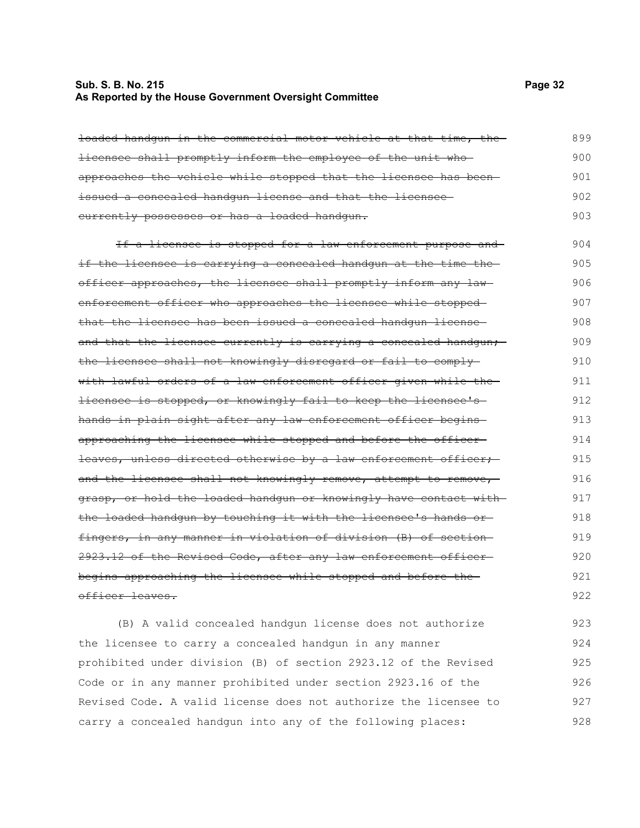#### **Sub. S. B. No. 215 Page 32 As Reported by the House Government Oversight Committee**

loaded handgun in the commercial motor vehicle at that time, the licensee shall promptly inform the employee of the unit who approaches the vehicle while stopped that the licensee has been

|                                              | issued a concealed handgun license and that the licensee- | 902 |
|----------------------------------------------|-----------------------------------------------------------|-----|
| eurrently possesses or has a loaded handgun. |                                                           | 903 |

If a licensee is stopped for a law enforcement purpose and if the licensee is carrying a concealed handgun at the time the officer approaches, the licensee shall promptly inform any law enforcement officer who approaches the licensee while stopped that the licensee has been issued a concealed handgun license and that the licensee currently is carrying a concealed handgun; the licensee shall not knowingly disregard or fail to comply with lawful orders of a law enforcement officer given while the licensee is stopped, or knowingly fail to keep the licensee's hands in plain sight after any law enforcement officer begins approaching the licensee while stopped and before the officer leaves, unless directed otherwise by a law enforcement officer; and the licensee shall not knowingly remove, attempt to remove,grasp, or hold the loaded handgun or knowingly have contact with the loaded handgun by touching it with the licensee's hands or fingers, in any manner in violation of division (B) of section 2923.12 of the Revised Code, after any law enforcement officer begins approaching the licensee while stopped and before the officer leaves. 904 905 906 907 908 909 910 911 912 913 914 915 916 917 918 919 920 921 922

(B) A valid concealed handgun license does not authorize the licensee to carry a concealed handgun in any manner prohibited under division (B) of section 2923.12 of the Revised Code or in any manner prohibited under section 2923.16 of the Revised Code. A valid license does not authorize the licensee to carry a concealed handgun into any of the following places: 923 924 925 926 927 928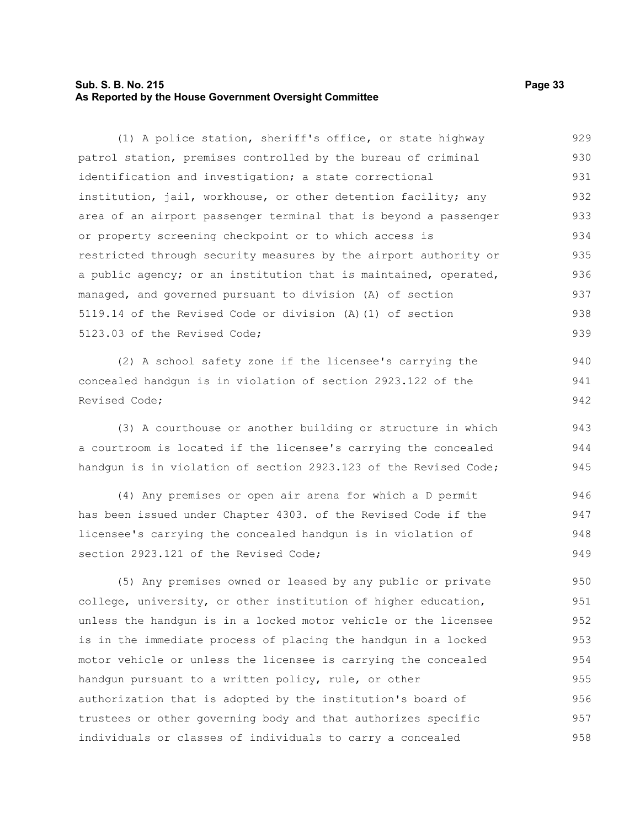#### **Sub. S. B. No. 215 Page 33 As Reported by the House Government Oversight Committee**

(1) A police station, sheriff's office, or state highway patrol station, premises controlled by the bureau of criminal identification and investigation; a state correctional institution, jail, workhouse, or other detention facility; any area of an airport passenger terminal that is beyond a passenger or property screening checkpoint or to which access is restricted through security measures by the airport authority or a public agency; or an institution that is maintained, operated, managed, and governed pursuant to division (A) of section 5119.14 of the Revised Code or division (A)(1) of section 5123.03 of the Revised Code; 929 930 931 932 933 934 935 936 937 938 939

(2) A school safety zone if the licensee's carrying the concealed handgun is in violation of section 2923.122 of the Revised Code;

(3) A courthouse or another building or structure in which a courtroom is located if the licensee's carrying the concealed handgun is in violation of section 2923.123 of the Revised Code;

(4) Any premises or open air arena for which a D permit has been issued under Chapter 4303. of the Revised Code if the licensee's carrying the concealed handgun is in violation of section 2923.121 of the Revised Code; 946 947 948 949

(5) Any premises owned or leased by any public or private college, university, or other institution of higher education, unless the handgun is in a locked motor vehicle or the licensee is in the immediate process of placing the handgun in a locked motor vehicle or unless the licensee is carrying the concealed handgun pursuant to a written policy, rule, or other authorization that is adopted by the institution's board of trustees or other governing body and that authorizes specific individuals or classes of individuals to carry a concealed 950 951 952 953 954 955 956 957 958

940 941 942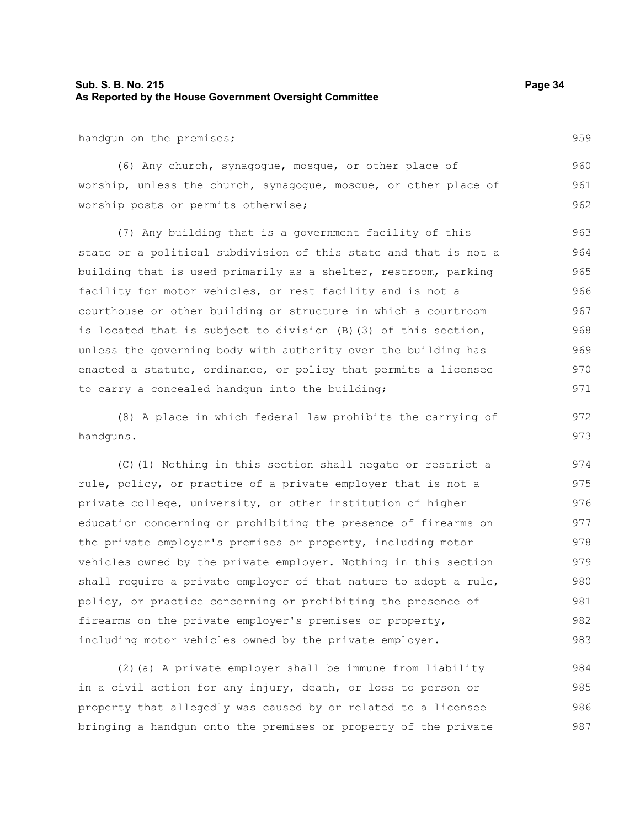### **Sub. S. B. No. 215 Page 34 As Reported by the House Government Oversight Committee**

handgun on the premises;

959

972 973

| (6) Any church, synagogue, mosque, or other place of             | 960 |  |  |  |  |  |  |
|------------------------------------------------------------------|-----|--|--|--|--|--|--|
| worship, unless the church, synagogue, mosque, or other place of | 961 |  |  |  |  |  |  |
| worship posts or permits otherwise;                              |     |  |  |  |  |  |  |

(7) Any building that is a government facility of this state or a political subdivision of this state and that is not a building that is used primarily as a shelter, restroom, parking facility for motor vehicles, or rest facility and is not a courthouse or other building or structure in which a courtroom is located that is subject to division (B)(3) of this section, unless the governing body with authority over the building has enacted a statute, ordinance, or policy that permits a licensee to carry a concealed handgun into the building; 963 964 965 966 967 968 969 970 971

(8) A place in which federal law prohibits the carrying of handguns.

(C)(1) Nothing in this section shall negate or restrict a rule, policy, or practice of a private employer that is not a private college, university, or other institution of higher education concerning or prohibiting the presence of firearms on the private employer's premises or property, including motor vehicles owned by the private employer. Nothing in this section shall require a private employer of that nature to adopt a rule, policy, or practice concerning or prohibiting the presence of firearms on the private employer's premises or property, including motor vehicles owned by the private employer. 974 975 976 977 978 979 980 981 982 983

(2)(a) A private employer shall be immune from liability in a civil action for any injury, death, or loss to person or property that allegedly was caused by or related to a licensee bringing a handgun onto the premises or property of the private 984 985 986 987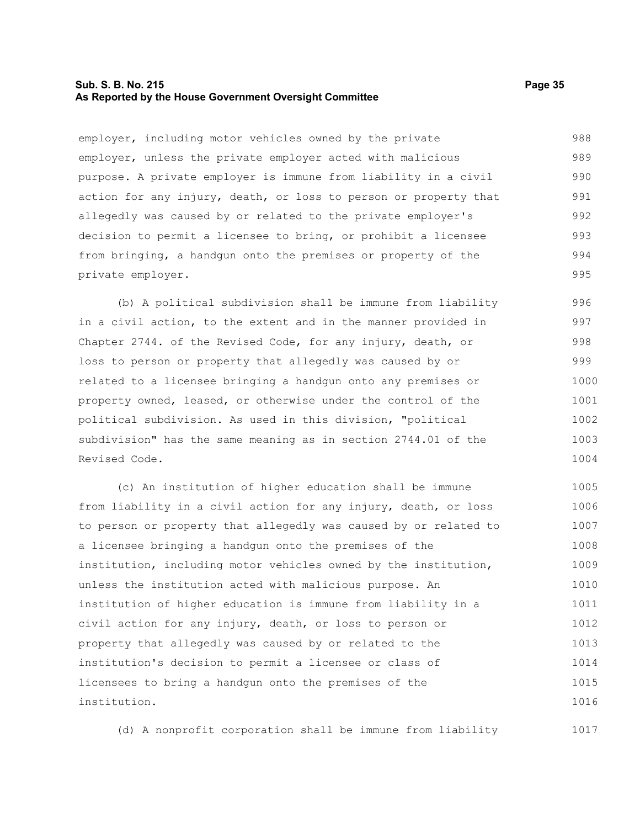#### **Sub. S. B. No. 215 Page 35 As Reported by the House Government Oversight Committee**

employer, including motor vehicles owned by the private employer, unless the private employer acted with malicious purpose. A private employer is immune from liability in a civil action for any injury, death, or loss to person or property that allegedly was caused by or related to the private employer's decision to permit a licensee to bring, or prohibit a licensee from bringing, a handgun onto the premises or property of the private employer. 988 989 990 991 992 993 994 995

(b) A political subdivision shall be immune from liability in a civil action, to the extent and in the manner provided in Chapter 2744. of the Revised Code, for any injury, death, or loss to person or property that allegedly was caused by or related to a licensee bringing a handgun onto any premises or property owned, leased, or otherwise under the control of the political subdivision. As used in this division, "political subdivision" has the same meaning as in section 2744.01 of the Revised Code. 996 997 998 999 1000 1001 1002 1003 1004

(c) An institution of higher education shall be immune from liability in a civil action for any injury, death, or loss to person or property that allegedly was caused by or related to a licensee bringing a handgun onto the premises of the institution, including motor vehicles owned by the institution, unless the institution acted with malicious purpose. An institution of higher education is immune from liability in a civil action for any injury, death, or loss to person or property that allegedly was caused by or related to the institution's decision to permit a licensee or class of licensees to bring a handgun onto the premises of the institution. 1005 1006 1007 1008 1009 1010 1011 1012 1013 1014 1015 1016

(d) A nonprofit corporation shall be immune from liability 1017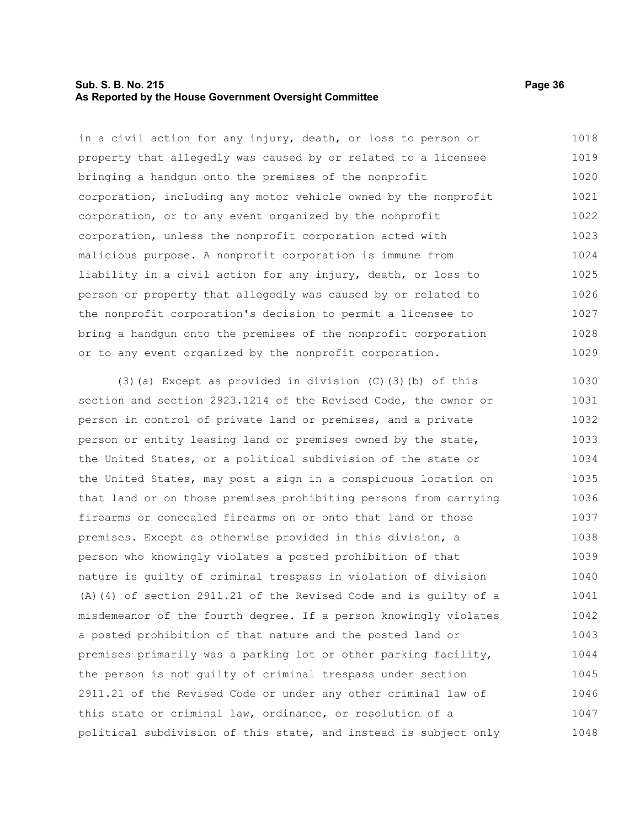#### **Sub. S. B. No. 215 Page 36 As Reported by the House Government Oversight Committee**

in a civil action for any injury, death, or loss to person or property that allegedly was caused by or related to a licensee bringing a handgun onto the premises of the nonprofit corporation, including any motor vehicle owned by the nonprofit corporation, or to any event organized by the nonprofit corporation, unless the nonprofit corporation acted with malicious purpose. A nonprofit corporation is immune from liability in a civil action for any injury, death, or loss to person or property that allegedly was caused by or related to the nonprofit corporation's decision to permit a licensee to bring a handgun onto the premises of the nonprofit corporation or to any event organized by the nonprofit corporation. 1018 1019 1020 1021 1022 1023 1024 1025 1026 1027 1028 1029

(3)(a) Except as provided in division (C)(3)(b) of this section and section 2923.1214 of the Revised Code, the owner or person in control of private land or premises, and a private person or entity leasing land or premises owned by the state, the United States, or a political subdivision of the state or the United States, may post a sign in a conspicuous location on that land or on those premises prohibiting persons from carrying firearms or concealed firearms on or onto that land or those premises. Except as otherwise provided in this division, a person who knowingly violates a posted prohibition of that nature is guilty of criminal trespass in violation of division (A)(4) of section 2911.21 of the Revised Code and is guilty of a misdemeanor of the fourth degree. If a person knowingly violates a posted prohibition of that nature and the posted land or premises primarily was a parking lot or other parking facility, the person is not guilty of criminal trespass under section 2911.21 of the Revised Code or under any other criminal law of this state or criminal law, ordinance, or resolution of a political subdivision of this state, and instead is subject only 1030 1031 1032 1033 1034 1035 1036 1037 1038 1039 1040 1041 1042 1043 1044 1045 1046 1047 1048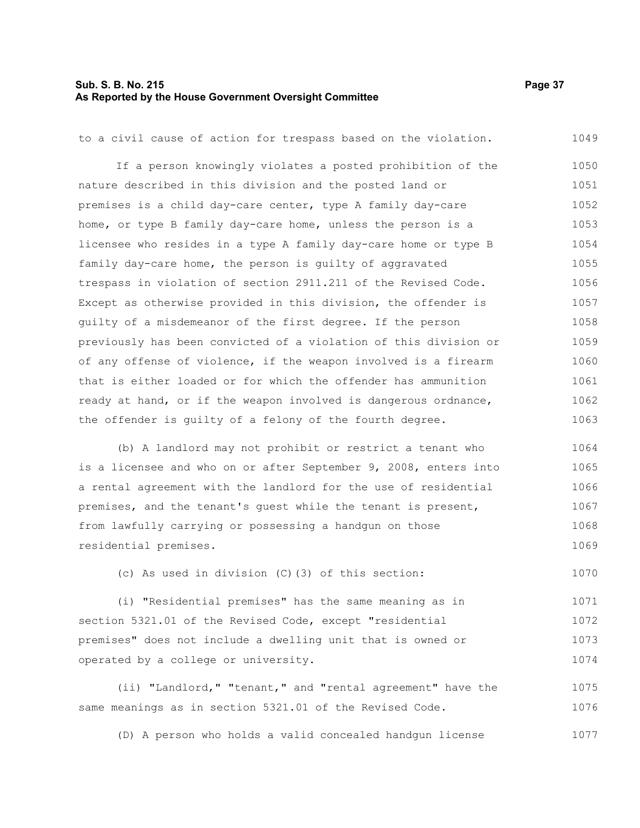## **Sub. S. B. No. 215** Page 37 **As Reported by the House Government Oversight Committee**

| to a civil cause of action for trespass based on the violation.  | 1049 |
|------------------------------------------------------------------|------|
| If a person knowingly violates a posted prohibition of the       | 1050 |
| nature described in this division and the posted land or         | 1051 |
| premises is a child day-care center, type A family day-care      | 1052 |
| home, or type B family day-care home, unless the person is a     | 1053 |
| licensee who resides in a type A family day-care home or type B  | 1054 |
| family day-care home, the person is quilty of aggravated         | 1055 |
| trespass in violation of section 2911.211 of the Revised Code.   | 1056 |
| Except as otherwise provided in this division, the offender is   | 1057 |
| guilty of a misdemeanor of the first degree. If the person       | 1058 |
| previously has been convicted of a violation of this division or | 1059 |
| of any offense of violence, if the weapon involved is a firearm  | 1060 |
| that is either loaded or for which the offender has ammunition   | 1061 |
| ready at hand, or if the weapon involved is dangerous ordnance,  | 1062 |
| the offender is quilty of a felony of the fourth degree.         | 1063 |
| (b) A landlord may not prohibit or restrict a tenant who         | 1064 |
| is a licensee and who on or after September 9, 2008, enters into | 1065 |
| a rental agreement with the landlord for the use of residential  | 1066 |
| premises, and the tenant's quest while the tenant is present,    | 1067 |
|                                                                  |      |
| from lawfully carrying or possessing a handgun on those          | 1068 |
| residential premises.                                            | 1069 |
| (c) As used in division (C) (3) of this section:                 | 1070 |
| (i) "Residential premises" has the same meaning as in            | 1071 |
| section 5321.01 of the Revised Code, except "residential         | 1072 |
| premises" does not include a dwelling unit that is owned or      | 1073 |
| operated by a college or university.                             | 1074 |
| (ii) "Landlord," "tenant," and "rental agreement" have the       | 1075 |
| same meanings as in section 5321.01 of the Revised Code.         | 1076 |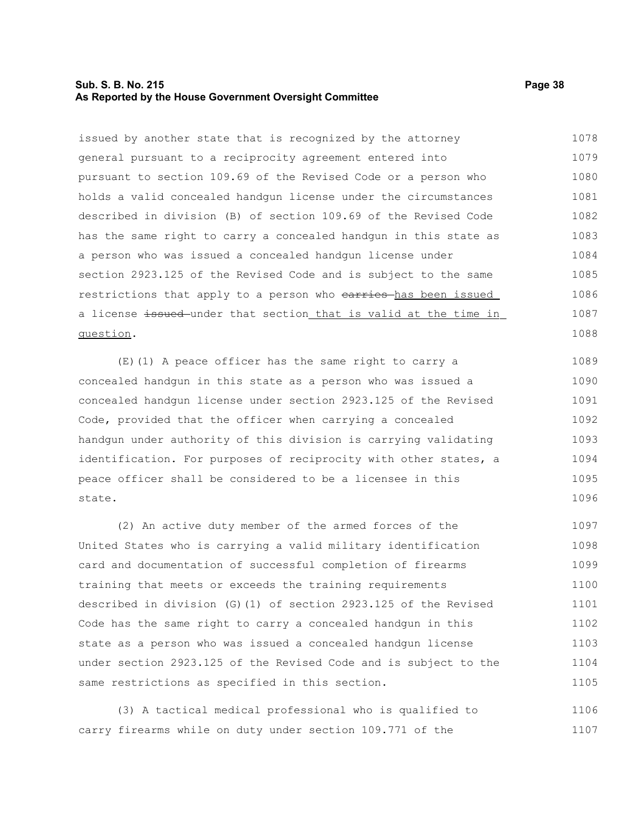#### **Sub. S. B. No. 215 Page 38 As Reported by the House Government Oversight Committee**

issued by another state that is recognized by the attorney general pursuant to a reciprocity agreement entered into pursuant to section 109.69 of the Revised Code or a person who holds a valid concealed handgun license under the circumstances described in division (B) of section 109.69 of the Revised Code has the same right to carry a concealed handgun in this state as a person who was issued a concealed handgun license under section 2923.125 of the Revised Code and is subject to the same restrictions that apply to a person who earries has been issued a license issued under that section that is valid at the time in question. 1078 1079 1080 1081 1082 1083 1084 1085 1086 1087 1088

(E)(1) A peace officer has the same right to carry a concealed handgun in this state as a person who was issued a concealed handgun license under section 2923.125 of the Revised Code, provided that the officer when carrying a concealed handgun under authority of this division is carrying validating identification. For purposes of reciprocity with other states, a peace officer shall be considered to be a licensee in this state. 1089 1090 1091 1092 1093 1094 1095 1096

(2) An active duty member of the armed forces of the United States who is carrying a valid military identification card and documentation of successful completion of firearms training that meets or exceeds the training requirements described in division (G)(1) of section 2923.125 of the Revised Code has the same right to carry a concealed handgun in this state as a person who was issued a concealed handgun license under section 2923.125 of the Revised Code and is subject to the same restrictions as specified in this section. 1097 1098 1099 1100 1101 1102 1103 1104 1105

(3) A tactical medical professional who is qualified to carry firearms while on duty under section 109.771 of the 1106 1107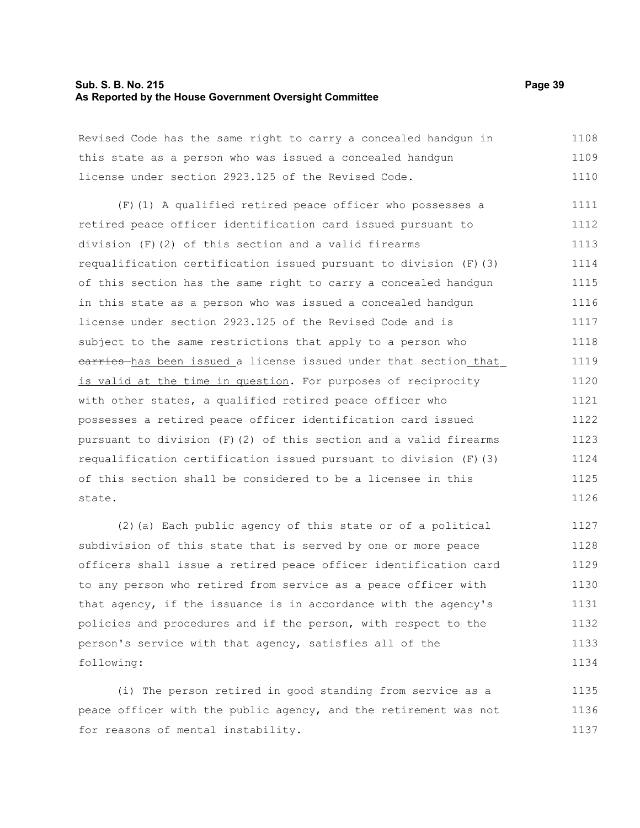#### **Sub. S. B. No. 215 Page 39 As Reported by the House Government Oversight Committee**

Revised Code has the same right to carry a concealed handgun in this state as a person who was issued a concealed handgun license under section 2923.125 of the Revised Code. 1108 1109 1110

(F)(1) A qualified retired peace officer who possesses a retired peace officer identification card issued pursuant to division (F)(2) of this section and a valid firearms requalification certification issued pursuant to division (F)(3) of this section has the same right to carry a concealed handgun in this state as a person who was issued a concealed handgun license under section 2923.125 of the Revised Code and is subject to the same restrictions that apply to a person who carries has been issued a license issued under that section that is valid at the time in question. For purposes of reciprocity with other states, a qualified retired peace officer who possesses a retired peace officer identification card issued pursuant to division (F)(2) of this section and a valid firearms requalification certification issued pursuant to division (F)(3) of this section shall be considered to be a licensee in this state. 1111 1112 1113 1114 1115 1116 1117 1118 1119 1120 1121 1122 1123 1124 1125 1126

(2)(a) Each public agency of this state or of a political subdivision of this state that is served by one or more peace officers shall issue a retired peace officer identification card to any person who retired from service as a peace officer with that agency, if the issuance is in accordance with the agency's policies and procedures and if the person, with respect to the person's service with that agency, satisfies all of the following: 1127 1128 1129 1130 1131 1132 1133 1134

(i) The person retired in good standing from service as a peace officer with the public agency, and the retirement was not for reasons of mental instability. 1135 1136 1137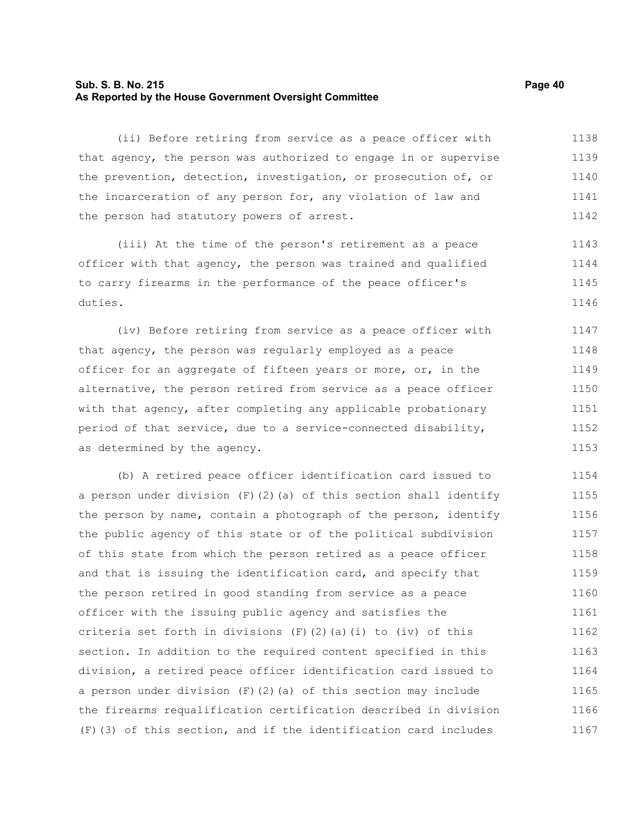#### **Sub. S. B. No. 215 Page 40 As Reported by the House Government Oversight Committee**

(ii) Before retiring from service as a peace officer with that agency, the person was authorized to engage in or supervise the prevention, detection, investigation, or prosecution of, or the incarceration of any person for, any violation of law and the person had statutory powers of arrest. 1138 1139 1140 1141 1142

(iii) At the time of the person's retirement as a peace officer with that agency, the person was trained and qualified to carry firearms in the performance of the peace officer's duties. 1143 1144 1145 1146

(iv) Before retiring from service as a peace officer with that agency, the person was regularly employed as a peace officer for an aggregate of fifteen years or more, or, in the alternative, the person retired from service as a peace officer with that agency, after completing any applicable probationary period of that service, due to a service-connected disability, as determined by the agency. 1147 1148 1149 1150 1151 1152 1153

(b) A retired peace officer identification card issued to a person under division  $(F)$  (2)(a) of this section shall identify the person by name, contain a photograph of the person, identify the public agency of this state or of the political subdivision of this state from which the person retired as a peace officer and that is issuing the identification card, and specify that the person retired in good standing from service as a peace officer with the issuing public agency and satisfies the criteria set forth in divisions  $(F)$   $(2)$   $(a)$   $(i)$  to  $(iv)$  of this section. In addition to the required content specified in this division, a retired peace officer identification card issued to a person under division (F)(2)(a) of this section may include the firearms requalification certification described in division (F)(3) of this section, and if the identification card includes 1154 1155 1156 1157 1158 1159 1160 1161 1162 1163 1164 1165 1166 1167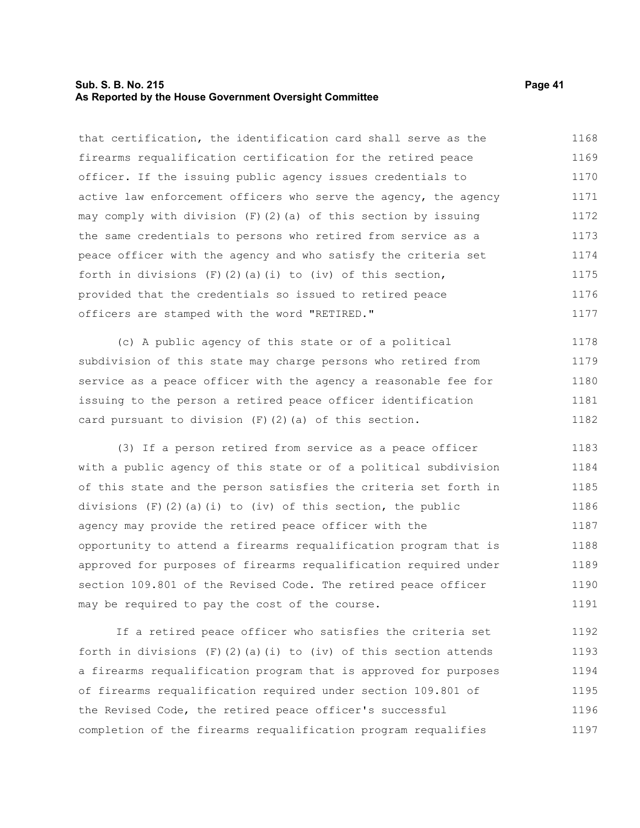#### **Sub. S. B. No. 215 Page 41 As Reported by the House Government Oversight Committee**

that certification, the identification card shall serve as the firearms requalification certification for the retired peace officer. If the issuing public agency issues credentials to active law enforcement officers who serve the agency, the agency may comply with division (F)(2)(a) of this section by issuing the same credentials to persons who retired from service as a peace officer with the agency and who satisfy the criteria set forth in divisions  $(F)$  (2)(a)(i) to (iv) of this section, provided that the credentials so issued to retired peace officers are stamped with the word "RETIRED." 1168 1169 1170 1171 1172 1173 1174 1175 1176 1177

(c) A public agency of this state or of a political subdivision of this state may charge persons who retired from service as a peace officer with the agency a reasonable fee for issuing to the person a retired peace officer identification card pursuant to division (F)(2)(a) of this section. 1178 1179 1180 1181 1182

(3) If a person retired from service as a peace officer with a public agency of this state or of a political subdivision of this state and the person satisfies the criteria set forth in divisions  $(F)$  (2)(a)(i) to (iv) of this section, the public agency may provide the retired peace officer with the opportunity to attend a firearms requalification program that is approved for purposes of firearms requalification required under section 109.801 of the Revised Code. The retired peace officer may be required to pay the cost of the course. 1183 1184 1185 1186 1187 1188 1189 1190 1191

If a retired peace officer who satisfies the criteria set forth in divisions  $(F)(2)(a)(i)$  to  $(iv)$  of this section attends a firearms requalification program that is approved for purposes of firearms requalification required under section 109.801 of the Revised Code, the retired peace officer's successful completion of the firearms requalification program requalifies 1192 1193 1194 1195 1196 1197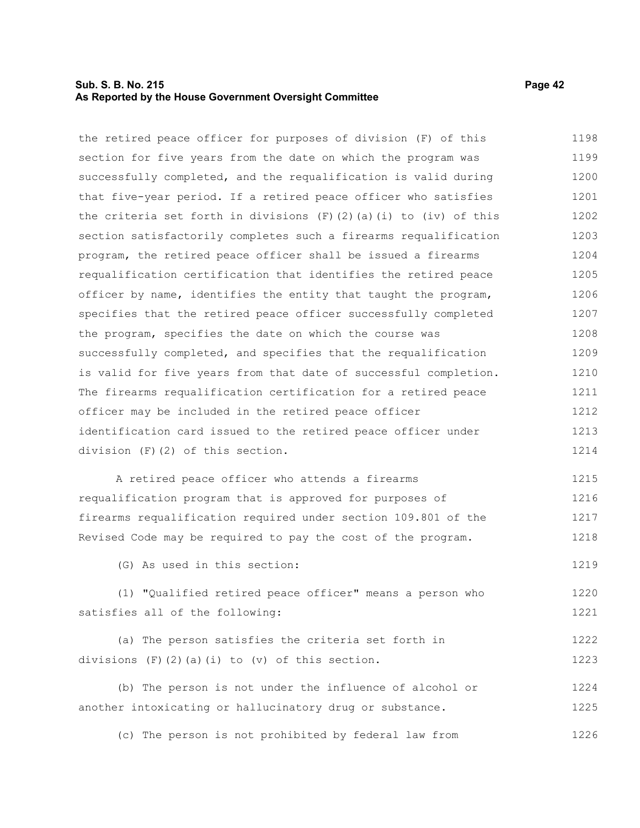#### **Sub. S. B. No. 215 Page 42 As Reported by the House Government Oversight Committee**

the retired peace officer for purposes of division (F) of this section for five years from the date on which the program was successfully completed, and the requalification is valid during that five-year period. If a retired peace officer who satisfies the criteria set forth in divisions  $(F)(2)(a)(i)$  to  $(iv)$  of this section satisfactorily completes such a firearms requalification program, the retired peace officer shall be issued a firearms requalification certification that identifies the retired peace officer by name, identifies the entity that taught the program, specifies that the retired peace officer successfully completed the program, specifies the date on which the course was successfully completed, and specifies that the requalification is valid for five years from that date of successful completion. 1198 1199 1200 1201 1202 1203 1204 1205 1206 1207 1208 1209 1210

officer may be included in the retired peace officer identification card issued to the retired peace officer under division (F)(2) of this section. 1212 1213 1214

The firearms requalification certification for a retired peace

A retired peace officer who attends a firearms requalification program that is approved for purposes of firearms requalification required under section 109.801 of the Revised Code may be required to pay the cost of the program. 1215 1216 1217 1218

(G) As used in this section:

(1) "Qualified retired peace officer" means a person who satisfies all of the following: 1220 1221

(a) The person satisfies the criteria set forth in divisions  $(F)$   $(2)$   $(a)$   $(i)$  to  $(v)$  of this section. 1222 1223

(b) The person is not under the influence of alcohol or another intoxicating or hallucinatory drug or substance. 1224 1225

(c) The person is not prohibited by federal law from 1226

1211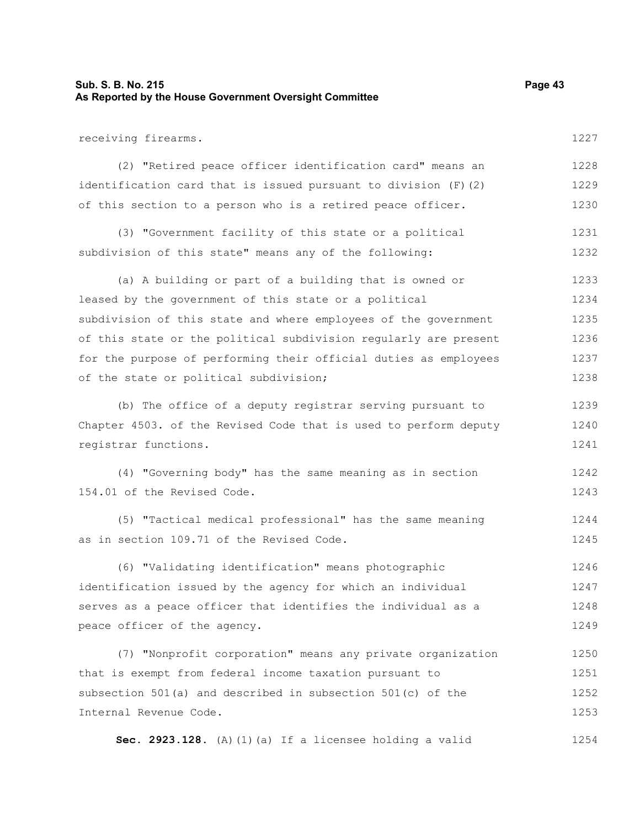| Sub. S. B. No. 215<br>As Reported by the House Government Oversight Committee | Page 43 |
|-------------------------------------------------------------------------------|---------|
| receiving firearms.                                                           | 1227    |
| (2) "Retired peace officer identification card" means an                      | 1228    |
| identification card that is issued pursuant to division $(F)$ (2)             | 1229    |
| of this section to a person who is a retired peace officer.                   | 1230    |
| (3) "Government facility of this state or a political                         | 1231    |
| subdivision of this state" means any of the following:                        | 1232    |
| (a) A building or part of a building that is owned or                         | 1233    |
| leased by the government of this state or a political                         | 1234    |
| subdivision of this state and where employees of the government               | 1235    |
| of this state or the political subdivision regularly are present              | 1236    |
| for the purpose of performing their official duties as employees              | 1237    |
| of the state or political subdivision;                                        | 1238    |
| (b) The office of a deputy registrar serving pursuant to                      | 1239    |
| Chapter 4503. of the Revised Code that is used to perform deputy              | 1240    |
| registrar functions.                                                          | 1241    |
| (4) "Governing body" has the same meaning as in section                       | 1242    |
| 154.01 of the Revised Code.                                                   | 1243    |
| (5) "Tactical medical professional" has the same meaning                      | 1244    |
| as in section 109.71 of the Revised Code.                                     | 1245    |
| (6) "Validating identification" means photographic                            | 1246    |
| identification issued by the agency for which an individual                   | 1247    |
| serves as a peace officer that identifies the individual as a                 | 1248    |
| peace officer of the agency.                                                  | 1249    |
| (7) "Nonprofit corporation" means any private organization                    | 1250    |
| that is exempt from federal income taxation pursuant to                       | 1251    |
| subsection 501(a) and described in subsection 501(c) of the                   | 1252    |
| Internal Revenue Code.                                                        | 1253    |
| Sec. 2923.128. (A) (1) (a) If a licensee holding a valid                      | 1254    |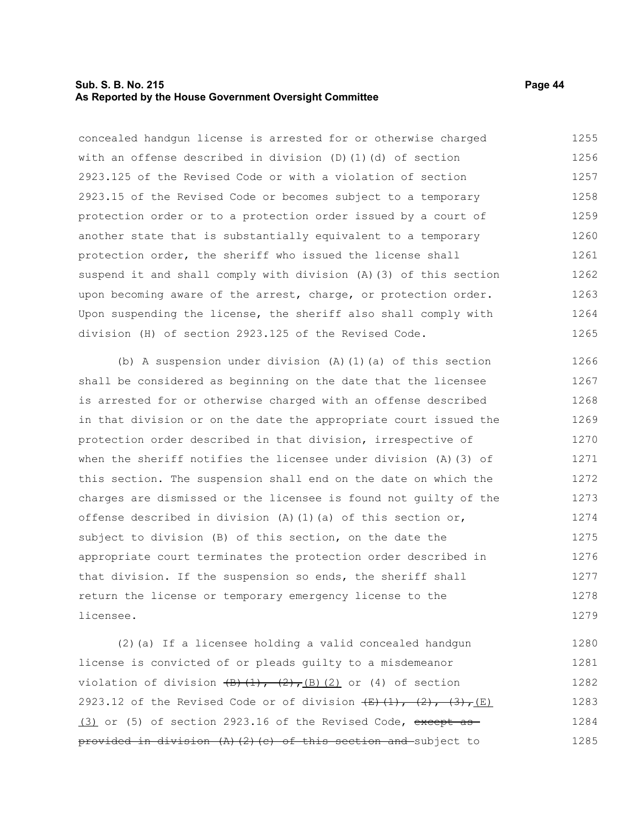#### **Sub. S. B. No. 215 Page 44 As Reported by the House Government Oversight Committee**

concealed handgun license is arrested for or otherwise charged with an offense described in division (D)(1)(d) of section 2923.125 of the Revised Code or with a violation of section 2923.15 of the Revised Code or becomes subject to a temporary protection order or to a protection order issued by a court of another state that is substantially equivalent to a temporary protection order, the sheriff who issued the license shall suspend it and shall comply with division (A)(3) of this section upon becoming aware of the arrest, charge, or protection order. Upon suspending the license, the sheriff also shall comply with division (H) of section 2923.125 of the Revised Code. 1255 1256 1257 1258 1259 1260 1261 1262 1263 1264 1265

(b) A suspension under division (A)(1)(a) of this section shall be considered as beginning on the date that the licensee is arrested for or otherwise charged with an offense described in that division or on the date the appropriate court issued the protection order described in that division, irrespective of when the sheriff notifies the licensee under division  $(A)$  (3) of this section. The suspension shall end on the date on which the charges are dismissed or the licensee is found not guilty of the offense described in division (A)(1)(a) of this section or, subject to division (B) of this section, on the date the appropriate court terminates the protection order described in that division. If the suspension so ends, the sheriff shall return the license or temporary emergency license to the licensee. 1266 1267 1268 1269 1270 1271 1272 1273 1274 1275 1276 1277 1278 1279

(2)(a) If a licensee holding a valid concealed handgun license is convicted of or pleads guilty to a misdemeanor violation of division  $\overline{(B)(1)}, \overline{(2)}$ ,  $\overline{(B)(2)}$  or (4) of section 2923.12 of the Revised Code or of division  $\left(\frac{E}{E}\right)\left(\frac{1}{E}\right)$ ,  $\left(\frac{2}{2}\right)$ ,  $\left(\frac{3}{2}\right)$ ,  $\left(\frac{E}{E}\right)$ (3) or (5) of section 2923.16 of the Revised Code, except as provided in division (A)(2)(c) of this section and subject to 1280 1281 1282 1283 1284 1285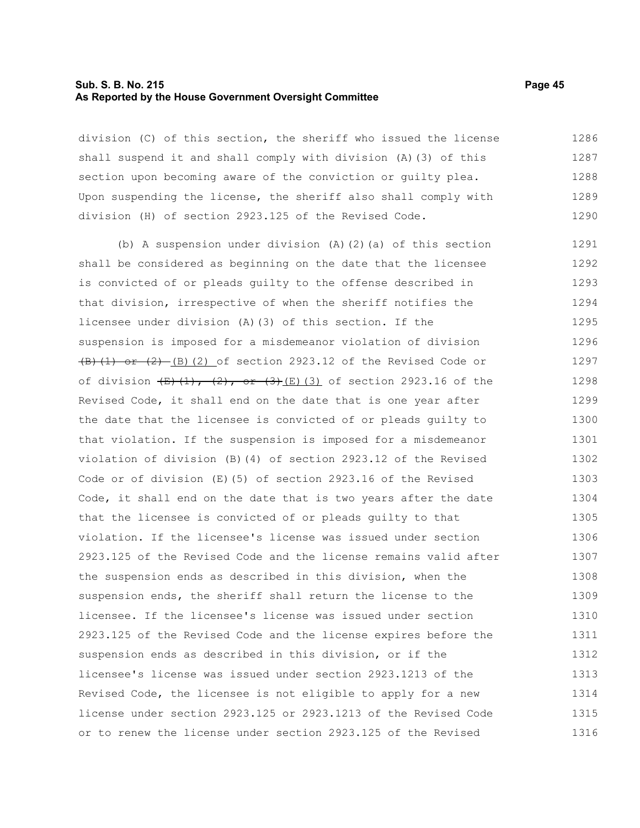#### **Sub. S. B. No. 215 Page 45 As Reported by the House Government Oversight Committee**

division (C) of this section, the sheriff who issued the license shall suspend it and shall comply with division (A)(3) of this section upon becoming aware of the conviction or guilty plea. Upon suspending the license, the sheriff also shall comply with division (H) of section 2923.125 of the Revised Code. 1286 1287 1288 1289 1290

(b) A suspension under division (A)(2)(a) of this section shall be considered as beginning on the date that the licensee is convicted of or pleads guilty to the offense described in that division, irrespective of when the sheriff notifies the licensee under division (A)(3) of this section. If the suspension is imposed for a misdemeanor violation of division  $\left(\frac{B}{B}\right)\left(1\right)$  or  $\left(\frac{2}{B}\right)\left(2\right)$  of section 2923.12 of the Revised Code or of division  $(E)$   $(1)$ ,  $(2)$ , or  $(3)$  (3) of section 2923.16 of the Revised Code, it shall end on the date that is one year after the date that the licensee is convicted of or pleads guilty to that violation. If the suspension is imposed for a misdemeanor violation of division (B)(4) of section 2923.12 of the Revised Code or of division (E)(5) of section 2923.16 of the Revised Code, it shall end on the date that is two years after the date that the licensee is convicted of or pleads guilty to that violation. If the licensee's license was issued under section 2923.125 of the Revised Code and the license remains valid after the suspension ends as described in this division, when the suspension ends, the sheriff shall return the license to the licensee. If the licensee's license was issued under section 2923.125 of the Revised Code and the license expires before the suspension ends as described in this division, or if the licensee's license was issued under section 2923.1213 of the Revised Code, the licensee is not eligible to apply for a new license under section 2923.125 or 2923.1213 of the Revised Code or to renew the license under section 2923.125 of the Revised 1291 1292 1293 1294 1295 1296 1297 1298 1299 1300 1301 1302 1303 1304 1305 1306 1307 1308 1309 1310 1311 1312 1313 1314 1315 1316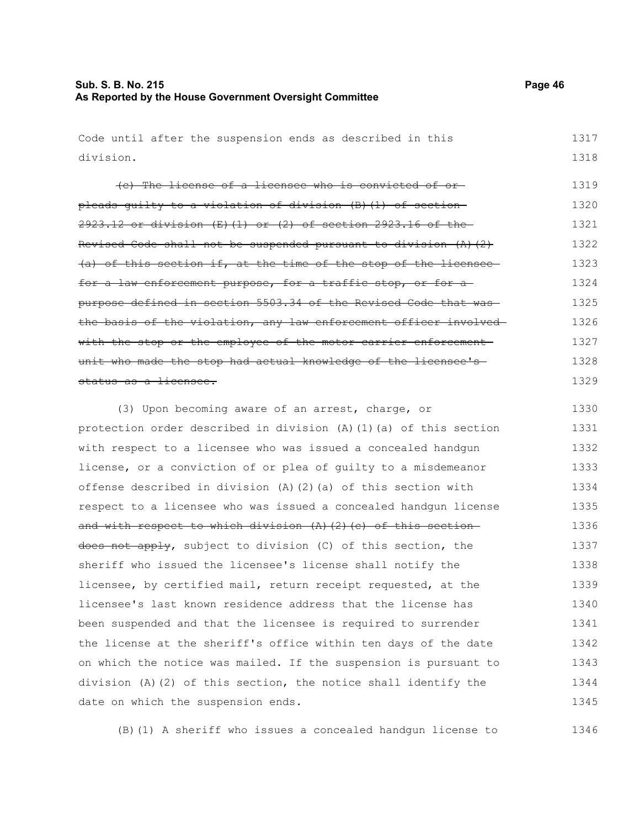## **Sub. S. B. No. 215 Page 46 As Reported by the House Government Oversight Committee**

Code until after the suspension ends as described in this division. (c) The license of a licensee who is convicted of or pleads guilty to a violation of division (B)(1) of section  $2923.12$  or division (E)(1) or (2) of section 2923.16 of the Revised Code shall not be suspended pursuant to division  $(A)$   $(2)$ (a) of this section if, at the time of the stop of the licensee for a law enforcement purpose, for a traffic stop, or for a purpose defined in section 5503.34 of the Revised Code that was the basis of the violation, any law enforcement officer involved with the stop or the employee of the motor carrier enforcementunit who made the stop had actual knowledge of the licensee's status as a licensee. (3) Upon becoming aware of an arrest, charge, or protection order described in division (A)(1)(a) of this section with respect to a licensee who was issued a concealed handgun license, or a conviction of or plea of guilty to a misdemeanor offense described in division (A)(2)(a) of this section with respect to a licensee who was issued a concealed handgun license and with respect to which division  $(A)$   $(2)$   $(e)$  of this section 1317 1318 1319 1320 1321 1322 1323 1324 1325 1326 1327 1328 1329 1330 1331 1332 1333 1334 1335 1336

does not apply, subject to division (C) of this section, the sheriff who issued the licensee's license shall notify the licensee, by certified mail, return receipt requested, at the licensee's last known residence address that the license has been suspended and that the licensee is required to surrender the license at the sheriff's office within ten days of the date on which the notice was mailed. If the suspension is pursuant to division (A)(2) of this section, the notice shall identify the date on which the suspension ends. 1337 1338 1339 1340 1341 1342 1343 1344 1345

(B)(1) A sheriff who issues a concealed handgun license to 1346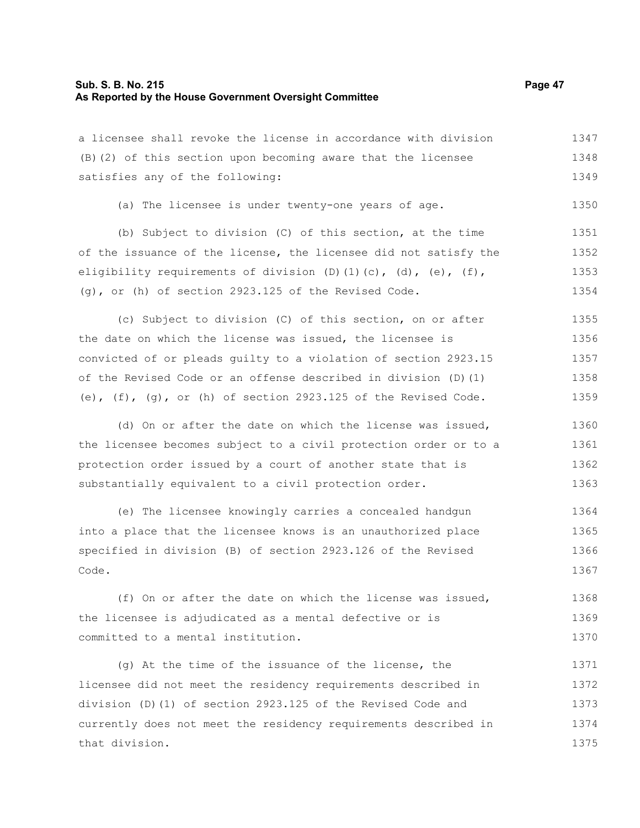| a licensee shall revoke the license in accordance with division      | 1347 |
|----------------------------------------------------------------------|------|
| (B) (2) of this section upon becoming aware that the licensee        | 1348 |
| satisfies any of the following:                                      | 1349 |
| (a) The licensee is under twenty-one years of age.                   | 1350 |
| (b) Subject to division (C) of this section, at the time             | 1351 |
| of the issuance of the license, the licensee did not satisfy the     | 1352 |
| eligibility requirements of division (D)(1)(c), (d), (e), (f),       | 1353 |
| (g), or (h) of section 2923.125 of the Revised Code.                 | 1354 |
| (c) Subject to division (C) of this section, on or after             | 1355 |
| the date on which the license was issued, the licensee is            | 1356 |
| convicted of or pleads guilty to a violation of section 2923.15      | 1357 |
| of the Revised Code or an offense described in division (D) (1)      | 1358 |
| (e), $(f)$ , $(g)$ , or (h) of section 2923.125 of the Revised Code. | 1359 |
| (d) On or after the date on which the license was issued,            | 1360 |
| the licensee becomes subject to a civil protection order or to a     | 1361 |
| protection order issued by a court of another state that is          | 1362 |
| substantially equivalent to a civil protection order.                | 1363 |
| (e) The licensee knowingly carries a concealed handgun               | 1364 |
| into a place that the licensee knows is an unauthorized place        | 1365 |
| specified in division (B) of section 2923.126 of the Revised         | 1366 |
| Code.                                                                | 1367 |
| (f) On or after the date on which the license was issued,            | 1368 |
| the licensee is adjudicated as a mental defective or is              | 1369 |
| committed to a mental institution.                                   | 1370 |
| (g) At the time of the issuance of the license, the                  | 1371 |
| licensee did not meet the residency requirements described in        | 1372 |
| division (D) (1) of section 2923.125 of the Revised Code and         | 1373 |
| currently does not meet the residency requirements described in      | 1374 |
| that division.                                                       | 1375 |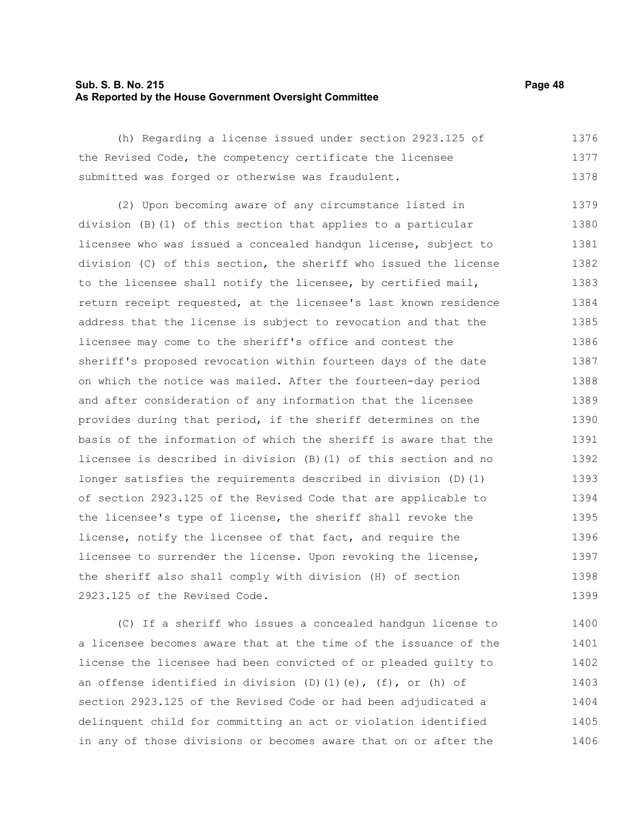#### **Sub. S. B. No. 215 Page 48 As Reported by the House Government Oversight Committee**

| (h) Regarding a license issued under section 2923.125 of  | 1376 |
|-----------------------------------------------------------|------|
| the Revised Code, the competency certificate the licensee | 1377 |
| submitted was forged or otherwise was fraudulent.         | 1378 |

(2) Upon becoming aware of any circumstance listed in division (B)(1) of this section that applies to a particular licensee who was issued a concealed handgun license, subject to division (C) of this section, the sheriff who issued the license to the licensee shall notify the licensee, by certified mail, return receipt requested, at the licensee's last known residence address that the license is subject to revocation and that the licensee may come to the sheriff's office and contest the sheriff's proposed revocation within fourteen days of the date on which the notice was mailed. After the fourteen-day period and after consideration of any information that the licensee provides during that period, if the sheriff determines on the basis of the information of which the sheriff is aware that the licensee is described in division (B)(1) of this section and no longer satisfies the requirements described in division (D)(1) of section 2923.125 of the Revised Code that are applicable to the licensee's type of license, the sheriff shall revoke the license, notify the licensee of that fact, and require the licensee to surrender the license. Upon revoking the license, the sheriff also shall comply with division (H) of section 2923.125 of the Revised Code. 1379 1380 1381 1382 1383 1384 1385 1386 1387 1388 1389 1390 1391 1392 1393 1394 1395 1396 1397 1398 1399

(C) If a sheriff who issues a concealed handgun license to a licensee becomes aware that at the time of the issuance of the license the licensee had been convicted of or pleaded guilty to an offense identified in division (D)(1)(e), (f), or (h) of section 2923.125 of the Revised Code or had been adjudicated a delinquent child for committing an act or violation identified in any of those divisions or becomes aware that on or after the 1400 1401 1402 1403 1404 1405 1406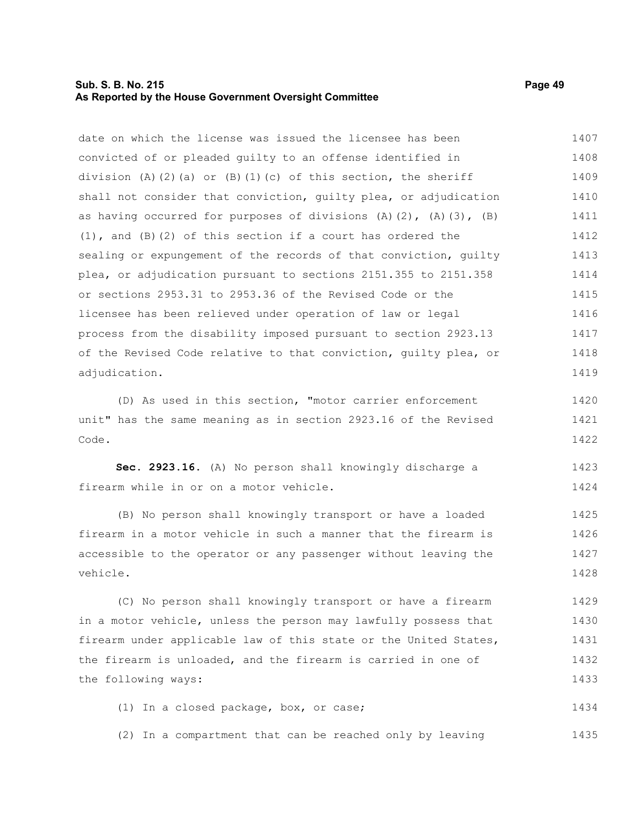#### **Sub. S. B. No. 215 Page 49 As Reported by the House Government Oversight Committee**

date on which the license was issued the licensee has been convicted of or pleaded guilty to an offense identified in division (A)(2)(a) or (B)(1)(c) of this section, the sheriff shall not consider that conviction, guilty plea, or adjudication as having occurred for purposes of divisions  $(A)$   $(2)$ ,  $(A)$   $(3)$ ,  $(B)$ (1), and (B)(2) of this section if a court has ordered the sealing or expungement of the records of that conviction, guilty plea, or adjudication pursuant to sections 2151.355 to 2151.358 or sections 2953.31 to 2953.36 of the Revised Code or the 1407 1408 1409 1410 1411 1412 1413 1414 1415

licensee has been relieved under operation of law or legal process from the disability imposed pursuant to section 2923.13 of the Revised Code relative to that conviction, guilty plea, or adjudication. 1416 1417 1418 1419

(D) As used in this section, "motor carrier enforcement unit" has the same meaning as in section 2923.16 of the Revised Code. 1420 1421 1422

**Sec. 2923.16.** (A) No person shall knowingly discharge a firearm while in or on a motor vehicle. 1423 1424

(B) No person shall knowingly transport or have a loaded firearm in a motor vehicle in such a manner that the firearm is accessible to the operator or any passenger without leaving the vehicle. 1425 1426 1427 1428

(C) No person shall knowingly transport or have a firearm in a motor vehicle, unless the person may lawfully possess that firearm under applicable law of this state or the United States, the firearm is unloaded, and the firearm is carried in one of the following ways: 1429 1430 1431 1432 1433

(1) In a closed package, box, or case; 1434

(2) In a compartment that can be reached only by leaving 1435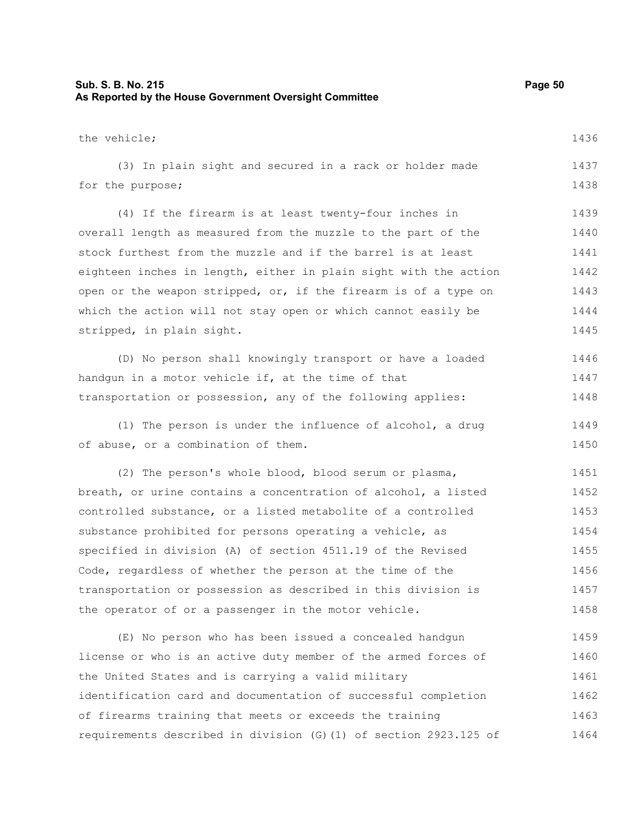#### **Sub. S. B. No. 215 Page 50 As Reported by the House Government Oversight Committee** the vehicle; (3) In plain sight and secured in a rack or holder made for the purpose; (4) If the firearm is at least twenty-four inches in overall length as measured from the muzzle to the part of the stock furthest from the muzzle and if the barrel is at least eighteen inches in length, either in plain sight with the action open or the weapon stripped, or, if the firearm is of a type on which the action will not stay open or which cannot easily be stripped, in plain sight. (D) No person shall knowingly transport or have a loaded handgun in a motor vehicle if, at the time of that transportation or possession, any of the following applies: (1) The person is under the influence of alcohol, a drug of abuse, or a combination of them. (2) The person's whole blood, blood serum or plasma, breath, or urine contains a concentration of alcohol, a listed controlled substance, or a listed metabolite of a controlled substance prohibited for persons operating a vehicle, as specified in division (A) of section 4511.19 of the Revised Code, regardless of whether the person at the time of the transportation or possession as described in this division is the operator of or a passenger in the motor vehicle. (E) No person who has been issued a concealed handgun license or who is an active duty member of the armed forces of the United States and is carrying a valid military identification card and documentation of successful completion of firearms training that meets or exceeds the training requirements described in division (G)(1) of section 2923.125 of 1436 1437 1438 1439 1440 1441 1442 1443 1444 1445 1446 1447 1448 1449 1450 1451 1452 1453 1454 1455 1456 1457 1458 1459 1460 1461 1462 1463 1464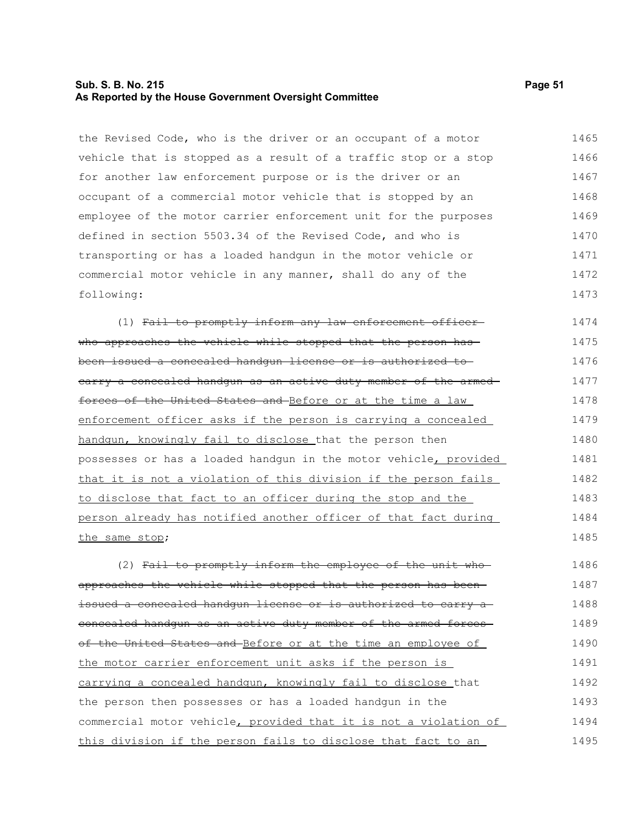#### **Sub. S. B. No. 215 Page 51 As Reported by the House Government Oversight Committee**

the Revised Code, who is the driver or an occupant of a motor vehicle that is stopped as a result of a traffic stop or a stop for another law enforcement purpose or is the driver or an occupant of a commercial motor vehicle that is stopped by an employee of the motor carrier enforcement unit for the purposes defined in section 5503.34 of the Revised Code, and who is transporting or has a loaded handgun in the motor vehicle or commercial motor vehicle in any manner, shall do any of the following: 1465 1466 1467 1468 1469 1470 1471 1472 1473

(1) Fail to promptly inform any law enforcement officer who approaches the vehicle while stopped that the person has been issued a concealed handgun license or is authorized to carry a concealed handgun as an active duty member of the armed forces of the United States and Before or at the time a law enforcement officer asks if the person is carrying a concealed handgun, knowingly fail to disclose that the person then possesses or has a loaded handgun in the motor vehicle, provided that it is not a violation of this division if the person fails to disclose that fact to an officer during the stop and the person already has notified another officer of that fact during the same stop; 1474 1475 1476 1477 1478 1479 1480 1481 1482 1483 1484 1485

(2) Fail to promptly inform the employee of the unit who approaches the vehicle while stopped that the person has been issued a concealed handgun license or is authorized to carry a concealed handgun as an active duty member of the armed forces of the United States and Before or at the time an employee of the motor carrier enforcement unit asks if the person is carrying a concealed handgun, knowingly fail to disclose that the person then possesses or has a loaded handgun in the commercial motor vehicle, provided that it is not a violation of this division if the person fails to disclose that fact to an 1486 1487 1488 1489 1490 1491 1492 1493 1494 1495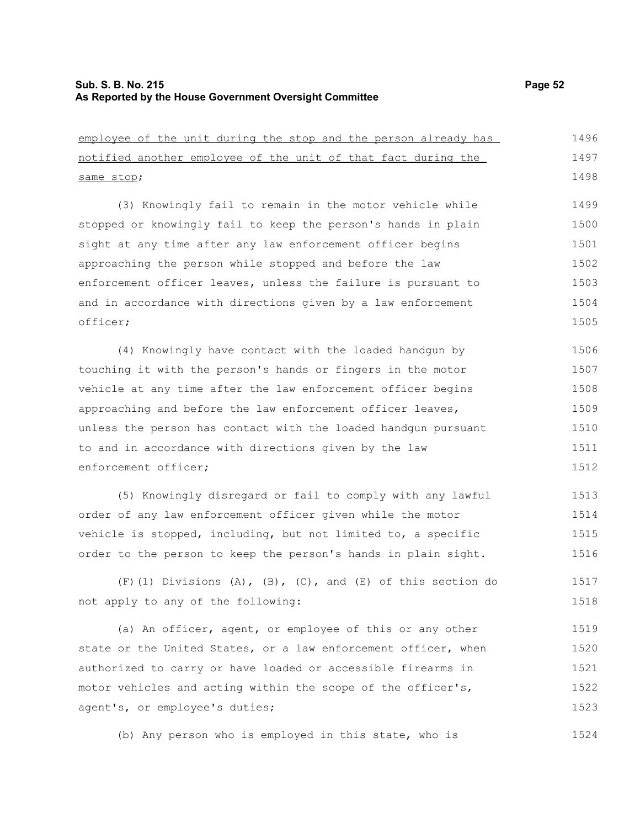1524

| employee of the unit during the stop and the person already has | 1496 |
|-----------------------------------------------------------------|------|
| notified another employee of the unit of that fact during the   | 1497 |
| same stop;                                                      | 1498 |
| (3) Knowingly fail to remain in the motor vehicle while         | 1499 |
| stopped or knowingly fail to keep the person's hands in plain   | 1500 |
| sight at any time after any law enforcement officer begins      | 1501 |
| approaching the person while stopped and before the law         | 1502 |
| enforcement officer leaves, unless the failure is pursuant to   | 1503 |
| and in accordance with directions given by a law enforcement    | 1504 |
| officer;                                                        | 1505 |
| (4) Knowingly have contact with the loaded handgun by           | 1506 |
| touching it with the person's hands or fingers in the motor     | 1507 |
| vehicle at any time after the law enforcement officer begins    | 1508 |
| approaching and before the law enforcement officer leaves,      | 1509 |
| unless the person has contact with the loaded handqun pursuant  | 1510 |
| to and in accordance with directions given by the law           | 1511 |
| enforcement officer;                                            | 1512 |
| (5) Knowingly disregard or fail to comply with any lawful       | 1513 |
| order of any law enforcement officer given while the motor      | 1514 |
|                                                                 |      |

vehicle is stopped, including, but not limited to, a specific order to the person to keep the person's hands in plain sight. 1515 1516

(F)(1) Divisions (A), (B), (C), and (E) of this section do not apply to any of the following: 1517 1518

(a) An officer, agent, or employee of this or any other state or the United States, or a law enforcement officer, when authorized to carry or have loaded or accessible firearms in motor vehicles and acting within the scope of the officer's, agent's, or employee's duties; 1519 1520 1521 1522 1523

(b) Any person who is employed in this state, who is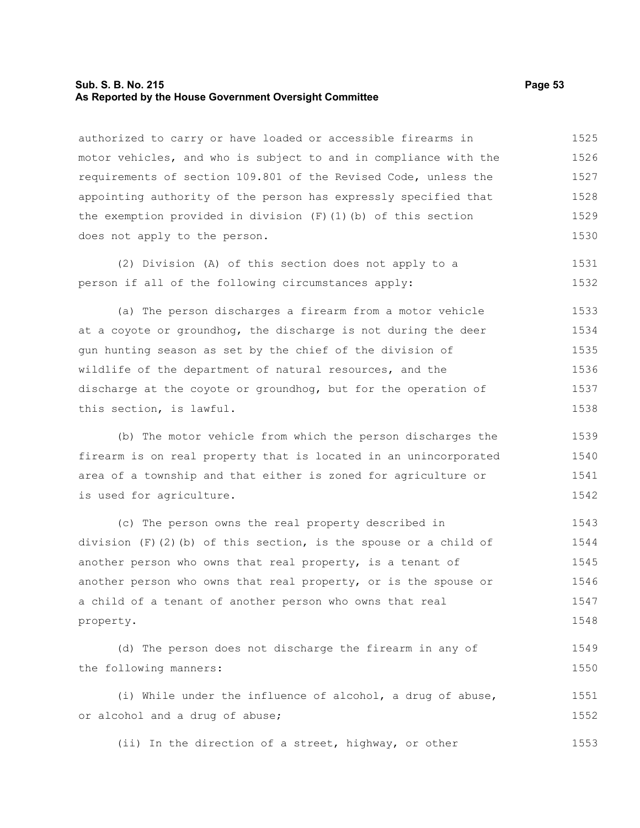#### **Sub. S. B. No. 215 Page 53 As Reported by the House Government Oversight Committee**

authorized to carry or have loaded or accessible firearms in motor vehicles, and who is subject to and in compliance with the requirements of section 109.801 of the Revised Code, unless the appointing authority of the person has expressly specified that the exemption provided in division  $(F)$  (1)(b) of this section does not apply to the person. 1525 1526 1527 1528 1529 1530

(2) Division (A) of this section does not apply to a person if all of the following circumstances apply: 1531 1532

(a) The person discharges a firearm from a motor vehicle at a coyote or groundhog, the discharge is not during the deer gun hunting season as set by the chief of the division of wildlife of the department of natural resources, and the discharge at the coyote or groundhog, but for the operation of this section, is lawful. 1533 1534 1535 1536 1537 1538

(b) The motor vehicle from which the person discharges the firearm is on real property that is located in an unincorporated area of a township and that either is zoned for agriculture or is used for agriculture. 1539 1540 1541 1542

(c) The person owns the real property described in division  $(F)(2)(b)$  of this section, is the spouse or a child of another person who owns that real property, is a tenant of another person who owns that real property, or is the spouse or a child of a tenant of another person who owns that real property. 1543 1544 1545 1546 1547 1548

(d) The person does not discharge the firearm in any of the following manners: 1549 1550

(i) While under the influence of alcohol, a drug of abuse, or alcohol and a drug of abuse; 1551 1552

(ii) In the direction of a street, highway, or other 1553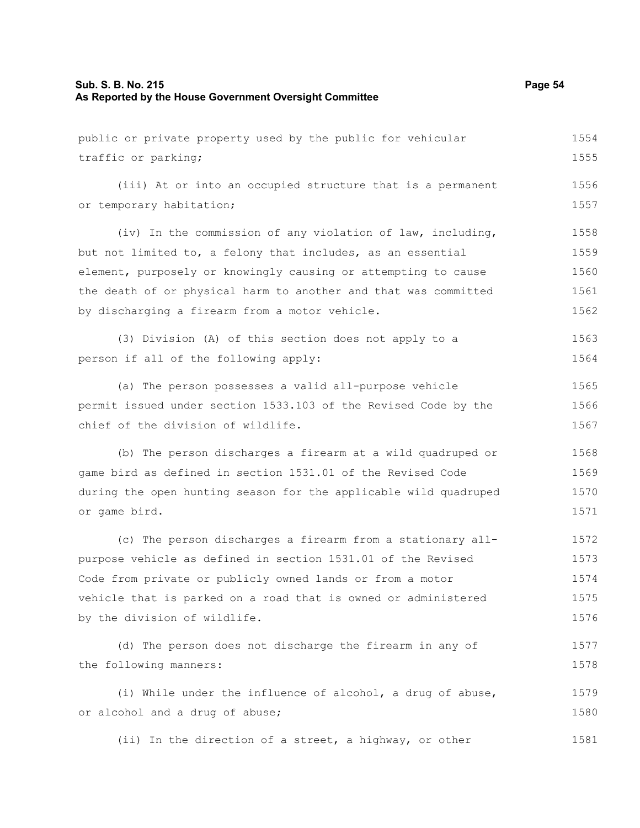#### **Sub. S. B. No. 215 Page 54 As Reported by the House Government Oversight Committee**

public or private property used by the public for vehicular

traffic or parking; (iii) At or into an occupied structure that is a permanent or temporary habitation; (iv) In the commission of any violation of law, including, but not limited to, a felony that includes, as an essential element, purposely or knowingly causing or attempting to cause the death of or physical harm to another and that was committed by discharging a firearm from a motor vehicle. (3) Division (A) of this section does not apply to a person if all of the following apply: (a) The person possesses a valid all-purpose vehicle permit issued under section 1533.103 of the Revised Code by the chief of the division of wildlife. (b) The person discharges a firearm at a wild quadruped or game bird as defined in section 1531.01 of the Revised Code during the open hunting season for the applicable wild quadruped or game bird. (c) The person discharges a firearm from a stationary allpurpose vehicle as defined in section 1531.01 of the Revised Code from private or publicly owned lands or from a motor vehicle that is parked on a road that is owned or administered by the division of wildlife. (d) The person does not discharge the firearm in any of the following manners: (i) While under the influence of alcohol, a drug of abuse, or alcohol and a drug of abuse; (ii) In the direction of a street, a highway, or other 1555 1556 1557 1558 1559 1560 1561 1562 1563 1564 1565 1566 1567 1568 1569 1570 1571 1572 1573 1574 1575 1576 1577 1578 1579 1580 1581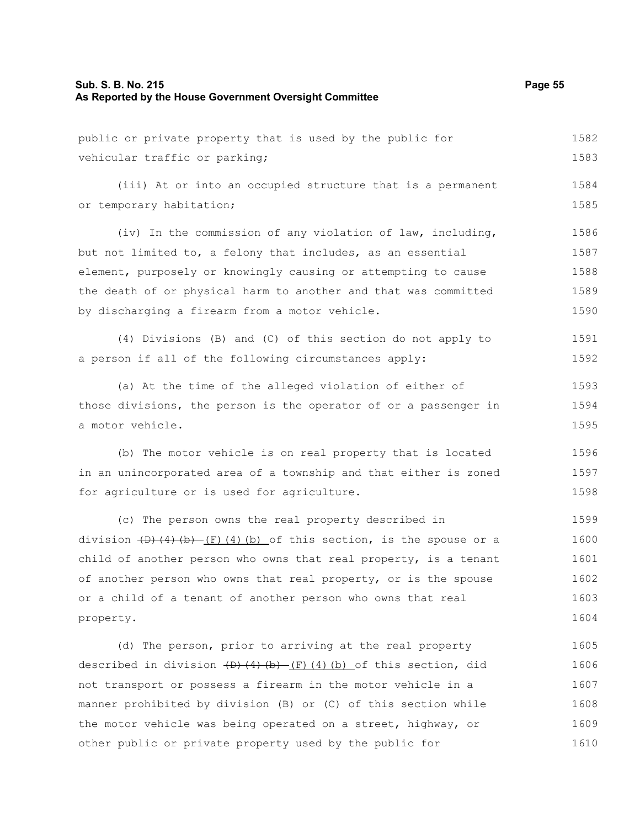## **Sub. S. B. No. 215** Page 55 **As Reported by the House Government Oversight Committee**

1610

| public or private property that is used by the public for                                            | 1582 |
|------------------------------------------------------------------------------------------------------|------|
| vehicular traffic or parking;                                                                        | 1583 |
| (iii) At or into an occupied structure that is a permanent                                           | 1584 |
| or temporary habitation;                                                                             | 1585 |
| (iv) In the commission of any violation of law, including,                                           | 1586 |
| but not limited to, a felony that includes, as an essential                                          | 1587 |
| element, purposely or knowingly causing or attempting to cause                                       | 1588 |
| the death of or physical harm to another and that was committed                                      | 1589 |
| by discharging a firearm from a motor vehicle.                                                       | 1590 |
| (4) Divisions (B) and (C) of this section do not apply to                                            | 1591 |
| a person if all of the following circumstances apply:                                                | 1592 |
| (a) At the time of the alleged violation of either of                                                | 1593 |
| those divisions, the person is the operator of or a passenger in                                     | 1594 |
| a motor vehicle.                                                                                     | 1595 |
| (b) The motor vehicle is on real property that is located                                            | 1596 |
| in an unincorporated area of a township and that either is zoned                                     | 1597 |
| for agriculture or is used for agriculture.                                                          | 1598 |
| (c) The person owns the real property described in                                                   | 1599 |
| division $(\theta)$ $(\theta)$ $(\theta)$ $(\theta)$ $(4)$ $(b)$ of this section, is the spouse or a | 1600 |
| child of another person who owns that real property, is a tenant                                     | 1601 |
| of another person who owns that real property, or is the spouse                                      | 1602 |
| or a child of a tenant of another person who owns that real                                          | 1603 |
| property.                                                                                            | 1604 |
| (d) The person, prior to arriving at the real property                                               | 1605 |
| described in division $(D)$ $(D)$ $(D)$ $(F)$ $(4)$ $(b)$ of this section, did                       | 1606 |
| not transport or possess a firearm in the motor vehicle in a                                         | 1607 |
| manner prohibited by division (B) or (C) of this section while                                       | 1608 |
| the motor vehicle was being operated on a street, highway, or                                        | 1609 |

other public or private property used by the public for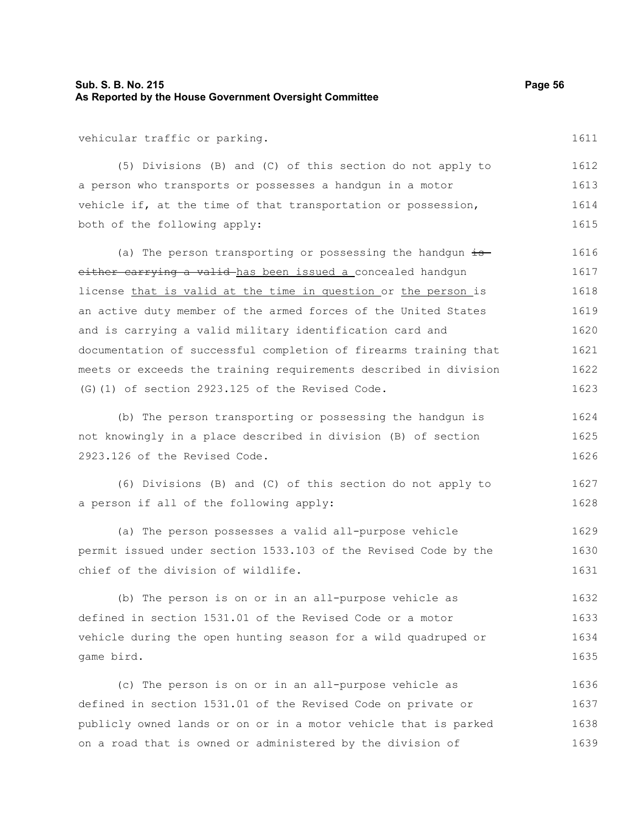#### **Sub. S. B. No. 215 Page 56 As Reported by the House Government Oversight Committee**

vehicular traffic or parking.

(5) Divisions (B) and (C) of this section do not apply to a person who transports or possesses a handgun in a motor vehicle if, at the time of that transportation or possession, both of the following apply: 1612 1613 1614 1615

(a) The person transporting or possessing the handgun  $\frac{1}{13}$ either carrying a valid-has been issued a concealed handgun license that is valid at the time in question or the person is an active duty member of the armed forces of the United States and is carrying a valid military identification card and documentation of successful completion of firearms training that meets or exceeds the training requirements described in division (G)(1) of section 2923.125 of the Revised Code. 1616 1617 1618 1619 1620 1621 1622 1623

(b) The person transporting or possessing the handgun is not knowingly in a place described in division (B) of section 2923.126 of the Revised Code. 1624 1625 1626

(6) Divisions (B) and (C) of this section do not apply to a person if all of the following apply: 1627 1628

(a) The person possesses a valid all-purpose vehicle permit issued under section 1533.103 of the Revised Code by the chief of the division of wildlife. 1629 1630 1631

(b) The person is on or in an all-purpose vehicle as defined in section 1531.01 of the Revised Code or a motor vehicle during the open hunting season for a wild quadruped or game bird. 1632 1633 1634 1635

(c) The person is on or in an all-purpose vehicle as defined in section 1531.01 of the Revised Code on private or publicly owned lands or on or in a motor vehicle that is parked on a road that is owned or administered by the division of 1636 1637 1638 1639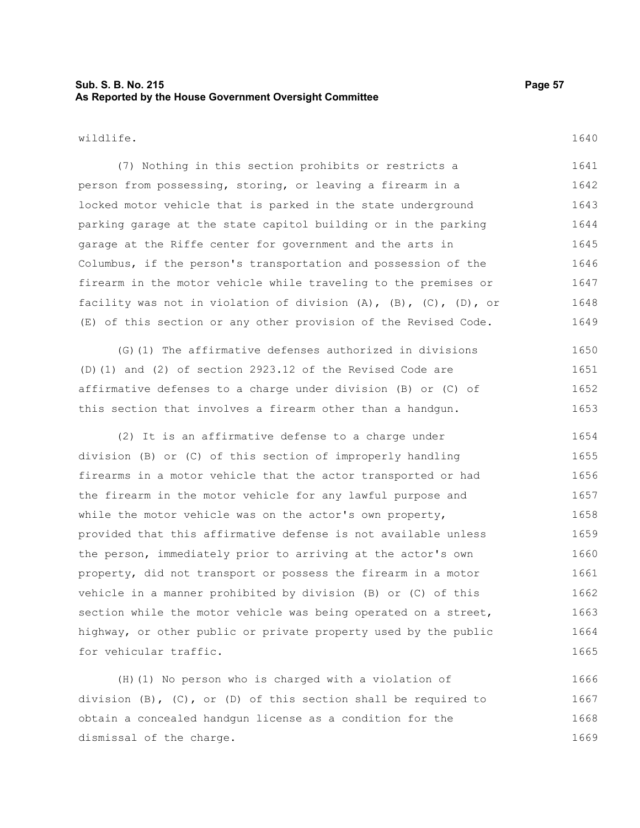### **Sub. S. B. No. 215 Page 57 As Reported by the House Government Oversight Committee**

wildlife.

(7) Nothing in this section prohibits or restricts a person from possessing, storing, or leaving a firearm in a locked motor vehicle that is parked in the state underground parking garage at the state capitol building or in the parking garage at the Riffe center for government and the arts in Columbus, if the person's transportation and possession of the firearm in the motor vehicle while traveling to the premises or facility was not in violation of division (A), (B), (C), (D), or (E) of this section or any other provision of the Revised Code. 1641 1642 1643 1644 1645 1646 1647 1648 1649

(G)(1) The affirmative defenses authorized in divisions (D)(1) and (2) of section 2923.12 of the Revised Code are affirmative defenses to a charge under division (B) or (C) of this section that involves a firearm other than a handgun. 1650 1651 1652 1653

(2) It is an affirmative defense to a charge under division (B) or (C) of this section of improperly handling firearms in a motor vehicle that the actor transported or had the firearm in the motor vehicle for any lawful purpose and while the motor vehicle was on the actor's own property, provided that this affirmative defense is not available unless the person, immediately prior to arriving at the actor's own property, did not transport or possess the firearm in a motor vehicle in a manner prohibited by division (B) or (C) of this section while the motor vehicle was being operated on a street, highway, or other public or private property used by the public for vehicular traffic. 1654 1655 1656 1657 1658 1659 1660 1661 1662 1663 1664 1665

(H)(1) No person who is charged with a violation of division (B), (C), or (D) of this section shall be required to obtain a concealed handgun license as a condition for the dismissal of the charge. 1666 1667 1668 1669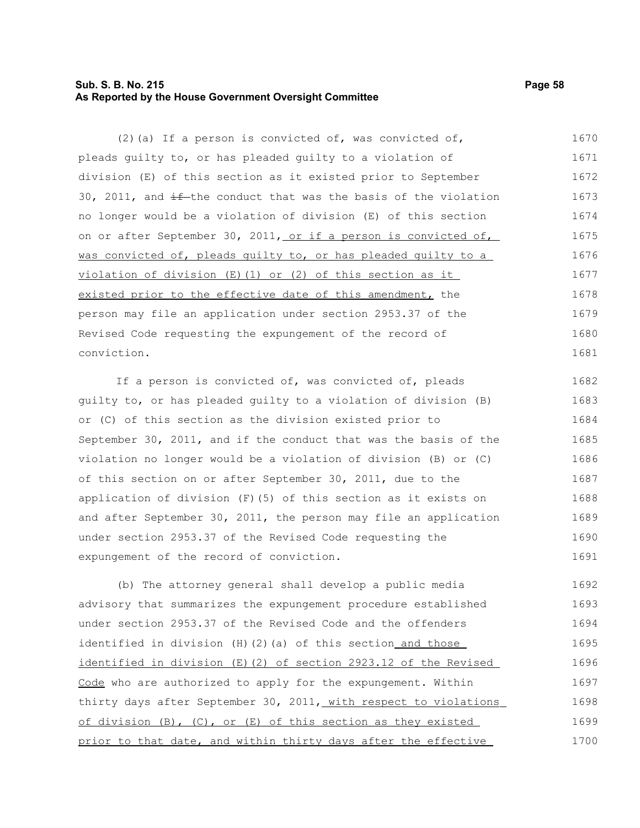### **Sub. S. B. No. 215 Page 58 As Reported by the House Government Oversight Committee**

(2)(a) If a person is convicted of, was convicted of, pleads guilty to, or has pleaded guilty to a violation of division (E) of this section as it existed prior to September 30, 2011, and  $\pm\text{$ -the conduct that was the basis of the violation no longer would be a violation of division (E) of this section on or after September 30, 2011, or if a person is convicted of, was convicted of, pleads guilty to, or has pleaded guilty to a violation of division (E)(1) or (2) of this section as it existed prior to the effective date of this amendment, the person may file an application under section 2953.37 of the Revised Code requesting the expungement of the record of conviction. 1670 1671 1672 1673 1674 1675 1676 1677 1678 1679 1680 1681

If a person is convicted of, was convicted of, pleads guilty to, or has pleaded guilty to a violation of division (B) or (C) of this section as the division existed prior to September 30, 2011, and if the conduct that was the basis of the violation no longer would be a violation of division (B) or (C) of this section on or after September 30, 2011, due to the application of division  $(F)$  (5) of this section as it exists on and after September 30, 2011, the person may file an application under section 2953.37 of the Revised Code requesting the expungement of the record of conviction. 1682 1683 1684 1685 1686 1687 1688 1689 1690 1691

(b) The attorney general shall develop a public media advisory that summarizes the expungement procedure established under section 2953.37 of the Revised Code and the offenders identified in division (H)(2)(a) of this section and those identified in division (E)(2) of section 2923.12 of the Revised Code who are authorized to apply for the expungement. Within thirty days after September 30, 2011, with respect to violations of division (B), (C), or (E) of this section as they existed prior to that date, and within thirty days after the effective 1692 1693 1694 1695 1696 1697 1698 1699 1700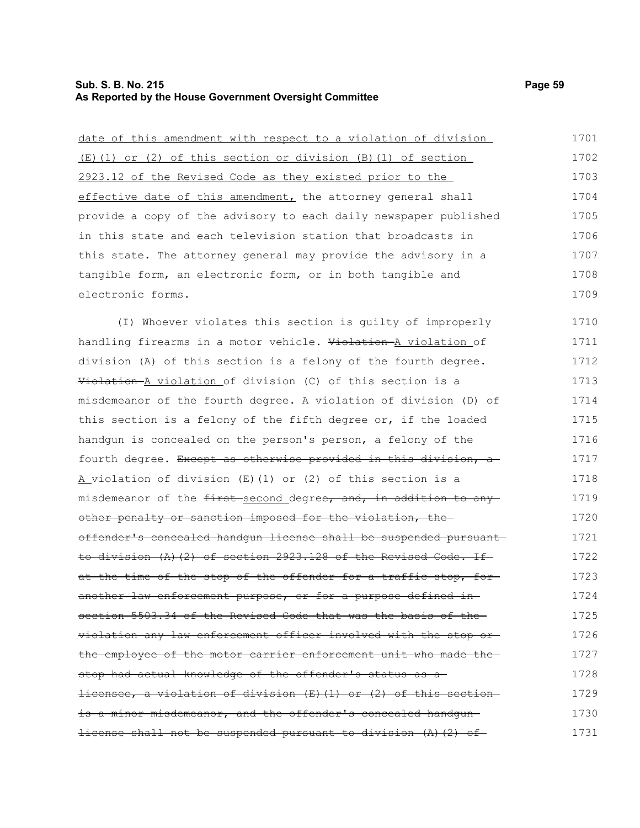date of this amendment with respect to a violation of division (E)(1) or (2) of this section or division (B)(1) of section 2923.12 of the Revised Code as they existed prior to the effective date of this amendment, the attorney general shall provide a copy of the advisory to each daily newspaper published in this state and each television station that broadcasts in this state. The attorney general may provide the advisory in a tangible form, an electronic form, or in both tangible and electronic forms. 1701 1702 1703 1704 1705 1706 1707 1708 1709

(I) Whoever violates this section is guilty of improperly handling firearms in a motor vehicle. Violation-A violation of division (A) of this section is a felony of the fourth degree. Violation A violation of division (C) of this section is a misdemeanor of the fourth degree. A violation of division (D) of this section is a felony of the fifth degree or, if the loaded handgun is concealed on the person's person, a felony of the fourth degree. Except as otherwise provided in this division, a A violation of division (E)(1) or (2) of this section is a misdemeanor of the first second degree, and, in addition to any other penalty or sanction imposed for the violation, the offender's concealed handgun license shall be suspended pursuant to division (A)(2) of section 2923.128 of the Revised Code. If at the time of the stop of the offender for a traffic stop, for another law enforcement purpose, or for a purpose defined insection 5503.34 of the Revised Code that was the basis of the violation any law enforcement officer involved with the stop or the employee of the motor carrier enforcement unit who made the stop had actual knowledge of the offender's status as a licensee, a violation of division (E)(1) or (2) of this section is a minor misdemeanor, and the offender's concealed handgun license shall not be suspended pursuant to division (A)(2) of 1710 1711 1712 1713 1714 1715 1716 1717 1718 1719 1720 1721 1722 1723 1724 1725 1726 1727 1728 1729 1730 1731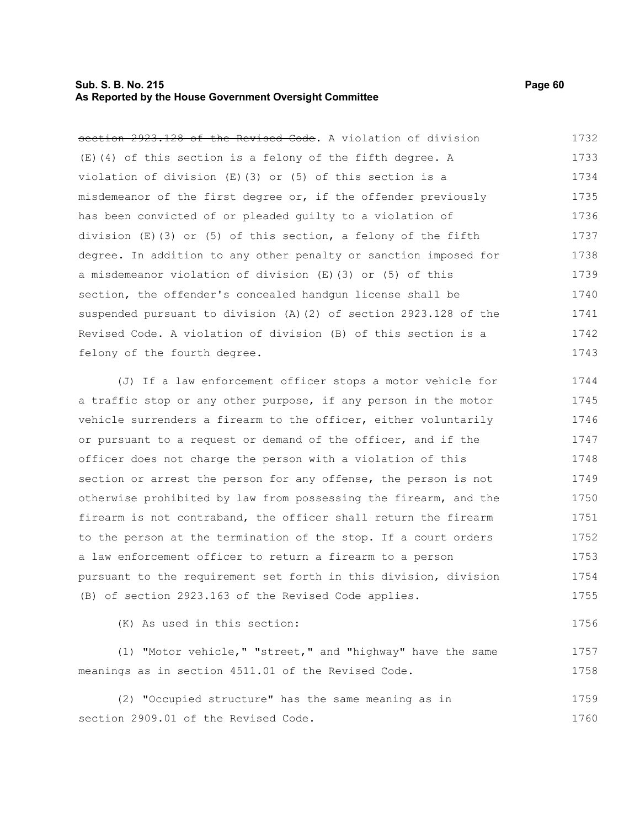#### **Sub. S. B. No. 215 Page 60 As Reported by the House Government Oversight Committee**

section 2923.128 of the Revised Code. A violation of division (E)(4) of this section is a felony of the fifth degree. A violation of division  $(E)(3)$  or  $(5)$  of this section is a misdemeanor of the first degree or, if the offender previously has been convicted of or pleaded guilty to a violation of division (E)(3) or (5) of this section, a felony of the fifth degree. In addition to any other penalty or sanction imposed for a misdemeanor violation of division (E)(3) or (5) of this section, the offender's concealed handgun license shall be suspended pursuant to division (A)(2) of section 2923.128 of the Revised Code. A violation of division (B) of this section is a felony of the fourth degree. 1732 1733 1734 1735 1736 1737 1738 1739 1740 1741 1742 1743

(J) If a law enforcement officer stops a motor vehicle for a traffic stop or any other purpose, if any person in the motor vehicle surrenders a firearm to the officer, either voluntarily or pursuant to a request or demand of the officer, and if the officer does not charge the person with a violation of this section or arrest the person for any offense, the person is not otherwise prohibited by law from possessing the firearm, and the firearm is not contraband, the officer shall return the firearm to the person at the termination of the stop. If a court orders a law enforcement officer to return a firearm to a person pursuant to the requirement set forth in this division, division (B) of section 2923.163 of the Revised Code applies. 1744 1745 1746 1747 1748 1749 1750 1751 1752 1753 1754 1755

(K) As used in this section:

(1) "Motor vehicle," "street," and "highway" have the same meanings as in section 4511.01 of the Revised Code. 1757 1758

(2) "Occupied structure" has the same meaning as in section 2909.01 of the Revised Code. 1759 1760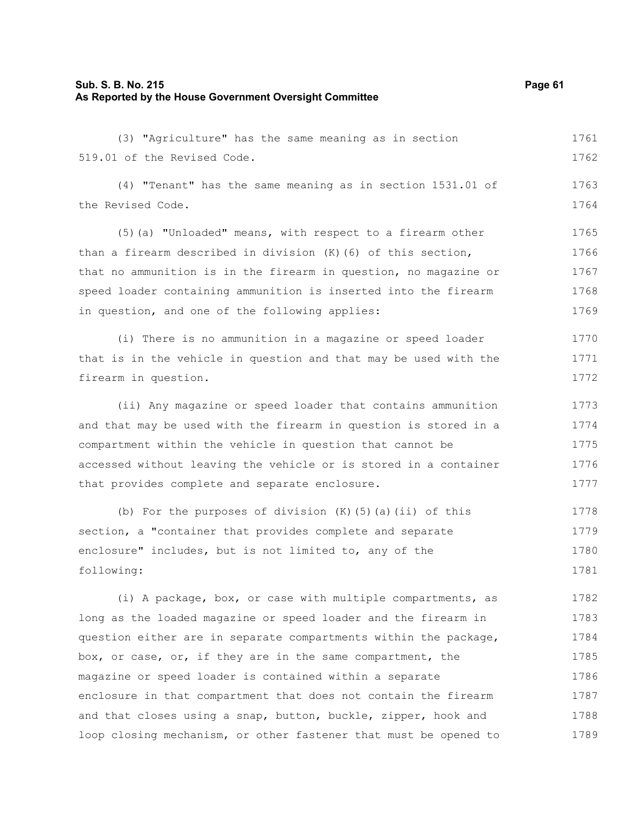#### **Sub. S. B. No. 215 Page 61 As Reported by the House Government Oversight Committee**

(3) "Agriculture" has the same meaning as in section 519.01 of the Revised Code. (4) "Tenant" has the same meaning as in section 1531.01 of the Revised Code. (5)(a) "Unloaded" means, with respect to a firearm other than a firearm described in division (K)(6) of this section, that no ammunition is in the firearm in question, no magazine or speed loader containing ammunition is inserted into the firearm in question, and one of the following applies: 1761 1762 1763 1764 1765 1766 1767 1768 1769

(i) There is no ammunition in a magazine or speed loader that is in the vehicle in question and that may be used with the firearm in question. 1770 1771 1772

(ii) Any magazine or speed loader that contains ammunition and that may be used with the firearm in question is stored in a compartment within the vehicle in question that cannot be accessed without leaving the vehicle or is stored in a container that provides complete and separate enclosure. 1773 1774 1775 1776 1777

(b) For the purposes of division  $(K)$  (5)(a)(ii) of this section, a "container that provides complete and separate enclosure" includes, but is not limited to, any of the following: 1778 1779 1780 1781

(i) A package, box, or case with multiple compartments, as long as the loaded magazine or speed loader and the firearm in question either are in separate compartments within the package, box, or case, or, if they are in the same compartment, the magazine or speed loader is contained within a separate enclosure in that compartment that does not contain the firearm and that closes using a snap, button, buckle, zipper, hook and loop closing mechanism, or other fastener that must be opened to 1782 1783 1784 1785 1786 1787 1788 1789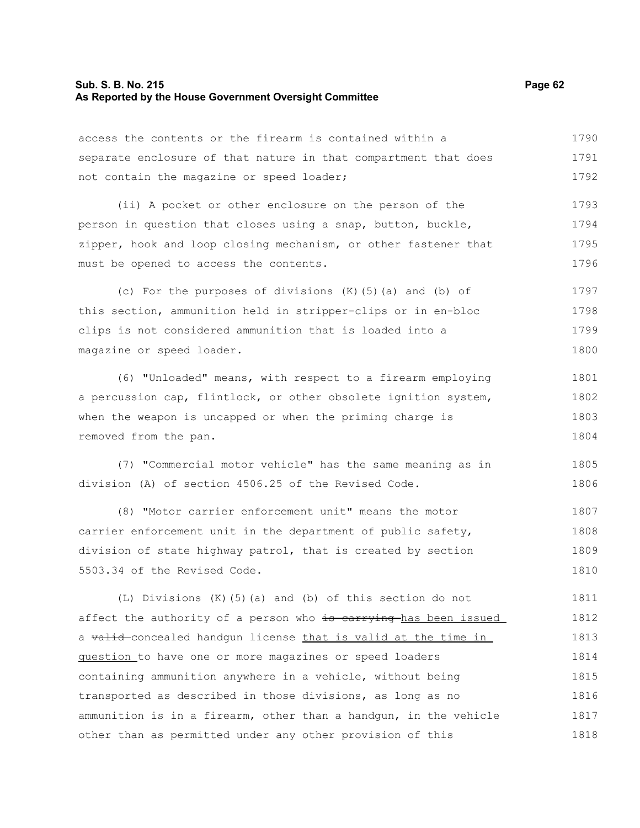#### **Sub. S. B. No. 215 Page 62 As Reported by the House Government Oversight Committee**

must be opened to access the contents.

1796

access the contents or the firearm is contained within a separate enclosure of that nature in that compartment that does not contain the magazine or speed loader; (ii) A pocket or other enclosure on the person of the person in question that closes using a snap, button, buckle, zipper, hook and loop closing mechanism, or other fastener that 1790 1791 1792 1793 1794 1795

(c) For the purposes of divisions (K)(5)(a) and (b) of this section, ammunition held in stripper-clips or in en-bloc clips is not considered ammunition that is loaded into a magazine or speed loader. 1797 1798 1799 1800

(6) "Unloaded" means, with respect to a firearm employing a percussion cap, flintlock, or other obsolete ignition system, when the weapon is uncapped or when the priming charge is removed from the pan. 1801 1802 1803 1804

(7) "Commercial motor vehicle" has the same meaning as in division (A) of section 4506.25 of the Revised Code. 1805 1806

(8) "Motor carrier enforcement unit" means the motor carrier enforcement unit in the department of public safety, division of state highway patrol, that is created by section 5503.34 of the Revised Code. 1807 1808 1809 1810

(L) Divisions (K)(5)(a) and (b) of this section do not affect the authority of a person who is carrying has been issued a valid concealed handgun license that is valid at the time in question to have one or more magazines or speed loaders containing ammunition anywhere in a vehicle, without being transported as described in those divisions, as long as no ammunition is in a firearm, other than a handgun, in the vehicle other than as permitted under any other provision of this 1811 1812 1813 1814 1815 1816 1817 1818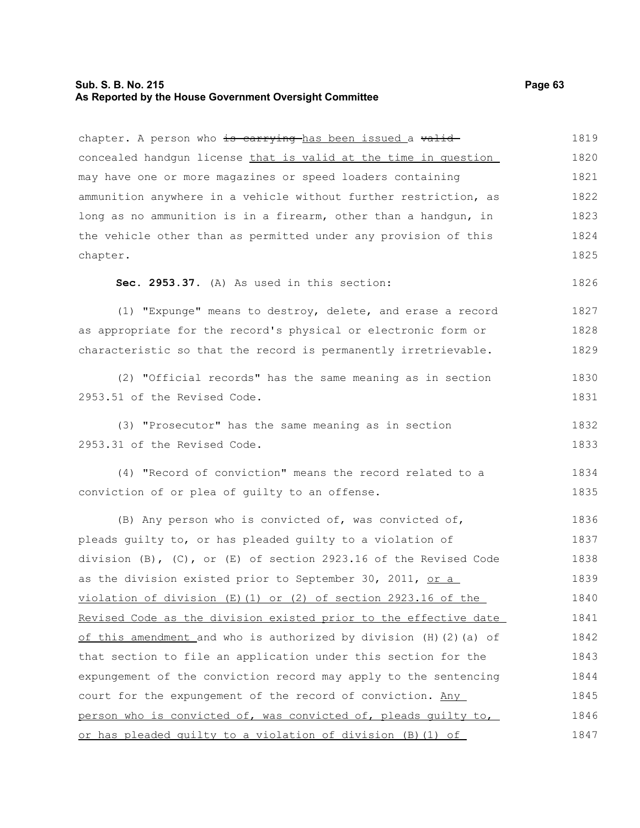### **Sub. S. B. No. 215 Page 63 As Reported by the House Government Oversight Committee**

chapter. A person who is carrying has been issued a valid concealed handgun license that is valid at the time in question may have one or more magazines or speed loaders containing ammunition anywhere in a vehicle without further restriction, as long as no ammunition is in a firearm, other than a handgun, in 1819 1820 1821 1822 1823

the vehicle other than as permitted under any provision of this chapter. 1825

**Sec. 2953.37.** (A) As used in this section:

(1) "Expunge" means to destroy, delete, and erase a record as appropriate for the record's physical or electronic form or characteristic so that the record is permanently irretrievable. 1827 1828 1829

(2) "Official records" has the same meaning as in section 2953.51 of the Revised Code. 1830 1831

(3) "Prosecutor" has the same meaning as in section 2953.31 of the Revised Code. 1832 1833

(4) "Record of conviction" means the record related to a conviction of or plea of guilty to an offense. 1834 1835

(B) Any person who is convicted of, was convicted of, pleads guilty to, or has pleaded guilty to a violation of division (B), (C), or (E) of section 2923.16 of the Revised Code as the division existed prior to September 30, 2011, or a violation of division (E)(1) or (2) of section 2923.16 of the Revised Code as the division existed prior to the effective date of this amendment and who is authorized by division (H)(2)(a) of that section to file an application under this section for the expungement of the conviction record may apply to the sentencing court for the expungement of the record of conviction. Any person who is convicted of, was convicted of, pleads guilty to, or has pleaded guilty to a violation of division (B)(1) of 1836 1837 1838 1839 1840 1841 1842 1843 1844 1845 1846 1847

1826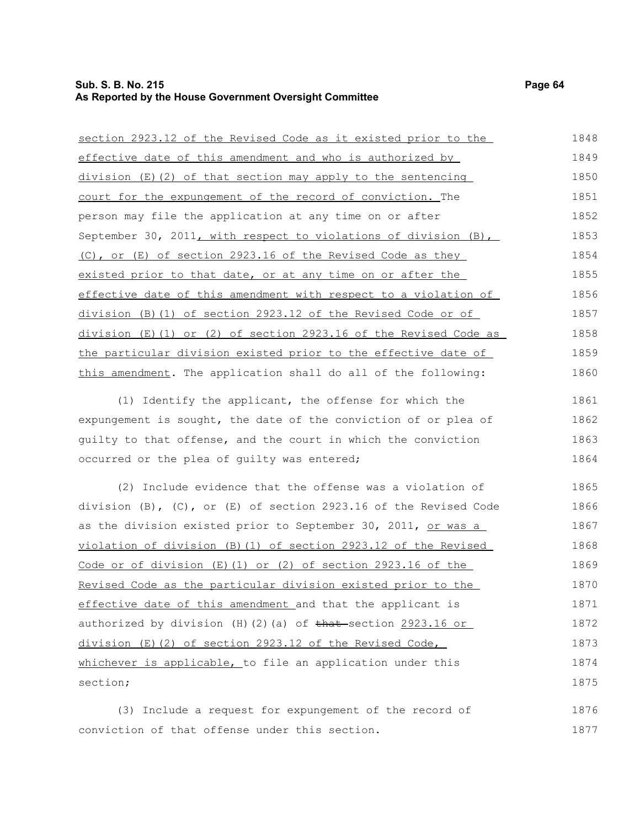| section 2923.12 of the Revised Code as it existed prior to the      | 1848 |
|---------------------------------------------------------------------|------|
| effective date of this amendment and who is authorized by           | 1849 |
| $division$ (E)(2) of that section may apply to the sentencing       | 1850 |
| court for the expungement of the record of conviction. The          | 1851 |
| person may file the application at any time on or after             | 1852 |
| September 30, 2011, with respect to violations of division $(B)$ ,  | 1853 |
| $(C)$ , or $(E)$ of section 2923.16 of the Revised Code as they     | 1854 |
| existed prior to that date, or at any time on or after the          | 1855 |
| effective date of this amendment with respect to a violation of     | 1856 |
| division $(B)$ (1) of section 2923.12 of the Revised Code or of     | 1857 |
| division $(E)$ (1) or (2) of section 2923.16 of the Revised Code as | 1858 |
| the particular division existed prior to the effective date of      | 1859 |
| this amendment. The application shall do all of the following:      | 1860 |

(1) Identify the applicant, the offense for which the expungement is sought, the date of the conviction of or plea of guilty to that offense, and the court in which the conviction occurred or the plea of guilty was entered; 1861 1862 1863 1864

(2) Include evidence that the offense was a violation of division (B), (C), or (E) of section 2923.16 of the Revised Code as the division existed prior to September 30, 2011, or was a violation of division (B)(1) of section 2923.12 of the Revised Code or of division  $(E)(1)$  or  $(2)$  of section 2923.16 of the Revised Code as the particular division existed prior to the effective date of this amendment and that the applicant is authorized by division  $(H)(2)(a)$  of that section  $2923.16$  or division (E)(2) of section 2923.12 of the Revised Code, whichever is applicable, to file an application under this section; 1865 1866 1867 1868 1869 1870 1871 1872 1873 1874 1875

(3) Include a request for expungement of the record of conviction of that offense under this section. 1876 1877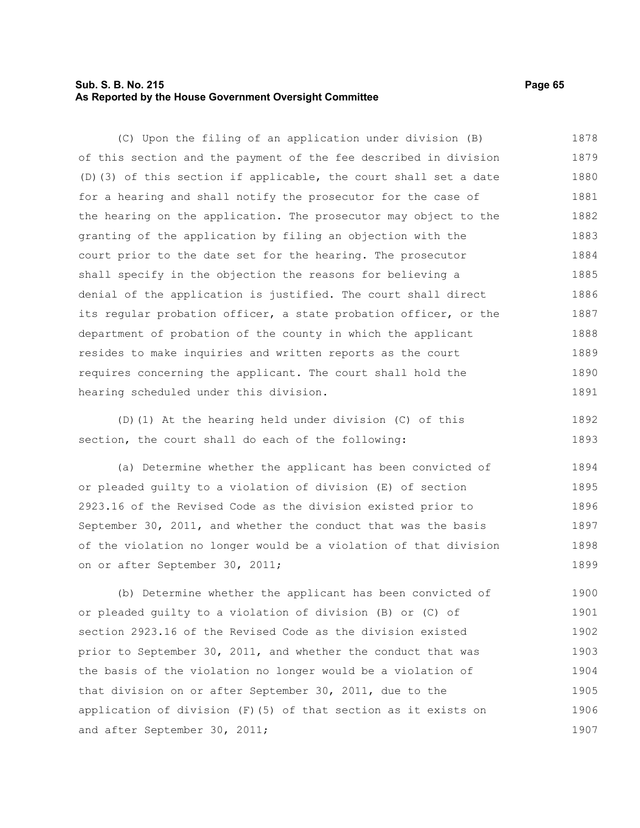### **Sub. S. B. No. 215 Page 65 As Reported by the House Government Oversight Committee**

(C) Upon the filing of an application under division (B) of this section and the payment of the fee described in division (D)(3) of this section if applicable, the court shall set a date for a hearing and shall notify the prosecutor for the case of the hearing on the application. The prosecutor may object to the granting of the application by filing an objection with the court prior to the date set for the hearing. The prosecutor shall specify in the objection the reasons for believing a denial of the application is justified. The court shall direct its regular probation officer, a state probation officer, or the department of probation of the county in which the applicant resides to make inquiries and written reports as the court requires concerning the applicant. The court shall hold the hearing scheduled under this division. 1878 1879 1880 1881 1882 1883 1884 1885 1886 1887 1888 1889 1890 1891

(D)(1) At the hearing held under division (C) of this section, the court shall do each of the following: 1892 1893

(a) Determine whether the applicant has been convicted of or pleaded guilty to a violation of division (E) of section 2923.16 of the Revised Code as the division existed prior to September 30, 2011, and whether the conduct that was the basis of the violation no longer would be a violation of that division on or after September 30, 2011; 1894 1895 1896 1897 1898 1899

(b) Determine whether the applicant has been convicted of or pleaded guilty to a violation of division (B) or (C) of section 2923.16 of the Revised Code as the division existed prior to September 30, 2011, and whether the conduct that was the basis of the violation no longer would be a violation of that division on or after September 30, 2011, due to the application of division (F)(5) of that section as it exists on and after September 30, 2011; 1900 1901 1902 1903 1904 1905 1906 1907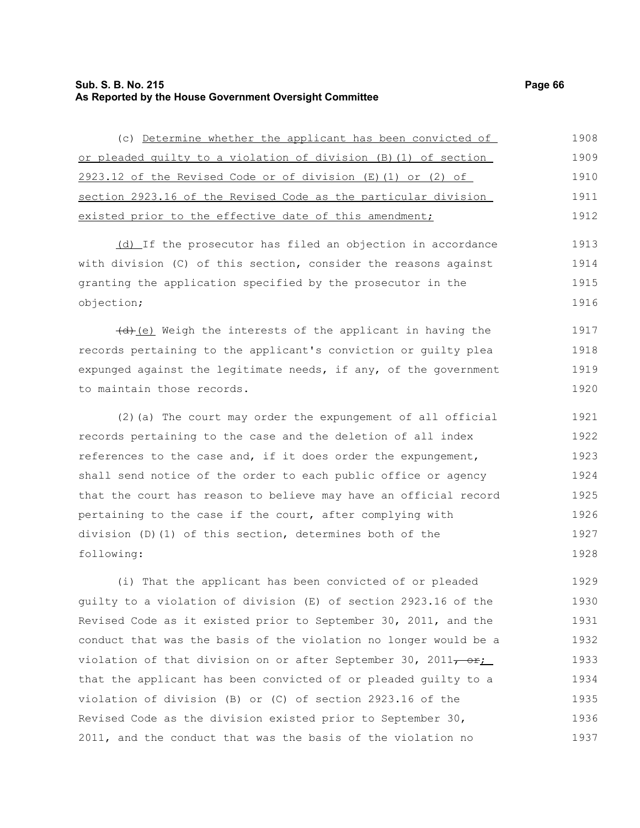#### **Sub. S. B. No. 215 Page 66 As Reported by the House Government Oversight Committee**

(c) Determine whether the applicant has been convicted of or pleaded guilty to a violation of division (B)(1) of section 2923.12 of the Revised Code or of division (E)(1) or (2) of section 2923.16 of the Revised Code as the particular division existed prior to the effective date of this amendment; 1908 1909 1910 1911 1912

(d) If the prosecutor has filed an objection in accordance with division (C) of this section, consider the reasons against granting the application specified by the prosecutor in the objection;

(d)(e) Weigh the interests of the applicant in having the records pertaining to the applicant's conviction or guilty plea expunged against the legitimate needs, if any, of the government to maintain those records. 1917 1918 1919 1920

(2)(a) The court may order the expungement of all official records pertaining to the case and the deletion of all index references to the case and, if it does order the expungement, shall send notice of the order to each public office or agency that the court has reason to believe may have an official record pertaining to the case if the court, after complying with division (D)(1) of this section, determines both of the following: 1921 1922 1923 1924 1925 1926 1927 1928

(i) That the applicant has been convicted of or pleaded guilty to a violation of division (E) of section 2923.16 of the Revised Code as it existed prior to September 30, 2011, and the conduct that was the basis of the violation no longer would be a violation of that division on or after September 30, 2011,  $o$ r; that the applicant has been convicted of or pleaded guilty to a violation of division (B) or (C) of section 2923.16 of the Revised Code as the division existed prior to September 30, 2011, and the conduct that was the basis of the violation no 1929 1930 1931 1932 1933 1934 1935 1936 1937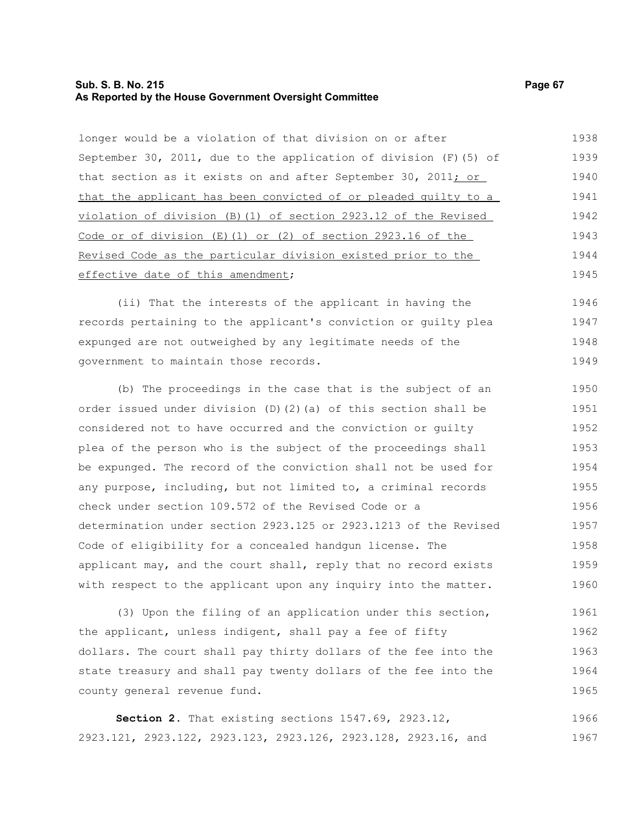#### **Sub. S. B. No. 215 Page 67 As Reported by the House Government Oversight Committee**

longer would be a violation of that division on or after September 30, 2011, due to the application of division (F)(5) of that section as it exists on and after September 30, 2011; or that the applicant has been convicted of or pleaded guilty to a violation of division (B)(1) of section 2923.12 of the Revised Code or of division (E)(1) or (2) of section 2923.16 of the

#### effective date of this amendment;

(ii) That the interests of the applicant in having the records pertaining to the applicant's conviction or guilty plea expunged are not outweighed by any legitimate needs of the government to maintain those records.

Revised Code as the particular division existed prior to the

(b) The proceedings in the case that is the subject of an order issued under division (D)(2)(a) of this section shall be considered not to have occurred and the conviction or guilty plea of the person who is the subject of the proceedings shall be expunged. The record of the conviction shall not be used for any purpose, including, but not limited to, a criminal records check under section 109.572 of the Revised Code or a determination under section 2923.125 or 2923.1213 of the Revised Code of eligibility for a concealed handgun license. The applicant may, and the court shall, reply that no record exists with respect to the applicant upon any inquiry into the matter. 1950 1951 1952 1953 1954 1955 1956 1957 1958 1959 1960

(3) Upon the filing of an application under this section, the applicant, unless indigent, shall pay a fee of fifty dollars. The court shall pay thirty dollars of the fee into the state treasury and shall pay twenty dollars of the fee into the county general revenue fund. 1961 1962 1963 1964 1965

**Section 2.** That existing sections 1547.69, 2923.12, 2923.121, 2923.122, 2923.123, 2923.126, 2923.128, 2923.16, and 1966 1967